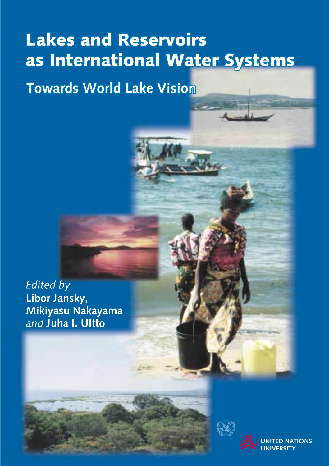# **Lakes and Reservoirs** as International Water Systems

**Towards World Lake Vision** 

**Edited by** Libor Jansky, Mikiyasu Nakayama and Juha I. Uitto



**TONS**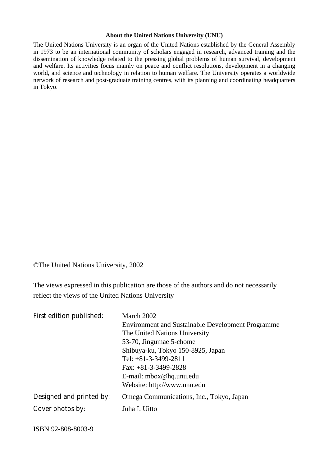#### **About the United Nations University (UNU)**

The United Nations University is an organ of the United Nations established by the General Assembly in 1973 to be an international community of scholars engaged in research, advanced training and the dissemination of knowledge related to the pressing global problems of human survival, development and welfare. Its activities focus mainly on peace and conflict resolutions, development in a changing world, and science and technology in relation to human welfare. The University operates a worldwide network of research and post-graduate training centres, with its planning and coordinating headquarters in Tokyo.

©The United Nations University, 2002

The views expressed in this publication are those of the authors and do not necessarily reflect the views of the United Nations University

| First edition published: | March 2002<br><b>Environment and Sustainable Development Programme</b><br>The United Nations University<br>53-70, Jingumae 5-chome<br>Shibuya-ku, Tokyo 150-8925, Japan<br>Tel: $+81-3-3499-2811$<br>Fax: $+81-3-3499-2828$<br>E-mail: mbox@hq.unu.edu<br>Website: http://www.unu.edu |
|--------------------------|---------------------------------------------------------------------------------------------------------------------------------------------------------------------------------------------------------------------------------------------------------------------------------------|
| Designed and printed by: | Omega Communications, Inc., Tokyo, Japan                                                                                                                                                                                                                                              |
| Cover photos by:         | Juha I. Uitto                                                                                                                                                                                                                                                                         |

ISBN 92-808-8003-9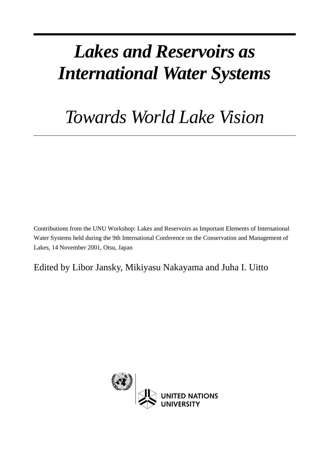# *Lakes and Reservoirs as International Water Systems*

# *Towards World Lake Vision*

Contributions from the UNU Workshop: Lakes and Reservoirs as Important Elements of International Water Systems held during the 9th International Conference on the Conservation and Management of Lakes, 14 November 2001, Otsu, Japan

Edited by Libor Jansky, Mikiyasu Nakayama and Juha I. Uitto

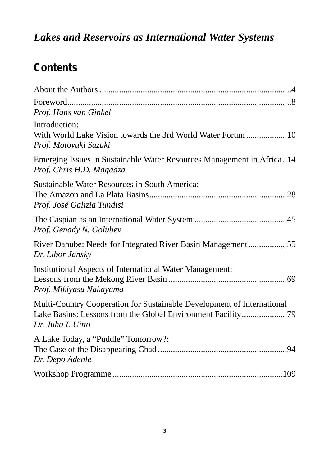### *Lakes and Reservoirs as International Water Systems*

### **Contents**

| Prof. Hans van Ginkel                                                                                                                                      |
|------------------------------------------------------------------------------------------------------------------------------------------------------------|
| Introduction:<br>Prof. Motoyuki Suzuki                                                                                                                     |
| Emerging Issues in Sustainable Water Resources Management in Africa14<br>Prof. Chris H.D. Magadza                                                          |
| Sustainable Water Resources in South America:<br>Prof. José Galizia Tundisi                                                                                |
| Prof. Genady N. Golubev                                                                                                                                    |
| River Danube: Needs for Integrated River Basin Management55<br>Dr. Libor Jansky                                                                            |
| Institutional Aspects of International Water Management:<br>Prof. Mikiyasu Nakayama                                                                        |
| Multi-Country Cooperation for Sustainable Development of International<br>Lake Basins: Lessons from the Global Environment Facility79<br>Dr. Juha I. Uitto |
| A Lake Today, a "Puddle" Tomorrow?:<br>Dr. Depo Adenle                                                                                                     |
|                                                                                                                                                            |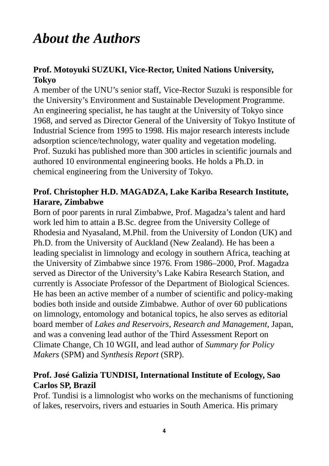### *About the Authors*

### **Prof. Motoyuki SUZUKI, Vice-Rector, United Nations University, Tokyo**

A member of the UNU's senior staff, Vice-Rector Suzuki is responsible for the University's Environment and Sustainable Development Programme. An engineering specialist, he has taught at the University of Tokyo since 1968, and served as Director General of the University of Tokyo Institute of Industrial Science from 1995 to 1998. His major research interests include adsorption science/technology, water quality and vegetation modeling. Prof. Suzuki has published more than 300 articles in scientific journals and authored 10 environmental engineering books. He holds a Ph.D. in chemical engineering from the University of Tokyo.

### **Prof. Christopher H.D. MAGADZA, Lake Kariba Research Institute, Harare, Zimbabwe**

Born of poor parents in rural Zimbabwe, Prof. Magadza's talent and hard work led him to attain a B.Sc. degree from the University College of Rhodesia and Nyasaland, M.Phil. from the University of London (UK) and Ph.D. from the University of Auckland (New Zealand). He has been a leading specialist in limnology and ecology in southern Africa, teaching at the University of Zimbabwe since 1976. From 1986–2000, Prof. Magadza served as Director of the University's Lake Kabira Research Station, and currently is Associate Professor of the Department of Biological Sciences. He has been an active member of a number of scientific and policy-making bodies both inside and outside Zimbabwe. Author of over 60 publications on limnology, entomology and botanical topics, he also serves as editorial board member of *Lakes and Reservoirs, Research and Management,* Japan, and was a convening lead author of the Third Assessment Report on Climate Change, Ch 10 WGII, and lead author of *Summary for Policy Makers* (SPM) and *Synthesis Report* (SRP).

### **Prof. José Galizia TUNDISI, International Institute of Ecology, Sao Carlos SP, Brazil**

Prof. Tundisi is a limnologist who works on the mechanisms of functioning of lakes, reservoirs, rivers and estuaries in South America. His primary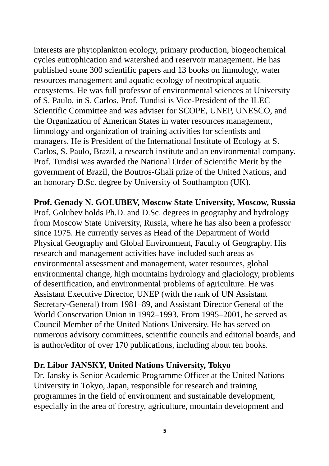interests are phytoplankton ecology, primary production, biogeochemical cycles eutrophication and watershed and reservoir management. He has published some 300 scientific papers and 13 books on limnology, water resources management and aquatic ecology of neotropical aquatic ecosystems. He was full professor of environmental sciences at University of S. Paulo, in S. Carlos. Prof. Tundisi is Vice-President of the ILEC Scientific Committee and was adviser for SCOPE, UNEP, UNESCO, and the Organization of American States in water resources management, limnology and organization of training activities for scientists and managers. He is President of the International Institute of Ecology at S. Carlos, S. Paulo, Brazil, a research institute and an environmental company. Prof. Tundisi was awarded the National Order of Scientific Merit by the government of Brazil, the Boutros-Ghali prize of the United Nations, and an honorary D.Sc. degree by University of Southampton (UK).

**Prof. Genady N. GOLUBEV, Moscow State University, Moscow, Russia** Prof. Golubev holds Ph.D. and D.Sc. degrees in geography and hydrology from Moscow State University, Russia, where he has also been a professor since 1975. He currently serves as Head of the Department of World Physical Geography and Global Environment, Faculty of Geography. His research and management activities have included such areas as environmental assessment and management, water resources, global environmental change, high mountains hydrology and glaciology, problems of desertification, and environmental problems of agriculture. He was Assistant Executive Director, UNEP (with the rank of UN Assistant Secretary-General) from 1981–89, and Assistant Director General of the World Conservation Union in 1992–1993. From 1995–2001, he served as Council Member of the United Nations University. He has served on numerous advisory committees, scientific councils and editorial boards, and is author/editor of over 170 publications, including about ten books.

#### **Dr. Libor JANSKY, United Nations University, Tokyo**

Dr. Jansky is Senior Academic Programme Officer at the United Nations University in Tokyo, Japan, responsible for research and training programmes in the field of environment and sustainable development, especially in the area of forestry, agriculture, mountain development and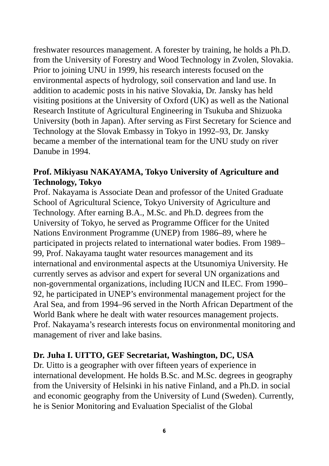freshwater resources management. A forester by training, he holds a Ph.D. from the University of Forestry and Wood Technology in Zvolen, Slovakia. Prior to joining UNU in 1999, his research interests focused on the environmental aspects of hydrology, soil conservation and land use. In addition to academic posts in his native Slovakia, Dr. Jansky has held visiting positions at the University of Oxford (UK) as well as the National Research Institute of Agricultural Engineering in Tsukuba and Shizuoka University (both in Japan). After serving as First Secretary for Science and Technology at the Slovak Embassy in Tokyo in 1992–93, Dr. Jansky became a member of the international team for the UNU study on river Danube in 1994.

### **Prof. Mikiyasu NAKAYAMA, Tokyo University of Agriculture and Technology, Tokyo**

Prof. Nakayama is Associate Dean and professor of the United Graduate School of Agricultural Science, Tokyo University of Agriculture and Technology. After earning B.A., M.Sc. and Ph.D. degrees from the University of Tokyo, he served as Programme Officer for the United Nations Environment Programme (UNEP) from 1986–89, where he participated in projects related to international water bodies. From 1989– 99, Prof. Nakayama taught water resources management and its international and environmental aspects at the Utsunomiya University. He currently serves as advisor and expert for several UN organizations and non-governmental organizations, including IUCN and ILEC. From 1990– 92, he participated in UNEP's environmental management project for the Aral Sea, and from 1994–96 served in the North African Department of the World Bank where he dealt with water resources management projects. Prof. Nakayama's research interests focus on environmental monitoring and management of river and lake basins.

### **Dr. Juha I. UITTO, GEF Secretariat, Washington, DC, USA**

Dr. Uitto is a geographer with over fifteen years of experience in international development. He holds B.Sc. and M.Sc. degrees in geography from the University of Helsinki in his native Finland, and a Ph.D. in social and economic geography from the University of Lund (Sweden). Currently, he is Senior Monitoring and Evaluation Specialist of the Global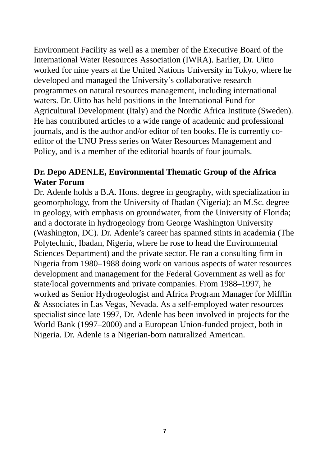Environment Facility as well as a member of the Executive Board of the International Water Resources Association (IWRA). Earlier, Dr. Uitto worked for nine years at the United Nations University in Tokyo, where he developed and managed the University's collaborative research programmes on natural resources management, including international waters. Dr. Uitto has held positions in the International Fund for Agricultural Development (Italy) and the Nordic Africa Institute (Sweden). He has contributed articles to a wide range of academic and professional journals, and is the author and/or editor of ten books. He is currently coeditor of the UNU Press series on Water Resources Management and Policy, and is a member of the editorial boards of four journals.

### **Dr. Depo ADENLE, Environmental Thematic Group of the Africa Water Forum**

Dr. Adenle holds a B.A. Hons. degree in geography, with specialization in geomorphology, from the University of Ibadan (Nigeria); an M.Sc. degree in geology, with emphasis on groundwater, from the University of Florida; and a doctorate in hydrogeology from George Washington University (Washington, DC). Dr. Adenle's career has spanned stints in academia (The Polytechnic, Ibadan, Nigeria, where he rose to head the Environmental Sciences Department) and the private sector. He ran a consulting firm in Nigeria from 1980–1988 doing work on various aspects of water resources development and management for the Federal Government as well as for state/local governments and private companies. From 1988–1997, he worked as Senior Hydrogeologist and Africa Program Manager for Mifflin & Associates in Las Vegas, Nevada. As a self-employed water resources specialist since late 1997, Dr. Adenle has been involved in projects for the World Bank (1997–2000) and a European Union-funded project, both in Nigeria. Dr. Adenle is a Nigerian-born naturalized American.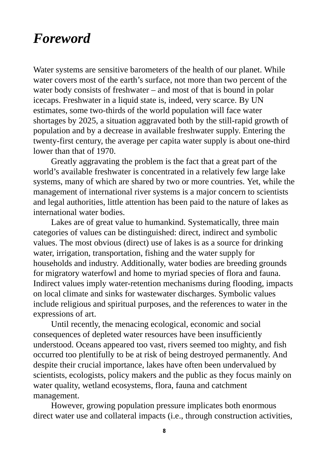### *Foreword*

Water systems are sensitive barometers of the health of our planet. While water covers most of the earth's surface, not more than two percent of the water body consists of freshwater – and most of that is bound in polar icecaps. Freshwater in a liquid state is, indeed, very scarce. By UN estimates, some two-thirds of the world population will face water shortages by 2025, a situation aggravated both by the still-rapid growth of population and by a decrease in available freshwater supply. Entering the twenty-first century, the average per capita water supply is about one-third lower than that of 1970.

Greatly aggravating the problem is the fact that a great part of the world's available freshwater is concentrated in a relatively few large lake systems, many of which are shared by two or more countries. Yet, while the management of international river systems is a major concern to scientists and legal authorities, little attention has been paid to the nature of lakes as international water bodies.

Lakes are of great value to humankind. Systematically, three main categories of values can be distinguished: direct, indirect and symbolic values. The most obvious (direct) use of lakes is as a source for drinking water, irrigation, transportation, fishing and the water supply for households and industry. Additionally, water bodies are breeding grounds for migratory waterfowl and home to myriad species of flora and fauna. Indirect values imply water-retention mechanisms during flooding, impacts on local climate and sinks for wastewater discharges. Symbolic values include religious and spiritual purposes, and the references to water in the expressions of art.

Until recently, the menacing ecological, economic and social consequences of depleted water resources have been insufficiently understood. Oceans appeared too vast, rivers seemed too mighty, and fish occurred too plentifully to be at risk of being destroyed permanently. And despite their crucial importance, lakes have often been undervalued by scientists, ecologists, policy makers and the public as they focus mainly on water quality, wetland ecosystems, flora, fauna and catchment management.

However, growing population pressure implicates both enormous direct water use and collateral impacts (i.e., through construction activities,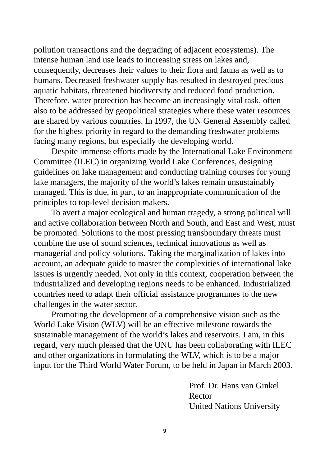pollution transactions and the degrading of adjacent ecosystems). The intense human land use leads to increasing stress on lakes and, consequently, decreases their values to their flora and fauna as well as to humans. Decreased freshwater supply has resulted in destroyed precious aquatic habitats, threatened biodiversity and reduced food production. Therefore, water protection has become an increasingly vital task, often also to be addressed by geopolitical strategies where these water resources are shared by various countries. In 1997, the UN General Assembly called for the highest priority in regard to the demanding freshwater problems facing many regions, but especially the developing world.

Despite immense efforts made by the International Lake Environment Committee (ILEC) in organizing World Lake Conferences, designing guidelines on lake management and conducting training courses for young lake managers, the majority of the world's lakes remain unsustainably managed. This is due, in part, to an inappropriate communication of the principles to top-level decision makers.

To avert a major ecological and human tragedy, a strong political will and active collaboration between North and South, and East and West, must be promoted. Solutions to the most pressing transboundary threats must combine the use of sound sciences, technical innovations as well as managerial and policy solutions. Taking the marginalization of lakes into account, an adequate guide to master the complexities of international lake issues is urgently needed. Not only in this context, cooperation between the industrialized and developing regions needs to be enhanced. Industrialized countries need to adapt their official assistance programmes to the new challenges in the water sector.

Promoting the development of a comprehensive vision such as the World Lake Vision (WLV) will be an effective milestone towards the sustainable management of the world's lakes and reservoirs. I am, in this regard, very much pleased that the UNU has been collaborating with ILEC and other organizations in formulating the WLV, which is to be a major input for the Third World Water Forum, to be held in Japan in March 2003.

> Prof. Dr. Hans van Ginkel Rector United Nations University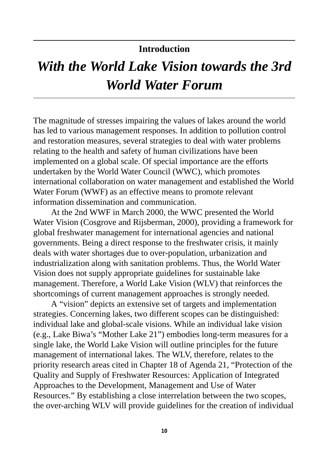### **Introduction**

## *With the World Lake Vision towards the 3rd World Water Forum*

The magnitude of stresses impairing the values of lakes around the world has led to various management responses. In addition to pollution control and restoration measures, several strategies to deal with water problems relating to the health and safety of human civilizations have been implemented on a global scale. Of special importance are the efforts undertaken by the World Water Council (WWC), which promotes international collaboration on water management and established the World Water Forum (WWF) as an effective means to promote relevant information dissemination and communication.

At the 2nd WWF in March 2000, the WWC presented the World Water Vision (Cosgrove and Rijsberman, 2000), providing a framework for global freshwater management for international agencies and national governments. Being a direct response to the freshwater crisis, it mainly deals with water shortages due to over-population, urbanization and industrialization along with sanitation problems. Thus, the World Water Vision does not supply appropriate guidelines for sustainable lake management. Therefore, a World Lake Vision (WLV) that reinforces the shortcomings of current management approaches is strongly needed.

A "vision" depicts an extensive set of targets and implementation strategies. Concerning lakes, two different scopes can be distinguished: individual lake and global-scale visions. While an individual lake vision (e.g., Lake Biwa's "Mother Lake 21") embodies long-term measures for a single lake, the World Lake Vision will outline principles for the future management of international lakes. The WLV, therefore, relates to the priority research areas cited in Chapter 18 of Agenda 21, "Protection of the Quality and Supply of Freshwater Resources: Application of Integrated Approaches to the Development, Management and Use of Water Resources." By establishing a close interrelation between the two scopes, the over-arching WLV will provide guidelines for the creation of individual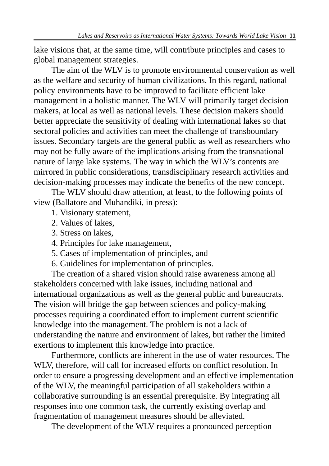lake visions that, at the same time, will contribute principles and cases to global management strategies.

The aim of the WLV is to promote environmental conservation as well as the welfare and security of human civilizations. In this regard, national policy environments have to be improved to facilitate efficient lake management in a holistic manner. The WLV will primarily target decision makers, at local as well as national levels. These decision makers should better appreciate the sensitivity of dealing with international lakes so that sectoral policies and activities can meet the challenge of transboundary issues. Secondary targets are the general public as well as researchers who may not be fully aware of the implications arising from the transnational nature of large lake systems. The way in which the WLV's contents are mirrored in public considerations, transdisciplinary research activities and decision-making processes may indicate the benefits of the new concept.

The WLV should draw attention, at least, to the following points of view (Ballatore and Muhandiki, in press):

1. Visionary statement,

2. Values of lakes,

3. Stress on lakes,

4. Principles for lake management,

5. Cases of implementation of principles, and

6. Guidelines for implementation of principles.

The creation of a shared vision should raise awareness among all stakeholders concerned with lake issues, including national and international organizations as well as the general public and bureaucrats. The vision will bridge the gap between sciences and policy-making processes requiring a coordinated effort to implement current scientific knowledge into the management. The problem is not a lack of understanding the nature and environment of lakes, but rather the limited exertions to implement this knowledge into practice.

Furthermore, conflicts are inherent in the use of water resources. The WLV, therefore, will call for increased efforts on conflict resolution. In order to ensure a progressing development and an effective implementation of the WLV, the meaningful participation of all stakeholders within a collaborative surrounding is an essential prerequisite. By integrating all responses into one common task, the currently existing overlap and fragmentation of management measures should be alleviated.

The development of the WLV requires a pronounced perception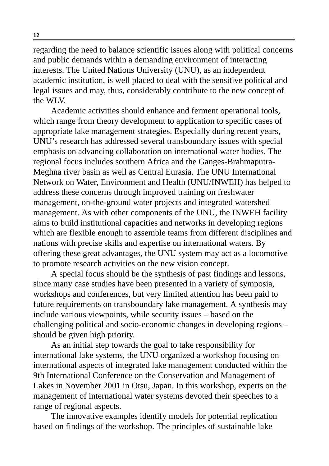regarding the need to balance scientific issues along with political concerns and public demands within a demanding environment of interacting interests. The United Nations University (UNU), as an independent academic institution, is well placed to deal with the sensitive political and legal issues and may, thus, considerably contribute to the new concept of the WLV.

Academic activities should enhance and ferment operational tools, which range from theory development to application to specific cases of appropriate lake management strategies. Especially during recent years, UNU's research has addressed several transboundary issues with special emphasis on advancing collaboration on international water bodies. The regional focus includes southern Africa and the Ganges-Brahmaputra-Meghna river basin as well as Central Eurasia. The UNU International Network on Water, Environment and Health (UNU/INWEH) has helped to address these concerns through improved training on freshwater management, on-the-ground water projects and integrated watershed management. As with other components of the UNU, the INWEH facility aims to build institutional capacities and networks in developing regions which are flexible enough to assemble teams from different disciplines and nations with precise skills and expertise on international waters. By offering these great advantages, the UNU system may act as a locomotive to promote research activities on the new vision concept.

A special focus should be the synthesis of past findings and lessons, since many case studies have been presented in a variety of symposia, workshops and conferences, but very limited attention has been paid to future requirements on transboundary lake management. A synthesis may include various viewpoints, while security issues – based on the challenging political and socio-economic changes in developing regions – should be given high priority.

As an initial step towards the goal to take responsibility for international lake systems, the UNU organized a workshop focusing on international aspects of integrated lake management conducted within the 9th International Conference on the Conservation and Management of Lakes in November 2001 in Otsu, Japan. In this workshop, experts on the management of international water systems devoted their speeches to a range of regional aspects.

The innovative examples identify models for potential replication based on findings of the workshop. The principles of sustainable lake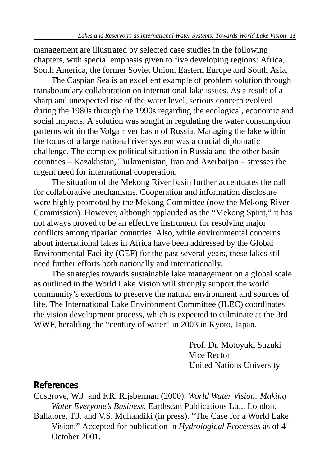management are illustrated by selected case studies in the following chapters, with special emphasis given to five developing regions: Africa, South America, the former Soviet Union, Eastern Europe and South Asia.

The Caspian Sea is an excellent example of problem solution through transboundary collaboration on international lake issues. As a result of a sharp and unexpected rise of the water level, serious concern evolved during the 1980s through the 1990s regarding the ecological, economic and social impacts. A solution was sought in regulating the water consumption patterns within the Volga river basin of Russia. Managing the lake within the focus of a large national river system was a crucial diplomatic challenge. The complex political situation in Russia and the other basin countries – Kazakhstan, Turkmenistan, Iran and Azerbaijan – stresses the urgent need for international cooperation.

The situation of the Mekong River basin further accentuates the call for collaborative mechanisms. Cooperation and information disclosure were highly promoted by the Mekong Committee (now the Mekong River Commission). However, although applauded as the "Mekong Spirit," it has not always proved to be an effective instrument for resolving major conflicts among riparian countries. Also, while environmental concerns about international lakes in Africa have been addressed by the Global Environmental Facility (GEF) for the past several years, these lakes still need further efforts both nationally and internationally.

The strategies towards sustainable lake management on a global scale as outlined in the World Lake Vision will strongly support the world community's exertions to preserve the natural environment and sources of life. The International Lake Environment Committee (ILEC) coordinates the vision development process, which is expected to culminate at the 3rd WWF, heralding the "century of water" in 2003 in Kyoto, Japan.

> Prof. Dr. Motoyuki Suzuki Vice Rector United Nations University

### **References**

- Cosgrove, W.J. and F.R. Rijsberman (2000). *World Water Vision: Making Water Everyone's Business.* Earthscan Publications Ltd., London.
- Ballatore, T.J. and V.S. Muhandiki (in press). "The Case for a World Lake Vision." Accepted for publication in *Hydrological Processes* as of 4 October 2001.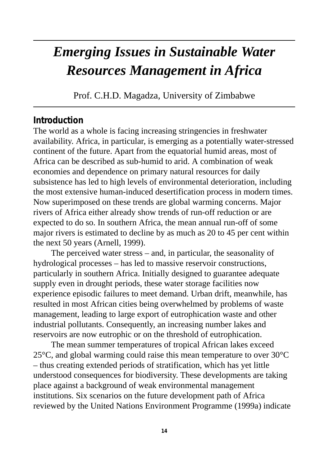## *Emerging Issues in Sustainable Water Resources Management in Africa*

Prof. C.H.D. Magadza, University of Zimbabwe

### **Introduction**

The world as a whole is facing increasing stringencies in freshwater availability. Africa, in particular, is emerging as a potentially water-stressed continent of the future. Apart from the equatorial humid areas, most of Africa can be described as sub-humid to arid. A combination of weak economies and dependence on primary natural resources for daily subsistence has led to high levels of environmental deterioration, including the most extensive human-induced desertification process in modern times. Now superimposed on these trends are global warming concerns. Major rivers of Africa either already show trends of run-off reduction or are expected to do so. In southern Africa, the mean annual run-off of some major rivers is estimated to decline by as much as 20 to 45 per cent within the next 50 years (Arnell, 1999).

The perceived water stress – and, in particular, the seasonality of hydrological processes – has led to massive reservoir constructions, particularly in southern Africa. Initially designed to guarantee adequate supply even in drought periods, these water storage facilities now experience episodic failures to meet demand. Urban drift, meanwhile, has resulted in most African cities being overwhelmed by problems of waste management, leading to large export of eutrophication waste and other industrial pollutants. Consequently, an increasing number lakes and reservoirs are now eutrophic or on the threshold of eutrophication.

The mean summer temperatures of tropical African lakes exceed 25°C, and global warming could raise this mean temperature to over 30°C – thus creating extended periods of stratification, which has yet little understood consequences for biodiversity. These developments are taking place against a background of weak environmental management institutions. Six scenarios on the future development path of Africa reviewed by the United Nations Environment Programme (1999a) indicate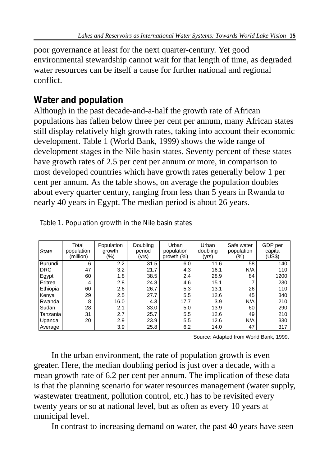poor governance at least for the next quarter-century. Yet good environmental stewardship cannot wait for that length of time, as degraded water resources can be itself a cause for further national and regional conflict.

### **Water and population**

Although in the past decade-and-a-half the growth rate of African populations has fallen below three per cent per annum, many African states still display relatively high growth rates, taking into account their economic development. Table 1 (World Bank, 1999) shows the wide range of development stages in the Nile basin states. Seventy percent of these states have growth rates of 2.5 per cent per annum or more, in comparison to most developed countries which have growth rates generally below 1 per cent per annum. As the table shows, on average the population doubles about every quarter century, ranging from less than 5 years in Rwanda to nearly 40 years in Egypt. The median period is about 26 years.

| <b>State</b> | Total<br>population<br>(million) | Population<br>arowth<br>$(\% )$ | Doubling<br>period<br>(yrs) | Urban<br>population<br>growth (%) | Urban<br>doubling<br>(yrs) | Safe water<br>population<br>$(\% )$ | GDP per<br>capita<br>(US\$) |
|--------------|----------------------------------|---------------------------------|-----------------------------|-----------------------------------|----------------------------|-------------------------------------|-----------------------------|
| Burundi      | 6                                | 2.2                             | 31.5                        | 6.0                               | 11.6                       | 58                                  | 140                         |
| DRC          | 47                               | 3.2                             | 21.7                        | 4.3                               | 16.1                       | N/A                                 | 110                         |
| Egypt        | 60                               | 1.8                             | 38.5                        | 2.4                               | 28.9                       | 84                                  | 1200                        |
| Eritrea      | 4                                | 2.8                             | 24.8                        | 4.6                               | 15.1                       |                                     | 230                         |
| Ethiopia     | 60                               | 2.6                             | 26.7                        | 5.3                               | 13.1                       | 26                                  | 110                         |
| Kenya        | 29                               | 2.5                             | 27.7                        | 5.5                               | 12.6                       | 45                                  | 340                         |
| Rwanda       | 8                                | 16.0                            | 4.3                         | 17.7                              | 3.9                        | N/A                                 | 210                         |
| Sudan        | 28                               | 2.1                             | 33.0                        | 5.0                               | 13.9                       | 60                                  | 290                         |
| Tanzania     | 31                               | 2.7                             | 25.7                        | 5.5                               | 12.6                       | 49                                  | 210                         |
| Uganda       | 20                               | 2.9                             | 23.9                        | 5.5                               | 12.6                       | N/A                                 | 330                         |
| Average      |                                  | 3.9                             | 25.8                        | 6.2                               | 14.0                       | 47                                  | 317                         |

Source: Adapted from World Bank, 1999.

In the urban environment, the rate of population growth is even greater. Here, the median doubling period is just over a decade, with a mean growth rate of 6.2 per cent per annum. The implication of these data is that the planning scenario for water resources management (water supply, wastewater treatment, pollution control, etc.) has to be revisited every twenty years or so at national level, but as often as every 10 years at municipal level.

In contrast to increasing demand on water, the past 40 years have seen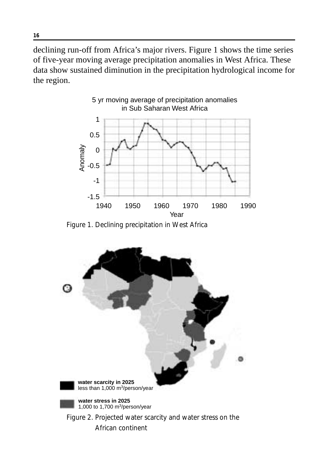declining run-off from Africa's major rivers. Figure 1 shows the time series of five-year moving average precipitation anomalies in West Africa. These data show sustained diminution in the precipitation hydrological income for the region.



Figure 1. Declining precipitation in West Africa

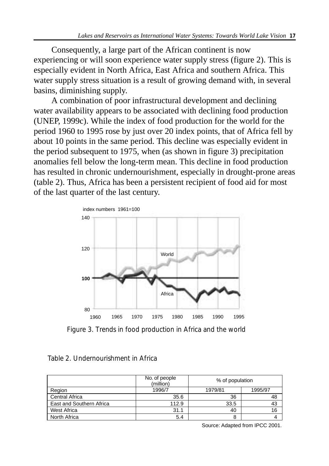Consequently, a large part of the African continent is now experiencing or will soon experience water supply stress (figure 2). This is especially evident in North Africa, East Africa and southern Africa. This water supply stress situation is a result of growing demand with, in several basins, diminishing supply.

A combination of poor infrastructural development and declining water availability appears to be associated with declining food production (UNEP, 1999c). While the index of food production for the world for the period 1960 to 1995 rose by just over 20 index points, that of Africa fell by about 10 points in the same period. This decline was especially evident in the period subsequent to 1975, when (as shown in figure 3) precipitation anomalies fell below the long-term mean. This decline in food production has resulted in chronic undernourishment, especially in drought-prone areas (table 2). Thus, Africa has been a persistent recipient of food aid for most of the last quarter of the last century.



Figure 3. Trends in food production in Africa and the world

|                          | No. of people<br>(million) | % of population    |    |  |
|--------------------------|----------------------------|--------------------|----|--|
| Region                   | 1996/7                     | 1979/81<br>1995/97 |    |  |
| <b>Central Africa</b>    | 35.6                       | 36                 | 48 |  |
| East and Southern Africa | 112.9                      | 33.5               | 43 |  |
| West Africa              | 31.1                       | 40                 | 16 |  |
| North Africa             | 5.4                        | 8                  |    |  |

#### Table 2. Undernourishment in Africa

Source: Adapted from IPCC 2001.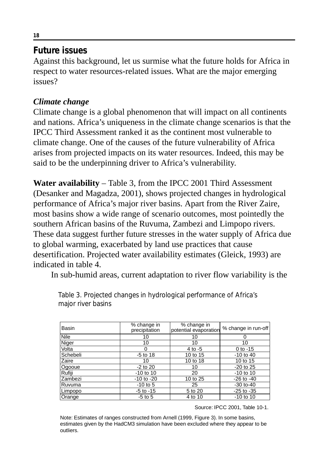### **Future issues**

Against this background, let us surmise what the future holds for Africa in respect to water resources-related issues. What are the major emerging issues?

### *Climate change*

Climate change is a global phenomenon that will impact on all continents and nations. Africa's uniqueness in the climate change scenarios is that the IPCC Third Assessment ranked it as the continent most vulnerable to climate change. One of the causes of the future vulnerability of Africa arises from projected impacts on its water resources. Indeed, this may be said to be the underpinning driver to Africa's vulnerability.

**Water availability** – Table 3, from the IPCC 2001 Third Assessment (Desanker and Magadza, 2001), shows projected changes in hydrological performance of Africa's major river basins. Apart from the River Zaire, most basins show a wide range of scenario outcomes, most pointedly the southern African basins of the Ruvuma, Zambezi and Limpopo rivers. These data suggest further future stresses in the water supply of Africa due to global warming, exacerbated by land use practices that cause desertification. Projected water availability estimates (Gleick, 1993) are indicated in table 4.

In sub-humid areas, current adaptation to river flow variability is the

| Basin    | % change in<br>precipitation | % change in<br>potential evaporation | % change in run-off |  |
|----------|------------------------------|--------------------------------------|---------------------|--|
| Nile     | 10                           | 10                                   |                     |  |
| Niger    | 10                           | 10                                   | 10                  |  |
| Volta    | 0                            | 4 to -5                              | $0$ to $-15$        |  |
| Schebeli | $-5$ to 18                   | 10 to 15                             | $-10$ to 40         |  |
| Zaire    | 10                           | 10 to 18                             | 10 to 15            |  |
| Ogooue   | $-2$ to 20                   | 10                                   | $-20$ to $25$       |  |
| Rufiji   | $-10$ to 10                  | 20                                   | $-10$ to 10         |  |
| Zambezi  | $-10$ to $-20$               | 10 to 25                             | $-26$ to $-40$      |  |
| Ruvuma   | $-10$ to 5                   | 25                                   | $-30$ to $-40$      |  |
| Limpopo  | $-5$ to $-15$                | 5 to 20                              | $-25$ to $-35$      |  |
| Orange   | $-5$ to $5$                  | 4 to 10                              | $-10$ to 10         |  |

Table 3. Projected changes in hydrological performance of Africa's major river basins

Source: IPCC 2001, Table 10-1.

Note: Estimates of ranges constructed from Arnell (1999, Figure 3). In some basins, estimates given by the HadCM3 simulation have been excluded where they appear to be outliers.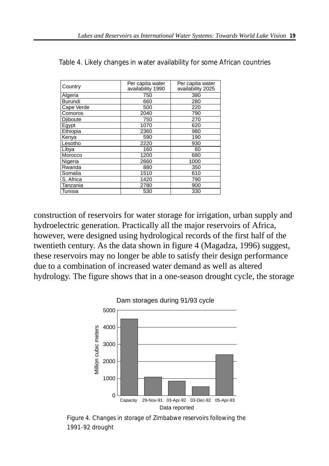| Country         | Per capita water<br>availability 1990 | Per capita water<br>availability 2025 |  |  |
|-----------------|---------------------------------------|---------------------------------------|--|--|
| Algeria         | 750                                   | 380                                   |  |  |
| Burundi         | 660                                   | 280                                   |  |  |
| Cape Verde      | 500                                   | 220                                   |  |  |
| Comoros         | 2040                                  | 790                                   |  |  |
| <b>Djiboute</b> | 750                                   | 270                                   |  |  |
| Egypt           | 1070                                  | 620                                   |  |  |
| Ethiopia        | 2360                                  | 980                                   |  |  |
| Kenya           | 590                                   | 190                                   |  |  |
| Lesotho         | 2220                                  | 930                                   |  |  |
| Libya           | 160                                   | 60                                    |  |  |
| Morocco         | 1200                                  | 680                                   |  |  |
| Nigeria         | 2660                                  | 1000                                  |  |  |
| Rwanda          | 880                                   | 350                                   |  |  |
| Somalia         | 1510                                  | 610                                   |  |  |
| S, Africa       | 1420                                  | 790                                   |  |  |
| Tanzania        | 2780                                  | 900                                   |  |  |
| Tunisia         | 530                                   | 330                                   |  |  |

Table 4. Likely changes in water availability for some African countries

construction of reservoirs for water storage for irrigation, urban supply and hydroelectric generation. Practically all the major reservoirs of Africa, however, were designed using hydrological records of the first half of the twentieth century. As the data shown in figure 4 (Magadza, 1996) suggest, these reservoirs may no longer be able to satisfy their design performance due to a combination of increased water demand as well as altered hydrology. The figure shows that in a one-season drought cycle, the storage



Figure 4. Changes in storage of Zimbabwe reservoirs following the 1991-92 drought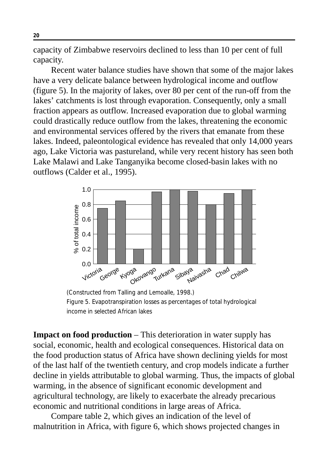capacity of Zimbabwe reservoirs declined to less than 10 per cent of full capacity.

Recent water balance studies have shown that some of the major lakes have a very delicate balance between hydrological income and outflow (figure 5). In the majority of lakes, over 80 per cent of the run-off from the lakes' catchments is lost through evaporation. Consequently, only a small fraction appears as outflow. Increased evaporation due to global warming could drastically reduce outflow from the lakes, threatening the economic and environmental services offered by the rivers that emanate from these lakes. Indeed, paleontological evidence has revealed that only 14,000 years ago, Lake Victoria was pastureland, while very recent history has seen both Lake Malawi and Lake Tanganyika become closed-basin lakes with no outflows (Calder et al., 1995).



(Constructed from Talling and Lemoalle, 1998.) Figure 5. Evapotranspiration losses as percentages of total hydrological income in selected African lakes

**Impact on food production** – This deterioration in water supply has social, economic, health and ecological consequences. Historical data on the food production status of Africa have shown declining yields for most of the last half of the twentieth century, and crop models indicate a further decline in yields attributable to global warming. Thus, the impacts of global warming, in the absence of significant economic development and agricultural technology, are likely to exacerbate the already precarious economic and nutritional conditions in large areas of Africa.

Compare table 2, which gives an indication of the level of malnutrition in Africa, with figure 6, which shows projected changes in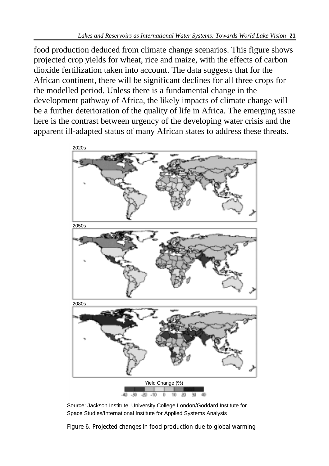food production deduced from climate change scenarios. This figure shows projected crop yields for wheat, rice and maize, with the effects of carbon dioxide fertilization taken into account. The data suggests that for the African continent, there will be significant declines for all three crops for the modelled period. Unless there is a fundamental change in the development pathway of Africa, the likely impacts of climate change will be a further deterioration of the quality of life in Africa. The emerging issue here is the contrast between urgency of the developing water crisis and the apparent ill-adapted status of many African states to address these threats.



Source: Jackson Institute, University College London/Goddard Institute for Space Studies/International Institute for Applied Systems Analysis

Figure 6. Projected changes in food production due to global warming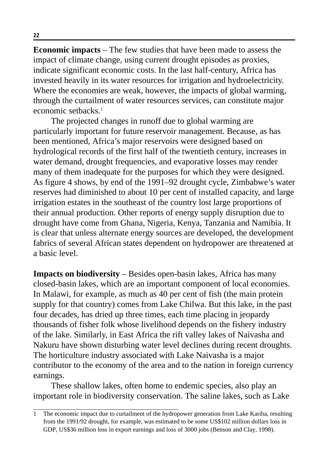**Economic impacts** – The few studies that have been made to assess the impact of climate change, using current drought episodes as proxies, indicate significant economic costs. In the last half-century, Africa has invested heavily in its water resources for irrigation and hydroelectricity. Where the economies are weak, however, the impacts of global warming, through the curtailment of water resources services, can constitute major economic setbacks.<sup>1</sup>

The projected changes in runoff due to global warming are particularly important for future reservoir management. Because, as has been mentioned, Africa's major reservoirs were designed based on hydrological records of the first half of the twentieth century, increases in water demand, drought frequencies, and evaporative losses may render many of them inadequate for the purposes for which they were designed. As figure 4 shows, by end of the 1991–92 drought cycle, Zimbabwe's water reserves had diminished to about 10 per cent of installed capacity, and large irrigation estates in the southeast of the country lost large proportions of their annual production. Other reports of energy supply disruption due to drought have come from Ghana, Nigeria, Kenya, Tanzania and Namibia. It is clear that unless alternate energy sources are developed, the development fabrics of several African states dependent on hydropower are threatened at a basic level.

**Impacts on biodiversity** – Besides open-basin lakes, Africa has many closed-basin lakes, which are an important component of local economies. In Malawi, for example, as much as 40 per cent of fish (the main protein supply for that country) comes from Lake Chilwa. But this lake, in the past four decades, has dried up three times, each time placing in jeopardy thousands of fisher folk whose livelihood depends on the fishery industry of the lake. Similarly, in East Africa the rift valley lakes of Naivasha and Nakuru have shown disturbing water level declines during recent droughts. The horticulture industry associated with Lake Naivasha is a major contributor to the economy of the area and to the nation in foreign currency earnings.

These shallow lakes, often home to endemic species, also play an important role in biodiversity conservation. The saline lakes, such as Lake

<sup>1</sup> The economic impact due to curtailment of the hydropower generation from Lake Kariba, resulting from the 1991/92 drought, for example, was estimated to be some US\$102 million dollars loss in GDP, US\$36 million loss in export earnings and loss of 3000 jobs (Benson and Clay, 1998).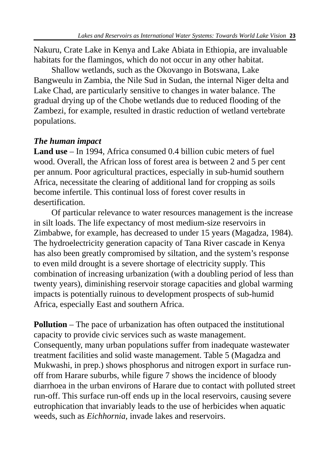Nakuru, Crate Lake in Kenya and Lake Abiata in Ethiopia, are invaluable habitats for the flamingos, which do not occur in any other habitat.

Shallow wetlands, such as the Okovango in Botswana, Lake Bangweulu in Zambia, the Nile Sud in Sudan, the internal Niger delta and Lake Chad, are particularly sensitive to changes in water balance. The gradual drying up of the Chobe wetlands due to reduced flooding of the Zambezi, for example, resulted in drastic reduction of wetland vertebrate populations.

### *The human impact*

**Land use** – In 1994, Africa consumed 0.4 billion cubic meters of fuel wood. Overall, the African loss of forest area is between 2 and 5 per cent per annum. Poor agricultural practices, especially in sub-humid southern Africa, necessitate the clearing of additional land for cropping as soils become infertile. This continual loss of forest cover results in desertification.

Of particular relevance to water resources management is the increase in silt loads. The life expectancy of most medium-size reservoirs in Zimbabwe, for example, has decreased to under 15 years (Magadza, 1984). The hydroelectricity generation capacity of Tana River cascade in Kenya has also been greatly compromised by siltation, and the system's response to even mild drought is a severe shortage of electricity supply. This combination of increasing urbanization (with a doubling period of less than twenty years), diminishing reservoir storage capacities and global warming impacts is potentially ruinous to development prospects of sub-humid Africa, especially East and southern Africa.

**Pollution** – The pace of urbanization has often outpaced the institutional capacity to provide civic services such as waste management. Consequently, many urban populations suffer from inadequate wastewater treatment facilities and solid waste management. Table 5 (Magadza and Mukwashi, in prep.) shows phosphorus and nitrogen export in surface runoff from Harare suburbs, while figure 7 shows the incidence of bloody diarrhoea in the urban environs of Harare due to contact with polluted street run-off. This surface run-off ends up in the local reservoirs, causing severe eutrophication that invariably leads to the use of herbicides when aquatic weeds, such as *Eichhornia,* invade lakes and reservoirs.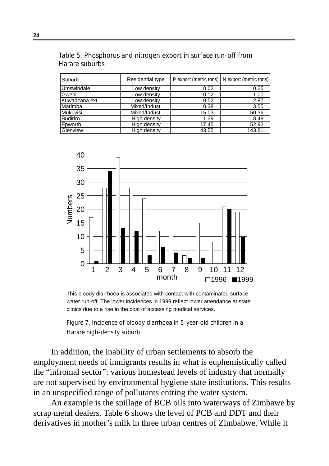Table 5. Phosphorus and nitrogen export in surface run-off from Harare suburbs

| Suburb        | Residential type |       | P export (metric tons)   N export (metric tons) |  |
|---------------|------------------|-------|-------------------------------------------------|--|
| Umswindale    | Low density      | 0.02  | 0.25                                            |  |
| lGwebi        | Low density      | 0.12  | 1.00                                            |  |
| Kuwadzana ext | Low density      | 0.52  | 2.87                                            |  |
| Marimba       | Mixed/Indust.    | 0.38  | 3.55                                            |  |
| Mukuvisi      | Mixed/Indust.    | 15.03 | 50.36                                           |  |
| Budiriro      | High density     | 1.39  | 8.48                                            |  |
| Epworth       | High density     | 17.45 | 52.92                                           |  |
| Glenview      | High density     | 43.55 | 143.81                                          |  |



This bloody diarrhoea is associated with contact with contaminated surface water run-off. The lower incidences in 1999 reflect lower attendance at state clinics due to a rise in the cost of accessing medical services.

Figure 7. Incidence of bloody diarrhoea in 5-year-old children in a Harare high-density suburb

In addition, the inability of urban settlements to absorb the employment needs of inmigrants results in what is euphemistically called the "infromal sector": various homestead levels of industry that normally are not supervised by environmental hygiene state institutions. This results in an unspecified range of pollutants entring the water system.

An example is the spillage of BCB oils into waterways of Zimbawe by scrap metal dealers. Table 6 shows the level of PCB and DDT and their derivatives in mother's milk in three urban centres of Zimbabwe. While it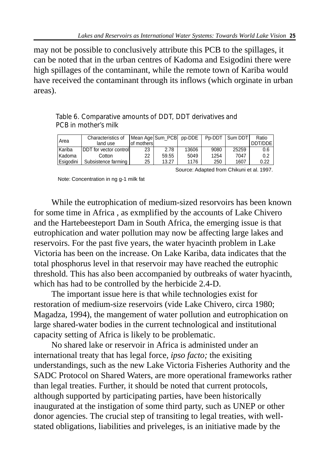may not be possible to conclusively attribute this PCB to the spillages, it can be noted that in the urban centres of Kadoma and Esigodini there were high spillages of the contaminant, while the remote town of Kariba would have received the contaminant through its inflows (which orginate in urban areas).

Table 6. Comparative amounts of DDT, DDT derivatives and PCB in mother's milk

| Area              | Characteristics of<br>land use  | lof mothersl | Mean Age Sum PCB pp-DDE   Pp-DDT |       |      | Sum DDT | Ratio<br>DDT/DDE |
|-------------------|---------------------------------|--------------|----------------------------------|-------|------|---------|------------------|
| Kariba            | <b>IDDT</b> for vector controll | 23           | 2.78                             | 13606 | 9080 | 25259   | 0.6              |
| Kadoma            | Cotton                          | 22           | 59.55                            | 5049  | 1254 | 7047    | 0.2              |
| <b>IEsiaodini</b> | Subsistence farming             | 25           | 13.27                            | 1176  | 250  | 1607    | 0.22             |

Source: Adapted from Chikuni et al. 1997.

Note: Concentration in ng g-1 milk fat

While the eutrophication of medium-sized resorvoirs has been known for some time in Africa , as exmplified by the accounts of Lake Chivero and the Hartebeesteport Dam in South Africa, the emerging issue is that eutrophication and water pollution may now be affecting large lakes and reservoirs. For the past five years, the water hyacinth problem in Lake Victoria has been on the increase. On Lake Kariba, data indicates that the total phosphorus level in that reservoir may have reached the eutrophic threshold. This has also been accompanied by outbreaks of water hyacinth, which has had to be controlled by the herbicide 2.4-D.

The important issue here is that while technologies exist for restoration of medium-size reservoirs (vide Lake Chivero, circa 1980; Magadza, 1994), the mangement of water pollution and eutrophication on large shared-water bodies in the current technological and institutional capacity setting of Africa is likely to be problematic.

No shared lake or reservoir in Africa is administed under an international treaty that has legal force, *ipso facto;* the exisiting understandings, such as the new Lake Victoria Fisheries Authority and the SADC Protocol on Shared Waters, are more operational frameworks rather than legal treaties. Further, it should be noted that current protocols, although supported by participating parties, have been historically inaugurated at the instigation of some third party, such as UNEP or other donor agencies. The crucial step of transiting to legal treaties, with wellstated obligations, liabilities and priveleges, is an initiative made by the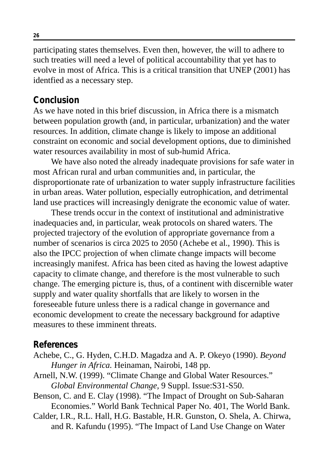participating states themselves. Even then, however, the will to adhere to such treaties will need a level of political accountability that yet has to evolve in most of Africa. This is a critical transition that UNEP (2001) has identfied as a necessary step.

### **Conclusion**

As we have noted in this brief discussion, in Africa there is a mismatch between population growth (and, in particular, urbanization) and the water resources. In addition, climate change is likely to impose an additional constraint on economic and social development options, due to diminished water resources availability in most of sub-humid Africa.

We have also noted the already inadequate provisions for safe water in most African rural and urban communities and, in particular, the disproportionate rate of urbanization to water supply infrastructure facilities in urban areas. Water pollution, especially eutrophication, and detrimental land use practices will increasingly denigrate the economic value of water.

These trends occur in the context of institutional and administrative inadequacies and, in particular, weak protocols on shared waters. The projected trajectory of the evolution of appropriate governance from a number of scenarios is circa 2025 to 2050 (Achebe et al., 1990). This is also the IPCC projection of when climate change impacts will become increasingly manifest. Africa has been cited as having the lowest adaptive capacity to climate change, and therefore is the most vulnerable to such change. The emerging picture is, thus, of a continent with discernible water supply and water quality shortfalls that are likely to worsen in the foreseeable future unless there is a radical change in governance and economic development to create the necessary background for adaptive measures to these imminent threats.

#### **References**

- Achebe, C., G. Hyden, C.H.D. Magadza and A. P. Okeyo (1990). *Beyond Hunger in Africa.* Heinaman, Nairobi, 148 pp.
- Arnell, N.W. (1999). "Climate Change and Global Water Resources." *Global Environmental Change,* 9 Suppl. Issue:S31-S50.
- Benson, C. and E. Clay (1998). "The Impact of Drought on Sub-Saharan Economies." World Bank Technical Paper No. 401, The World Bank.
- Calder, I.R., R.L. Hall, H.G. Bastable, H.R. Gunston, O. Shela, A. Chirwa, and R. Kafundu (1995). "The Impact of Land Use Change on Water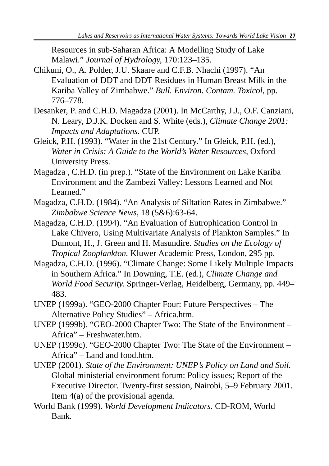Resources in sub-Saharan Africa: A Modelling Study of Lake Malawi." *Journal of Hydrology,* 170:123–135.

- Chikuni, O., A. Polder, J.U. Skaare and C.F.B. Nhachi (1997). "An Evaluation of DDT and DDT Residues in Human Breast Milk in the Kariba Valley of Zimbabwe." *Bull. Environ. Contam. Toxicol,* pp. 776–778.
- Desanker, P. and C.H.D. Magadza (2001). In McCarthy, J.J., O.F. Canziani, N. Leary, D.J.K. Docken and S. White (eds.), *Climate Change 2001: Impacts and Adaptations.* CUP.
- Gleick, P.H. (1993). "Water in the 21st Century." In Gleick, P.H. (ed.), *Water in Crisis: A Guide to the World's Water Resources,* Oxford University Press.
- Magadza , C.H.D. (in prep.). "State of the Environment on Lake Kariba Environment and the Zambezi Valley: Lessons Learned and Not Learned."
- Magadza, C.H.D. (1984). "An Analysis of Siltation Rates in Zimbabwe." *Zimbabwe Science News,* 18 (5&6):63-64.
- Magadza, C.H.D. (1994). "An Evaluation of Eutrophication Control in Lake Chivero, Using Multivariate Analysis of Plankton Samples." In Dumont, H., J. Green and H. Masundire. *Studies on the Ecology of Tropical Zooplankton.* Kluwer Academic Press, London, 295 pp.
- Magadza, C.H.D. (1996). "Climate Change: Some Likely Multiple Impacts in Southern Africa." In Downing, T.E. (ed.), *Climate Change and World Food Security.* Springer-Verlag, Heidelberg, Germany, pp. 449– 483.
- UNEP (1999a). "GEO-2000 Chapter Four: Future Perspectives The Alternative Policy Studies" – Africa.htm.
- UNEP (1999b). "GEO-2000 Chapter Two: The State of the Environment Africa" – Freshwater.htm.
- UNEP (1999c). "GEO-2000 Chapter Two: The State of the Environment Africa" – Land and food.htm.
- UNEP (2001). *State of the Environment: UNEP's Policy on Land and Soil.* Global ministerial environment forum: Policy issues; Report of the Executive Director. Twenty-first session, Nairobi, 5–9 February 2001. Item 4(a) of the provisional agenda.
- World Bank (1999). *World Development Indicators.* CD-ROM, World Bank.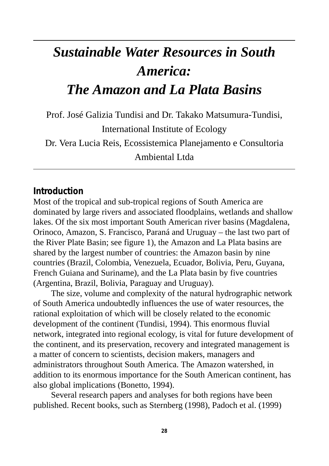## *Sustainable Water Resources in South America: The Amazon and La Plata Basins*

Prof. José Galizia Tundisi and Dr. Takako Matsumura-Tundisi, International Institute of Ecology

Dr. Vera Lucia Reis, Ecossistemica Planejamento e Consultoria Ambiental Ltda

### **Introduction**

Most of the tropical and sub-tropical regions of South America are dominated by large rivers and associated floodplains, wetlands and shallow lakes. Of the six most important South American river basins (Magdalena, Orinoco, Amazon, S. Francisco, Paraná and Uruguay – the last two part of the River Plate Basin; see figure 1), the Amazon and La Plata basins are shared by the largest number of countries: the Amazon basin by nine countries (Brazil, Colombia, Venezuela, Ecuador, Bolivia, Peru, Guyana, French Guiana and Suriname), and the La Plata basin by five countries (Argentina, Brazil, Bolivia, Paraguay and Uruguay).

The size, volume and complexity of the natural hydrographic network of South America undoubtedly influences the use of water resources, the rational exploitation of which will be closely related to the economic development of the continent (Tundisi, 1994). This enormous fluvial network, integrated into regional ecology, is vital for future development of the continent, and its preservation, recovery and integrated management is a matter of concern to scientists, decision makers, managers and administrators throughout South America. The Amazon watershed, in addition to its enormous importance for the South American continent, has also global implications (Bonetto, 1994).

Several research papers and analyses for both regions have been published. Recent books, such as Sternberg (1998), Padoch et al. (1999)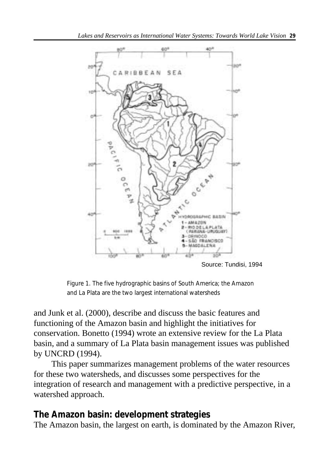

Source: Tundisi, 1994

Figure 1. The five hydrographic basins of South America; the Amazon and La Plata are the two largest international watersheds

and Junk et al. (2000), describe and discuss the basic features and functioning of the Amazon basin and highlight the initiatives for conservation. Bonetto (1994) wrote an extensive review for the La Plata basin, and a summary of La Plata basin management issues was published by UNCRD (1994).

This paper summarizes management problems of the water resources for these two watersheds, and discusses some perspectives for the integration of research and management with a predictive perspective, in a watershed approach.

### **The Amazon basin: development strategies**

The Amazon basin, the largest on earth, is dominated by the Amazon River,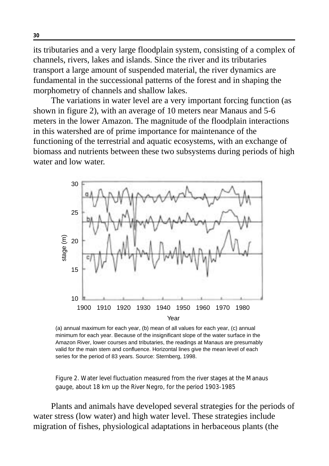its tributaries and a very large floodplain system, consisting of a complex of channels, rivers, lakes and islands. Since the river and its tributaries transport a large amount of suspended material, the river dynamics are fundamental in the successional patterns of the forest and in shaping the morphometry of channels and shallow lakes.

The variations in water level are a very important forcing function (as shown in figure 2), with an average of 10 meters near Manaus and 5-6 meters in the lower Amazon. The magnitude of the floodplain interactions in this watershed are of prime importance for maintenance of the functioning of the terrestrial and aquatic ecosystems, with an exchange of biomass and nutrients between these two subsystems during periods of high water and low water.



(a) annual maximum for each year, (b) mean of all values for each year, (c) annual minimum for each year. Because of the insignificant slope of the water surface in the Amazon River, lower courses and tributaries, the readings at Manaus are presumably valid for the main stem and confluence. Horizontal lines give the mean level of each series for the period of 83 years. Source: Sternberg, 1998.

Figure 2. Water level fluctuation measured from the river stages at the Manaus gauge, about 18 km up the River Negro, for the period 1903-1985

Plants and animals have developed several strategies for the periods of water stress (low water) and high water level. These strategies include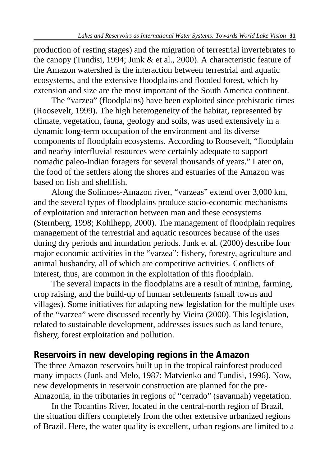production of resting stages) and the migration of terrestrial invertebrates to the canopy (Tundisi, 1994; Junk & et al., 2000). A characteristic feature of the Amazon watershed is the interaction between terrestrial and aquatic ecosystems, and the extensive floodplains and flooded forest, which by extension and size are the most important of the South America continent.

The "varzea" (floodplains) have been exploited since prehistoric times (Roosevelt, 1999). The high heterogeneity of the habitat, represented by climate, vegetation, fauna, geology and soils, was used extensively in a dynamic long-term occupation of the environment and its diverse components of floodplain ecosystems. According to Roosevelt, "floodplain and nearby interfluvial resources were certainly adequate to support nomadic paleo-Indian foragers for several thousands of years." Later on, the food of the settlers along the shores and estuaries of the Amazon was based on fish and shellfish.

Along the Solimoes-Amazon river, "varzeas" extend over 3,000 km, and the several types of floodplains produce socio-economic mechanisms of exploitation and interaction between man and these ecosystems (Sternberg, 1998; Kohlhepp, 2000). The management of floodplain requires management of the terrestrial and aquatic resources because of the uses during dry periods and inundation periods. Junk et al. (2000) describe four major economic activities in the "varzea": fishery, forestry, agriculture and animal husbandry, all of which are competitive activities. Conflicts of interest, thus, are common in the exploitation of this floodplain.

The several impacts in the floodplains are a result of mining, farming, crop raising, and the build-up of human settlements (small towns and villages). Some initiatives for adapting new legislation for the multiple uses of the "varzea" were discussed recently by Vieira (2000). This legislation, related to sustainable development, addresses issues such as land tenure, fishery, forest exploitation and pollution.

### **Reservoirs in new developing regions in the Amazon**

The three Amazon reservoirs built up in the tropical rainforest produced many impacts (Junk and Melo, 1987; Matvienko and Tundisi, 1996). Now, new developments in reservoir construction are planned for the pre-Amazonia, in the tributaries in regions of "cerrado" (savannah) vegetation.

In the Tocantins River, located in the central-north region of Brazil, the situation differs completely from the other extensive urbanized regions of Brazil. Here, the water quality is excellent, urban regions are limited to a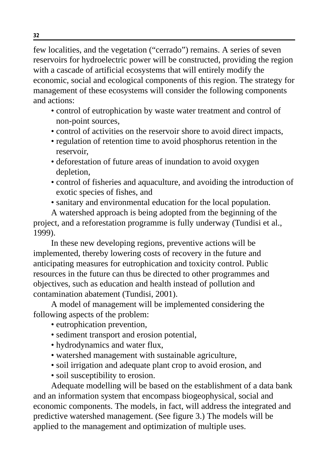few localities, and the vegetation ("cerrado") remains. A series of seven reservoirs for hydroelectric power will be constructed, providing the region with a cascade of artificial ecosystems that will entirely modify the economic, social and ecological components of this region. The strategy for management of these ecosystems will consider the following components and actions:

- control of eutrophication by waste water treatment and control of non-point sources,
- control of activities on the reservoir shore to avoid direct impacts,
- regulation of retention time to avoid phosphorus retention in the reservoir,
- deforestation of future areas of inundation to avoid oxygen depletion,
- control of fisheries and aquaculture, and avoiding the introduction of exotic species of fishes, and
- sanitary and environmental education for the local population.

A watershed approach is being adopted from the beginning of the project, and a reforestation programme is fully underway (Tundisi et al., 1999).

In these new developing regions, preventive actions will be implemented, thereby lowering costs of recovery in the future and anticipating measures for eutrophication and toxicity control. Public resources in the future can thus be directed to other programmes and objectives, such as education and health instead of pollution and contamination abatement (Tundisi, 2001).

A model of management will be implemented considering the following aspects of the problem:

- eutrophication prevention,
- sediment transport and erosion potential,
- hydrodynamics and water flux,
- watershed management with sustainable agriculture,
- soil irrigation and adequate plant crop to avoid erosion, and
- soil susceptibility to erosion.

Adequate modelling will be based on the establishment of a data bank and an information system that encompass biogeophysical, social and economic components. The models, in fact, will address the integrated and predictive watershed management. (See figure 3.) The models will be applied to the management and optimization of multiple uses.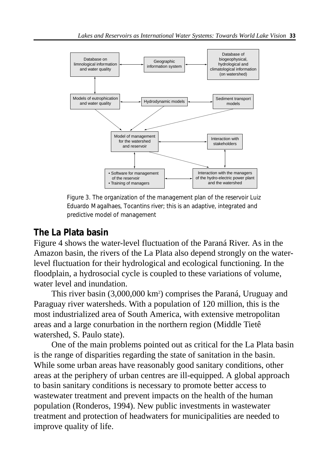

Figure 3. The organization of the management plan of the reservoir Luiz Eduardo Magalhaes, Tocantins river; this is an adaptive, integrated and predictive model of management

### **The La Plata basin**

Figure 4 shows the water-level fluctuation of the Paraná River. As in the Amazon basin, the rivers of the La Plata also depend strongly on the waterlevel fluctuation for their hydrological and ecological functioning. In the floodplain, a hydrosocial cycle is coupled to these variations of volume, water level and inundation.

This river basin (3,000,000 km<sup>2</sup>) comprises the Paraná, Uruguay and Paraguay river watersheds. With a population of 120 million, this is the most industrialized area of South America, with extensive metropolitan areas and a large conurbation in the northern region (Middle Tietê watershed, S. Paulo state).

One of the main problems pointed out as critical for the La Plata basin is the range of disparities regarding the state of sanitation in the basin. While some urban areas have reasonably good sanitary conditions, other areas at the periphery of urban centres are ill-equipped. A global approach to basin sanitary conditions is necessary to promote better access to wastewater treatment and prevent impacts on the health of the human population (Ronderos, 1994). New public investments in wastewater treatment and protection of headwaters for municipalities are needed to improve quality of life.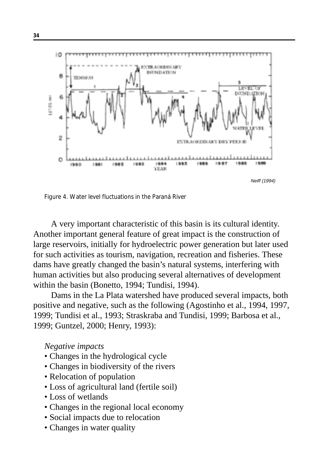

Figure 4. Water level fluctuations in the Paraná River

A very important characteristic of this basin is its cultural identity. Another important general feature of great impact is the construction of large reservoirs, initially for hydroelectric power generation but later used for such activities as tourism, navigation, recreation and fisheries. These dams have greatly changed the basin's natural systems, interfering with human activities but also producing several alternatives of development within the basin (Bonetto, 1994; Tundisi, 1994).

Dams in the La Plata watershed have produced several impacts, both positive and negative, such as the following (Agostinho et al., 1994, 1997, 1999; Tundisi et al., 1993; Straskraba and Tundisi, 1999; Barbosa et al., 1999; Guntzel, 2000; Henry, 1993):

*Negative impacts*

- Changes in the hydrological cycle
- Changes in biodiversity of the rivers
- Relocation of population
- Loss of agricultural land (fertile soil)
- Loss of wetlands
- Changes in the regional local economy
- Social impacts due to relocation
- Changes in water quality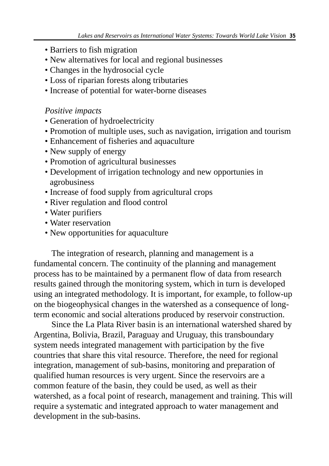- Barriers to fish migration
- New alternatives for local and regional businesses
- Changes in the hydrosocial cycle
- Loss of riparian forests along tributaries
- Increase of potential for water-borne diseases

### *Positive impacts*

- Generation of hydroelectricity
- Promotion of multiple uses, such as navigation, irrigation and tourism
- Enhancement of fisheries and aquaculture
- New supply of energy
- Promotion of agricultural businesses
- Development of irrigation technology and new opportunies in agrobusiness
- Increase of food supply from agricultural crops
- River regulation and flood control
- Water purifiers
- Water reservation
- New opportunities for aquaculture

The integration of research, planning and management is a fundamental concern. The continuity of the planning and management process has to be maintained by a permanent flow of data from research results gained through the monitoring system, which in turn is developed using an integrated methodology. It is important, for example, to follow-up on the biogeophysical changes in the watershed as a consequence of longterm economic and social alterations produced by reservoir construction.

Since the La Plata River basin is an international watershed shared by Argentina, Bolivia, Brazil, Paraguay and Uruguay, this transboundary system needs integrated management with participation by the five countries that share this vital resource. Therefore, the need for regional integration, management of sub-basins, monitoring and preparation of qualified human resources is very urgent. Since the reservoirs are a common feature of the basin, they could be used, as well as their watershed, as a focal point of research, management and training. This will require a systematic and integrated approach to water management and development in the sub-basins.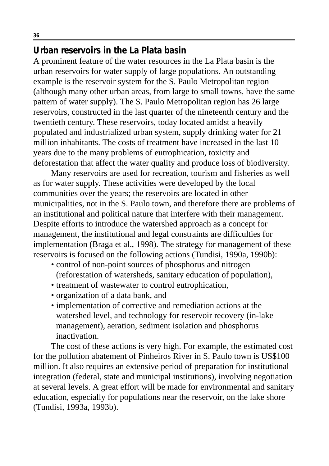## **Urban reservoirs in the La Plata basin**

A prominent feature of the water resources in the La Plata basin is the urban reservoirs for water supply of large populations. An outstanding example is the reservoir system for the S. Paulo Metropolitan region (although many other urban areas, from large to small towns, have the same pattern of water supply). The S. Paulo Metropolitan region has 26 large reservoirs, constructed in the last quarter of the nineteenth century and the twentieth century. These reservoirs, today located amidst a heavily populated and industrialized urban system, supply drinking water for 21 million inhabitants. The costs of treatment have increased in the last 10 years due to the many problems of eutrophication, toxicity and deforestation that affect the water quality and produce loss of biodiversity.

Many reservoirs are used for recreation, tourism and fisheries as well as for water supply. These activities were developed by the local communities over the years; the reservoirs are located in other municipalities, not in the S. Paulo town, and therefore there are problems of an institutional and political nature that interfere with their management. Despite efforts to introduce the watershed approach as a concept for management, the institutional and legal constraints are difficulties for implementation (Braga et al., 1998). The strategy for management of these reservoirs is focused on the following actions (Tundisi, 1990a, 1990b):

- control of non-point sources of phosphorus and nitrogen (reforestation of watersheds, sanitary education of population),
- treatment of wastewater to control eutrophication,
- organization of a data bank, and
- implementation of corrective and remediation actions at the watershed level, and technology for reservoir recovery (in-lake management), aeration, sediment isolation and phosphorus inactivation.

The cost of these actions is very high. For example, the estimated cost for the pollution abatement of Pinheiros River in S. Paulo town is US\$100 million. It also requires an extensive period of preparation for institutional integration (federal, state and municipal institutions), involving negotiation at several levels. A great effort will be made for environmental and sanitary education, especially for populations near the reservoir, on the lake shore (Tundisi, 1993a, 1993b).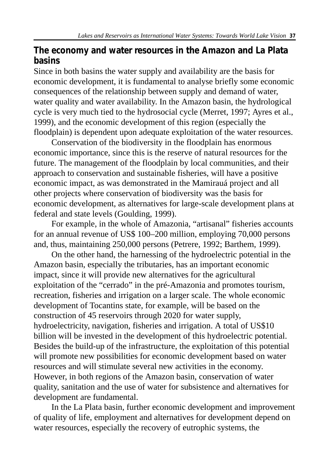## **The economy and water resources in the Amazon and La Plata basins**

Since in both basins the water supply and availability are the basis for economic development, it is fundamental to analyse briefly some economic consequences of the relationship between supply and demand of water, water quality and water availability. In the Amazon basin, the hydrological cycle is very much tied to the hydrosocial cycle (Merret, 1997; Ayres et al., 1999), and the economic development of this region (especially the floodplain) is dependent upon adequate exploitation of the water resources.

Conservation of the biodiversity in the floodplain has enormous economic importance, since this is the reserve of natural resources for the future. The management of the floodplain by local communities, and their approach to conservation and sustainable fisheries, will have a positive economic impact, as was demonstrated in the Mamirauá project and all other projects where conservation of biodiversity was the basis for economic development, as alternatives for large-scale development plans at federal and state levels (Goulding, 1999).

For example, in the whole of Amazonia, "artisanal" fisheries accounts for an annual revenue of US\$ 100–200 million, employing 70,000 persons and, thus, maintaining 250,000 persons (Petrere, 1992; Barthem, 1999).

On the other hand, the harnessing of the hydroelectric potential in the Amazon basin, especially the tributaries, has an important economic impact, since it will provide new alternatives for the agricultural exploitation of the "cerrado" in the pré-Amazonia and promotes tourism, recreation, fisheries and irrigation on a larger scale. The whole economic development of Tocantins state, for example, will be based on the construction of 45 reservoirs through 2020 for water supply, hydroelectricity, navigation, fisheries and irrigation. A total of US\$10 billion will be invested in the development of this hydroelectric potential. Besides the build-up of the infrastructure, the exploitation of this potential will promote new possibilities for economic development based on water resources and will stimulate several new activities in the economy. However, in both regions of the Amazon basin, conservation of water quality, sanitation and the use of water for subsistence and alternatives for development are fundamental.

In the La Plata basin, further economic development and improvement of quality of life, employment and alternatives for development depend on water resources, especially the recovery of eutrophic systems, the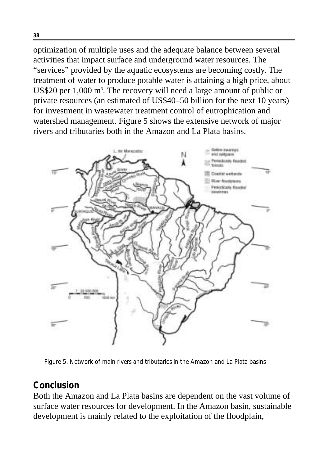optimization of multiple uses and the adequate balance between several activities that impact surface and underground water resources. The "services" provided by the aquatic ecosystems are becoming costly. The treatment of water to produce potable water is attaining a high price, about US\$20 per 1,000 m<sup>3</sup>. The recovery will need a large amount of public or private resources (an estimated of US\$40–50 billion for the next 10 years) for investment in wastewater treatment control of eutrophication and watershed management. Figure 5 shows the extensive network of major rivers and tributaries both in the Amazon and La Plata basins.



Figure 5. Network of main rivers and tributaries in the Amazon and La Plata basins

## **Conclusion**

Both the Amazon and La Plata basins are dependent on the vast volume of surface water resources for development. In the Amazon basin, sustainable development is mainly related to the exploitation of the floodplain,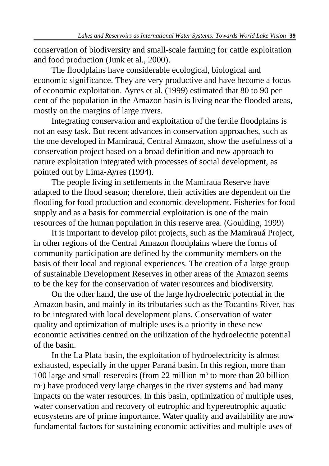conservation of biodiversity and small-scale farming for cattle exploitation and food production (Junk et al., 2000).

The floodplains have considerable ecological, biological and economic significance. They are very productive and have become a focus of economic exploitation. Ayres et al. (1999) estimated that 80 to 90 per cent of the population in the Amazon basin is living near the flooded areas, mostly on the margins of large rivers.

Integrating conservation and exploitation of the fertile floodplains is not an easy task. But recent advances in conservation approaches, such as the one developed in Mamirauá, Central Amazon, show the usefulness of a conservation project based on a broad definition and new approach to nature exploitation integrated with processes of social development, as pointed out by Lima-Ayres (1994).

The people living in settlements in the Mamiraua Reserve have adapted to the flood season; therefore, their activities are dependent on the flooding for food production and economic development. Fisheries for food supply and as a basis for commercial exploitation is one of the main resources of the human population in this reserve area. (Goulding, 1999)

It is important to develop pilot projects, such as the Mamirauá Project, in other regions of the Central Amazon floodplains where the forms of community participation are defined by the community members on the basis of their local and regional experiences. The creation of a large group of sustainable Development Reserves in other areas of the Amazon seems to be the key for the conservation of water resources and biodiversity.

On the other hand, the use of the large hydroelectric potential in the Amazon basin, and mainly in its tributaries such as the Tocantins River, has to be integrated with local development plans. Conservation of water quality and optimization of multiple uses is a priority in these new economic activities centred on the utilization of the hydroelectric potential of the basin.

In the La Plata basin, the exploitation of hydroelectricity is almost exhausted, especially in the upper Paraná basin. In this region, more than 100 large and small reservoirs (from 22 million  $m<sup>3</sup>$  to more than 20 billion m<sup>3</sup>) have produced very large charges in the river systems and had many impacts on the water resources. In this basin, optimization of multiple uses, water conservation and recovery of eutrophic and hypereutrophic aquatic ecosystems are of prime importance. Water quality and availability are now fundamental factors for sustaining economic activities and multiple uses of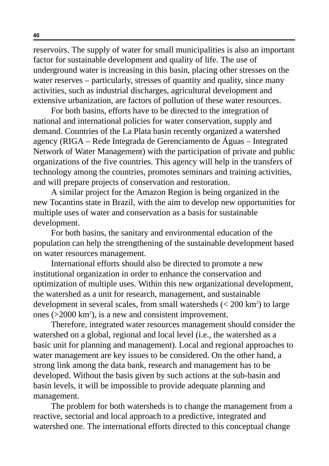reservoirs. The supply of water for small municipalities is also an important factor for sustainable development and quality of life. The use of underground water is increasing in this basin, placing other stresses on the water reserves – particularly, stresses of quantity and quality, since many activities, such as industrial discharges, agricultural development and extensive urbanization, are factors of pollution of these water resources.

For both basins, efforts have to be directed to the integration of national and international policies for water conservation, supply and demand. Countries of the La Plata basin recently organized a watershed agency (RIGA – Rede Integrada de Gerenciamento de Águas – Integrated Network of Water Management) with the participation of private and public organizations of the five countries. This agency will help in the transfers of technology among the countries, promotes seminars and training activities, and will prepare projects of conservation and restoration.

A similar project for the Amazon Region is being organized in the new Tocantins state in Brazil, with the aim to develop new opportunities for multiple uses of water and conservation as a basis for sustainable development.

For both basins, the sanitary and environmental education of the population can help the strengthening of the sustainable development based on water resources management.

International efforts should also be directed to promote a new institutional organization in order to enhance the conservation and optimization of multiple uses. Within this new organizational development, the watershed as a unit for research, management, and sustainable development in several scales, from small watersheds (< 200 km<sup>2</sup>) to large ones (>2000 km<sup>2</sup>), is a new and consistent improvement.

Therefore, integrated water resources management should consider the watershed on a global, regional and local level (i.e., the watershed as a basic unit for planning and management). Local and regional approaches to water management are key issues to be considered. On the other hand, a strong link among the data bank, research and management has to be developed. Without the basis given by such actions at the sub-basin and basin levels, it will be impossible to provide adequate planning and management.

The problem for both watersheds is to change the management from a reactive, sectorial and local approach to a predictive, integrated and watershed one. The international efforts directed to this conceptual change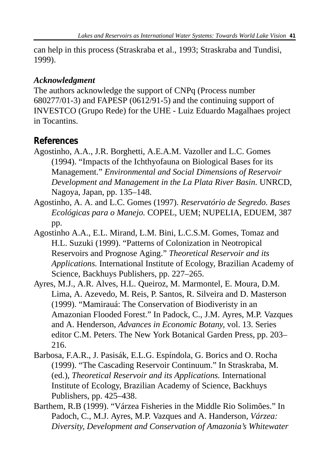can help in this process (Straskraba et al., 1993; Straskraba and Tundisi, 1999).

#### *Acknowledgment*

The authors acknowledge the support of CNPq (Process number 680277/01-3) and FAPESP (0612/91-5) and the continuing support of INVESTCO (Grupo Rede) for the UHE - Luiz Eduardo Magalhaes project in Tocantins.

### **References**

- Agostinho, A.A., J.R. Borghetti, A.E.A.M. Vazoller and L.C. Gomes (1994). "Impacts of the Ichthyofauna on Biological Bases for its Management." *Environmental and Social Dimensions of Reservoir Development and Management in the La Plata River Basin.* UNRCD, Nagoya, Japan, pp. 135–148.
- Agostinho, A. A. and L.C. Gomes (1997). *Reservatório de Segredo. Bases Ecológicas para o Manejo.* COPEL, UEM; NUPELIA, EDUEM, 387 pp.
- Agostinho A.A., E.L. Mirand, L.M. Bini, L.C.S.M. Gomes, Tomaz and H.L. Suzuki (1999). "Patterns of Colonization in Neotropical Reservoirs and Prognose Aging." *Theoretical Reservoir and its Applications.* International Institute of Ecology, Brazilian Academy of Science, Backhuys Publishers, pp. 227–265.
- Ayres, M.J., A.R. Alves, H.L. Queiroz, M. Marmontel, E. Moura, D.M. Lima, A. Azevedo, M. Reis, P. Santos, R. Silveira and D. Masterson (1999). "Mamirauá: The Conservation of Biodiveristy in an Amazonian Flooded Forest." In Padock, C., J.M. Ayres, M.P. Vazques and A. Henderson, *Advances in Economic Botany,* vol. 13. Series editor C.M. Peters. The New York Botanical Garden Press, pp. 203– 216.
- Barbosa, F.A.R., J. Pasisák, E.L.G. Espíndola, G. Borics and O. Rocha (1999). "The Cascading Reservoir Continuum." In Straskraba, M. (ed.), *Theoretical Reservoir and its Applications.* International Institute of Ecology, Brazilian Academy of Science, Backhuys Publishers, pp. 425–438.
- Barthem, R.B (1999). "Várzea Fisheries in the Middle Rio Solimões." In Padoch, C., M.J. Ayres, M.P. Vazques and A. Handerson, *Várzea: Diversity, Development and Conservation of Amazonia's Whitewater*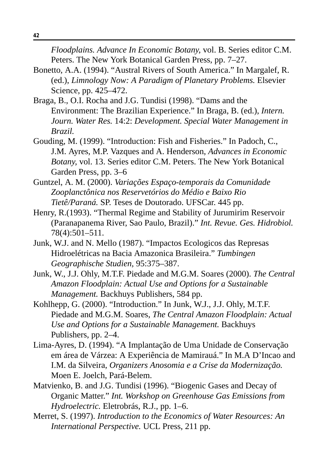*Floodplains. Advance In Economic Botany,* vol. B. Series editor C.M. Peters. The New York Botanical Garden Press, pp. 7–27.

- Bonetto, A.A. (1994). "Austral Rivers of South America." In Margalef, R. (ed.), *Limnology Now: A Paradigm of Planetary Problems.* Elsevier Science, pp. 425–472.
- Braga, B., O.I. Rocha and J.G. Tundisi (1998). "Dams and the Environment: The Brazilian Experience." In Braga, B. (ed.), *Intern. Journ. Water Res.* 14:2: *Development. Special Water Management in Brazil.*
- Gouding, M. (1999). "Introduction: Fish and Fisheries." In Padoch, C., J.M. Ayres, M.P. Vazques and A. Henderson, *Advances in Economic Botany,* vol. 13. Series editor C.M. Peters. The New York Botanical Garden Press, pp. 3–6
- Guntzel, A. M. (2000). *Variações Espaço-temporais da Comunidade Zooplanctônica nos Reservetórios do Médio e Baixo Rio Tietê/Paraná.* SP. Teses de Doutorado. UFSCar. 445 pp.
- Henry, R.(1993). "Thermal Regime and Stability of Jurumirim Reservoir (Paranapanema River, Sao Paulo, Brazil)." *Int. Revue. Ges. Hidrobiol.* 78(4):501–511.
- Junk, W.J. and N. Mello (1987). "Impactos Ecologicos das Represas Hidroelétricas na Bacia Amazonica Brasileira." *Tumbingen Geographische Studien,* 95:375–387.
- Junk, W., J.J. Ohly, M.T.F. Piedade and M.G.M. Soares (2000). *The Central Amazon Floodplain: Actual Use and Options for a Sustainable Management.* Backhuys Publishers, 584 pp.
- Kohlhepp, G. (2000). "Introduction." In Junk, W.J., J.J. Ohly, M.T.F. Piedade and M.G.M. Soares, *The Central Amazon Floodplain: Actual Use and Options for a Sustainable Management.* Backhuys Publishers, pp. 2–4.
- Lima-Ayres, D. (1994). "A Implantação de Uma Unidade de Conservação em área de Várzea: A Experiência de Mamirauá." In M.A D'Incao and I.M. da Silveira, *Organizers Anosomia e a Crise da Modernização.* Moen E. Joelch, Pará-Belem.
- Matvienko, B. and J.G. Tundisi (1996). "Biogenic Gases and Decay of Organic Matter." *Int. Workshop on Greenhouse Gas Emissions from Hydroelectric.* Eletrobrás, R.J., pp. 1–6.
- Merret, S. (1997). *Introduction to the Economics of Water Resources: An International Perspective.* UCL Press, 211 pp.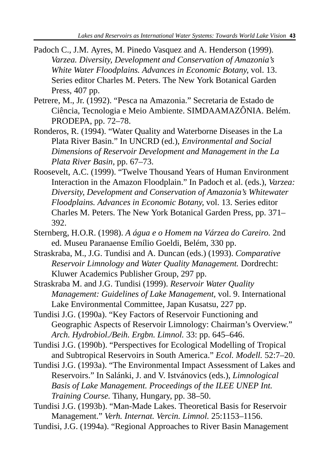- Padoch C., J.M. Ayres, M. Pinedo Vasquez and A. Henderson (1999). *Varzea. Diversity, Development and Conservation of Amazonia's White Water Floodplains. Advances in Economic Botany,* vol. 13. Series editor Charles M. Peters. The New York Botanical Garden Press, 407 pp.
- Petrere, M., Jr. (1992). "Pesca na Amazonia." Secretaria de Estado de Ciência, Tecnologia e Meio Ambiente. SIMDAAMAZÔNIA. Belém. PRODEPA, pp. 72–78.
- Ronderos, R. (1994). "Water Quality and Waterborne Diseases in the La Plata River Basin." In UNCRD (ed.), *Environmental and Social Dimensions of Reservoir Development and Management in the La Plata River Basin,* pp. 67–73.
- Roosevelt, A.C. (1999). "Twelve Thousand Years of Human Environment Interaction in the Amazon Floodplain." In Padoch et al. (eds.), *Varzea: Diversity, Development and Conservation of Amazonia's Whitewater Floodplains. Advances in Economic Botany,* vol. 13. Series editor Charles M. Peters. The New York Botanical Garden Press, pp. 371– 392.
- Sternberg, H.O.R. (1998). *A água e o Homem na Várzea do Careiro.* 2nd ed. Museu Paranaense Emílio Goeldi, Belém, 330 pp.
- Straskraba, M., J.G. Tundisi and A. Duncan (eds.) (1993). *Comparative Reservoir Limnology and Water Quality Management.* Dordrecht: Kluwer Academics Publisher Group, 297 pp.
- Straskraba M. and J.G. Tundisi (1999). *Reservoir Water Quality Management: Guidelines of Lake Management,* vol. 9. International Lake Environmental Committee, Japan Kusatsu, 227 pp.
- Tundisi J.G. (1990a). "Key Factors of Reservoir Functioning and Geographic Aspects of Reservoir Limnology: Chairman's Overview." *Arch. Hydrobiol./Beih. Ergbn. Limnol.* 33: pp. 645–646.

Tundisi J.G. (1990b). "Perspectives for Ecological Modelling of Tropical and Subtropical Reservoirs in South America." *Ecol. Modell.* 52:7–20.

- Tundisi J.G. (1993a). "The Environmental Impact Assessment of Lakes and Reservoirs." In Salánki, J. and V. Istvánovics (eds.), *Limnological Basis of Lake Management. Proceedings of the ILEE UNEP Int. Training Course.* Tihany, Hungary, pp. 38–50.
- Tundisi J.G. (1993b). "Man-Made Lakes. Theoretical Basis for Reservoir Management." *Verh. Internat. Vercin. Limnol.* 25:1153–1156.

Tundisi, J.G. (1994a). "Regional Approaches to River Basin Management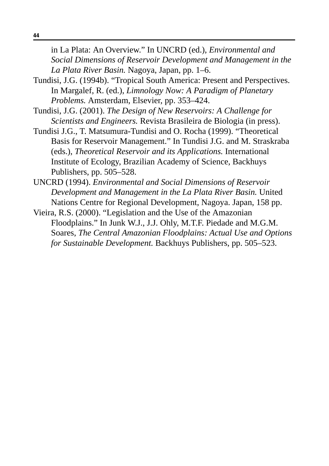in La Plata: An Overview." In UNCRD (ed.), *Environmental and Social Dimensions of Reservoir Development and Management in the La Plata River Basin.* Nagoya, Japan, pp. 1–6.

- Tundisi, J.G. (1994b). "Tropical South America: Present and Perspectives. In Margalef, R. (ed.), *Limnology Now: A Paradigm of Planetary Problems.* Amsterdam, Elsevier, pp. 353–424.
- Tundisi, J.G. (2001). *The Design of New Reservoirs: A Challenge for Scientists and Engineers.* Revista Brasileira de Biologia (in press).
- Tundisi J.G., T. Matsumura-Tundisi and O. Rocha (1999). "Theoretical Basis for Reservoir Management." In Tundisi J.G. and M. Straskraba (eds.), *Theoretical Reservoir and its Applications.* International Institute of Ecology, Brazilian Academy of Science, Backhuys Publishers, pp. 505–528.
- UNCRD (1994). *Environmental and Social Dimensions of Reservoir Development and Management in the La Plata River Basin.* United Nations Centre for Regional Development, Nagoya. Japan, 158 pp.
- Vieira, R.S. (2000). "Legislation and the Use of the Amazonian Floodplains." In Junk W.J., J.J. Ohly, M.T.F. Piedade and M.G.M. Soares, *The Central Amazonian Floodplains: Actual Use and Options for Sustainable Development.* Backhuys Publishers, pp. 505–523.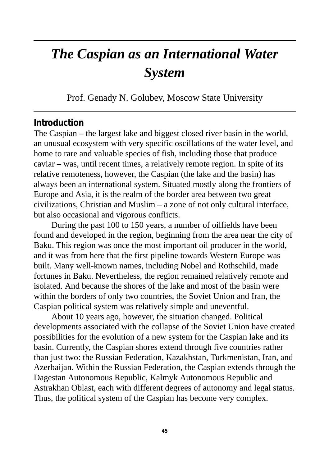# *The Caspian as an International Water System*

Prof. Genady N. Golubev, Moscow State University

#### **Introduction**

The Caspian – the largest lake and biggest closed river basin in the world, an unusual ecosystem with very specific oscillations of the water level, and home to rare and valuable species of fish, including those that produce caviar – was, until recent times, a relatively remote region. In spite of its relative remoteness, however, the Caspian (the lake and the basin) has always been an international system. Situated mostly along the frontiers of Europe and Asia, it is the realm of the border area between two great civilizations, Christian and Muslim – a zone of not only cultural interface, but also occasional and vigorous conflicts.

During the past 100 to 150 years, a number of oilfields have been found and developed in the region, beginning from the area near the city of Baku. This region was once the most important oil producer in the world, and it was from here that the first pipeline towards Western Europe was built. Many well-known names, including Nobel and Rothschild, made fortunes in Baku. Nevertheless, the region remained relatively remote and isolated. And because the shores of the lake and most of the basin were within the borders of only two countries, the Soviet Union and Iran, the Caspian political system was relatively simple and uneventful.

About 10 years ago, however, the situation changed. Political developments associated with the collapse of the Soviet Union have created possibilities for the evolution of a new system for the Caspian lake and its basin. Currently, the Caspian shores extend through five countries rather than just two: the Russian Federation, Kazakhstan, Turkmenistan, Iran, and Azerbaijan. Within the Russian Federation, the Caspian extends through the Dagestan Autonomous Republic, Kalmyk Autonomous Republic and Astrakhan Oblast, each with different degrees of autonomy and legal status. Thus, the political system of the Caspian has become very complex.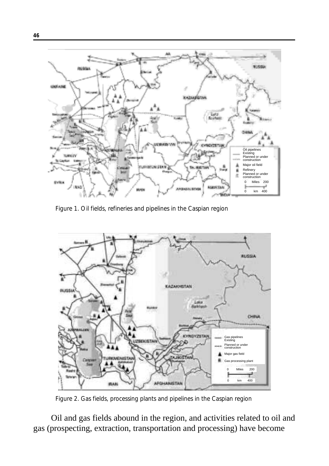

Figure 1. Oil fields, refineries and pipelines in the Caspian region



Figure 2. Gas fields, processing plants and pipelines in the Caspian region

Oil and gas fields abound in the region, and activities related to oil and gas (prospecting, extraction, transportation and processing) have become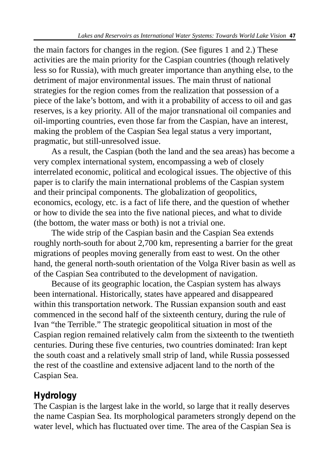the main factors for changes in the region. (See figures 1 and 2.) These activities are the main priority for the Caspian countries (though relatively less so for Russia), with much greater importance than anything else, to the detriment of major environmental issues. The main thrust of national strategies for the region comes from the realization that possession of a piece of the lake's bottom, and with it a probability of access to oil and gas reserves, is a key priority. All of the major transnational oil companies and oil-importing countries, even those far from the Caspian, have an interest, making the problem of the Caspian Sea legal status a very important, pragmatic, but still-unresolved issue.

As a result, the Caspian (both the land and the sea areas) has become a very complex international system, encompassing a web of closely interrelated economic, political and ecological issues. The objective of this paper is to clarify the main international problems of the Caspian system and their principal components. The globalization of geopolitics, economics, ecology, etc. is a fact of life there, and the question of whether or how to divide the sea into the five national pieces, and what to divide (the bottom, the water mass or both) is not a trivial one.

The wide strip of the Caspian basin and the Caspian Sea extends roughly north-south for about 2,700 km, representing a barrier for the great migrations of peoples moving generally from east to west. On the other hand, the general north-south orientation of the Volga River basin as well as of the Caspian Sea contributed to the development of navigation.

Because of its geographic location, the Caspian system has always been international. Historically, states have appeared and disappeared within this transportation network. The Russian expansion south and east commenced in the second half of the sixteenth century, during the rule of Ivan "the Terrible." The strategic geopolitical situation in most of the Caspian region remained relatively calm from the sixteenth to the twentieth centuries. During these five centuries, two countries dominated: Iran kept the south coast and a relatively small strip of land, while Russia possessed the rest of the coastline and extensive adjacent land to the north of the Caspian Sea.

# **Hydrology**

The Caspian is the largest lake in the world, so large that it really deserves the name Caspian Sea. Its morphological parameters strongly depend on the water level, which has fluctuated over time. The area of the Caspian Sea is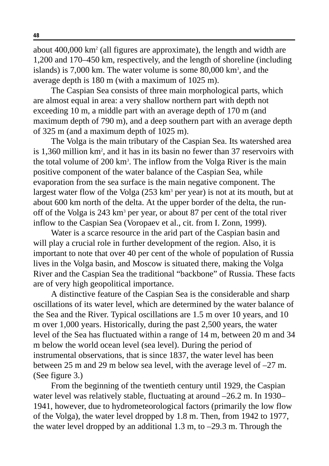about  $400,000 \text{ km}^2$  (all figures are approximate), the length and width are 1,200 and 170–450 km, respectively, and the length of shoreline (including islands) is 7,000 km. The water volume is some 80,000 km<sup>3</sup>, and the average depth is 180 m (with a maximum of 1025 m).

The Caspian Sea consists of three main morphological parts, which are almost equal in area: a very shallow northern part with depth not exceeding 10 m, a middle part with an average depth of 170 m (and maximum depth of 790 m), and a deep southern part with an average depth of 325 m (and a maximum depth of 1025 m).

The Volga is the main tributary of the Caspian Sea. Its watershed area is 1,360 million km2 , and it has in its basin no fewer than 37 reservoirs with the total volume of 200 km<sup>3</sup>. The inflow from the Volga River is the main positive component of the water balance of the Caspian Sea, while evaporation from the sea surface is the main negative component. The largest water flow of the Volga  $(253 \text{ km}^3 \text{ per year})$  is not at its mouth, but at about 600 km north of the delta. At the upper border of the delta, the runoff of the Volga is 243 km3 per year, or about 87 per cent of the total river inflow to the Caspian Sea (Voropaev et al., cit. from I. Zonn, 1999).

Water is a scarce resource in the arid part of the Caspian basin and will play a crucial role in further development of the region. Also, it is important to note that over 40 per cent of the whole of population of Russia lives in the Volga basin, and Moscow is situated there, making the Volga River and the Caspian Sea the traditional "backbone" of Russia. These facts are of very high geopolitical importance.

A distinctive feature of the Caspian Sea is the considerable and sharp oscillations of its water level, which are determined by the water balance of the Sea and the River. Typical oscillations are 1.5 m over 10 years, and 10 m over 1,000 years. Historically, during the past 2,500 years, the water level of the Sea has fluctuated within a range of 14 m, between 20 m and 34 m below the world ocean level (sea level). During the period of instrumental observations, that is since 1837, the water level has been between 25 m and 29 m below sea level, with the average level of –27 m. (See figure 3.)

From the beginning of the twentieth century until 1929, the Caspian water level was relatively stable, fluctuating at around –26.2 m. In 1930– 1941, however, due to hydrometeorological factors (primarily the low flow of the Volga), the water level dropped by 1.8 m. Then, from 1942 to 1977, the water level dropped by an additional 1.3 m, to –29.3 m. Through the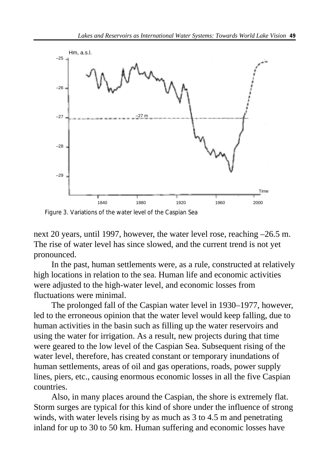

Figure 3. Variations of the water level of the Caspian Sea

next 20 years, until 1997, however, the water level rose, reaching –26.5 m. The rise of water level has since slowed, and the current trend is not yet pronounced.

In the past, human settlements were, as a rule, constructed at relatively high locations in relation to the sea. Human life and economic activities were adjusted to the high-water level, and economic losses from fluctuations were minimal.

The prolonged fall of the Caspian water level in 1930–1977, however, led to the erroneous opinion that the water level would keep falling, due to human activities in the basin such as filling up the water reservoirs and using the water for irrigation. As a result, new projects during that time were geared to the low level of the Caspian Sea. Subsequent rising of the water level, therefore, has created constant or temporary inundations of human settlements, areas of oil and gas operations, roads, power supply lines, piers, etc., causing enormous economic losses in all the five Caspian countries.

Also, in many places around the Caspian, the shore is extremely flat. Storm surges are typical for this kind of shore under the influence of strong winds, with water levels rising by as much as 3 to 4.5 m and penetrating inland for up to 30 to 50 km. Human suffering and economic losses have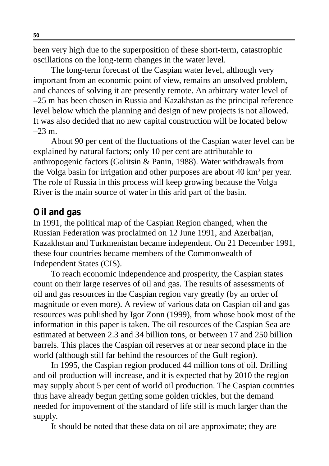been very high due to the superposition of these short-term, catastrophic oscillations on the long-term changes in the water level.

The long-term forecast of the Caspian water level, although very important from an economic point of view, remains an unsolved problem, and chances of solving it are presently remote. An arbitrary water level of –25 m has been chosen in Russia and Kazakhstan as the principal reference level below which the planning and design of new projects is not allowed. It was also decided that no new capital construction will be located below  $-23$  m.

About 90 per cent of the fluctuations of the Caspian water level can be explained by natural factors; only 10 per cent are attributable to anthropogenic factors (Golitsin & Panin, 1988). Water withdrawals from the Volga basin for irrigation and other purposes are about 40 km<sup>3</sup> per year. The role of Russia in this process will keep growing because the Volga River is the main source of water in this arid part of the basin.

#### **Oil and gas**

In 1991, the political map of the Caspian Region changed, when the Russian Federation was proclaimed on 12 June 1991, and Azerbaijan, Kazakhstan and Turkmenistan became independent. On 21 December 1991, these four countries became members of the Commonwealth of Independent States (CIS).

To reach economic independence and prosperity, the Caspian states count on their large reserves of oil and gas. The results of assessments of oil and gas resources in the Caspian region vary greatly (by an order of magnitude or even more). A review of various data on Caspian oil and gas resources was published by Igor Zonn (1999), from whose book most of the information in this paper is taken. The oil resources of the Caspian Sea are estimated at between 2.3 and 34 billion tons, or between 17 and 250 billion barrels. This places the Caspian oil reserves at or near second place in the world (although still far behind the resources of the Gulf region).

In 1995, the Caspian region produced 44 million tons of oil. Drilling and oil production will increase, and it is expected that by 2010 the region may supply about 5 per cent of world oil production. The Caspian countries thus have already begun getting some golden trickles, but the demand needed for impovement of the standard of life still is much larger than the supply.

It should be noted that these data on oil are approximate; they are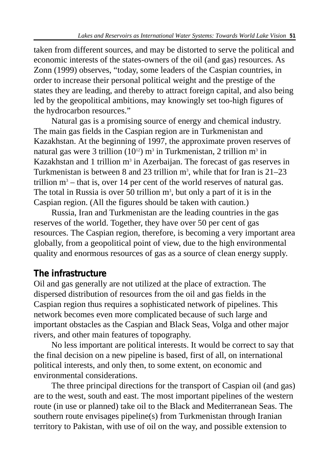taken from different sources, and may be distorted to serve the political and economic interests of the states-owners of the oil (and gas) resources. As Zonn (1999) observes, "today, some leaders of the Caspian countries, in order to increase their personal political weight and the prestige of the states they are leading, and thereby to attract foreign capital, and also being led by the geopolitical ambitions, may knowingly set too-high figures of the hydrocarbon resources."

Natural gas is a promising source of energy and chemical industry. The main gas fields in the Caspian region are in Turkmenistan and Kazakhstan. At the beginning of 1997, the approximate proven reserves of natural gas were 3 trillion  $(10^{12})$  m<sup>3</sup> in Turkmenistan, 2 trillion m<sup>3</sup> in Kazakhstan and 1 trillion  $m<sup>3</sup>$  in Azerbaijan. The forecast of gas reserves in Turkmenistan is between 8 and 23 trillion  $m^3$ , while that for Iran is 21–23 trillion  $m<sup>3</sup>$  – that is, over 14 per cent of the world reserves of natural gas. The total in Russia is over 50 trillion  $m^3$ , but only a part of it is in the Caspian region. (All the figures should be taken with caution.)

Russia, Iran and Turkmenistan are the leading countries in the gas reserves of the world. Together, they have over 50 per cent of gas resources. The Caspian region, therefore, is becoming a very important area globally, from a geopolitical point of view, due to the high environmental quality and enormous resources of gas as a source of clean energy supply.

## **The infrastructure**

Oil and gas generally are not utilized at the place of extraction. The dispersed distribution of resources from the oil and gas fields in the Caspian region thus requires a sophisticated network of pipelines. This network becomes even more complicated because of such large and important obstacles as the Caspian and Black Seas, Volga and other major rivers, and other main features of topography.

No less important are political interests. It would be correct to say that the final decision on a new pipeline is based, first of all, on international political interests, and only then, to some extent, on economic and environmental considerations.

The three principal directions for the transport of Caspian oil (and gas) are to the west, south and east. The most important pipelines of the western route (in use or planned) take oil to the Black and Mediterranean Seas. The southern route envisages pipeline(s) from Turkmenistan through Iranian territory to Pakistan, with use of oil on the way, and possible extension to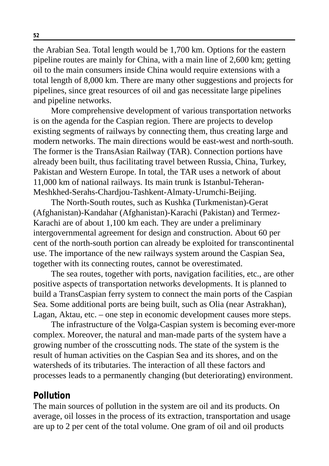the Arabian Sea. Total length would be 1,700 km. Options for the eastern pipeline routes are mainly for China, with a main line of 2,600 km; getting oil to the main consumers inside China would require extensions with a total length of 8,000 km. There are many other suggestions and projects for pipelines, since great resources of oil and gas necessitate large pipelines and pipeline networks.

More comprehensive development of various transportation networks is on the agenda for the Caspian region. There are projects to develop existing segments of railways by connecting them, thus creating large and modern networks. The main directions would be east-west and north-south. The former is the TransAsian Railway (TAR). Connection portions have already been built, thus facilitating travel between Russia, China, Turkey, Pakistan and Western Europe. In total, the TAR uses a network of about 11,000 km of national railways. Its main trunk is Istanbul-Teheran-Meshkhed-Serahs-Chardjou-Tashkent-Almaty-Urumchi-Beijing.

The North-South routes, such as Kushka (Turkmenistan)-Gerat (Afghanistan)-Kandahar (Afghanistan)-Karachi (Pakistan) and Termez-Karachi are of about 1,100 km each. They are under a preliminary intergovernmental agreement for design and construction. About 60 per cent of the north-south portion can already be exploited for transcontinental use. The importance of the new railways system around the Caspian Sea, together with its connecting routes, cannot be overestimated.

The sea routes, together with ports, navigation facilities, etc., are other positive aspects of transportation networks developments. It is planned to build a TransCaspian ferry system to connect the main ports of the Caspian Sea. Some additional ports are being built, such as Olia (near Astrakhan), Lagan, Aktau, etc. – one step in economic development causes more steps.

The infrastructure of the Volga-Caspian system is becoming ever-more complex. Moreover, the natural and man-made parts of the system have a growing number of the crosscutting nods. The state of the system is the result of human activities on the Caspian Sea and its shores, and on the watersheds of its tributaries. The interaction of all these factors and processes leads to a permanently changing (but deteriorating) environment.

## **Pollution**

The main sources of pollution in the system are oil and its products. On average, oil losses in the process of its extraction, transportation and usage are up to 2 per cent of the total volume. One gram of oil and oil products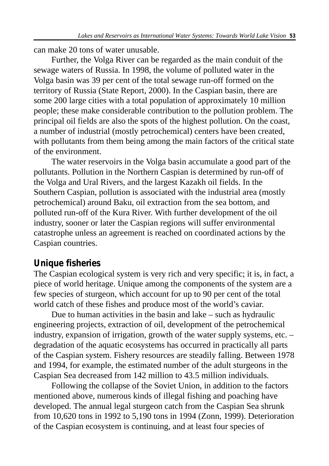can make 20 tons of water unusable.

Further, the Volga River can be regarded as the main conduit of the sewage waters of Russia. In 1998, the volume of polluted water in the Volga basin was 39 per cent of the total sewage run-off formed on the territory of Russia (State Report, 2000). In the Caspian basin, there are some 200 large cities with a total population of approximately 10 million people; these make considerable contribution to the pollution problem. The principal oil fields are also the spots of the highest pollution. On the coast, a number of industrial (mostly petrochemical) centers have been created, with pollutants from them being among the main factors of the critical state of the environment.

The water reservoirs in the Volga basin accumulate a good part of the pollutants. Pollution in the Northern Caspian is determined by run-off of the Volga and Ural Rivers, and the largest Kazakh oil fields. In the Southern Caspian, pollution is associated with the industrial area (mostly petrochemical) around Baku, oil extraction from the sea bottom, and polluted run-off of the Kura River. With further development of the oil industry, sooner or later the Caspian regions will suffer environmental catastrophe unless an agreement is reached on coordinated actions by the Caspian countries.

## **Unique fisheries**

The Caspian ecological system is very rich and very specific; it is, in fact, a piece of world heritage. Unique among the components of the system are a few species of sturgeon, which account for up to 90 per cent of the total world catch of these fishes and produce most of the world's caviar.

Due to human activities in the basin and lake – such as hydraulic engineering projects, extraction of oil, development of the petrochemical industry, expansion of irrigation, growth of the water supply systems, etc. – degradation of the aquatic ecosystems has occurred in practically all parts of the Caspian system. Fishery resources are steadily falling. Between 1978 and 1994, for example, the estimated number of the adult sturgeons in the Caspian Sea decreased from 142 million to 43.5 million individuals.

Following the collapse of the Soviet Union, in addition to the factors mentioned above, numerous kinds of illegal fishing and poaching have developed. The annual legal sturgeon catch from the Caspian Sea shrunk from 10,620 tons in 1992 to 5,190 tons in 1994 (Zonn, 1999). Deterioration of the Caspian ecosystem is continuing, and at least four species of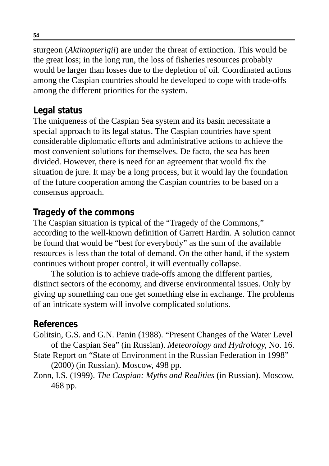sturgeon (*Aktinopterigii*) are under the threat of extinction. This would be the great loss; in the long run, the loss of fisheries resources probably would be larger than losses due to the depletion of oil. Coordinated actions among the Caspian countries should be developed to cope with trade-offs among the different priorities for the system.

# **Legal status**

The uniqueness of the Caspian Sea system and its basin necessitate a special approach to its legal status. The Caspian countries have spent considerable diplomatic efforts and administrative actions to achieve the most convenient solutions for themselves. De facto, the sea has been divided. However, there is need for an agreement that would fix the situation de jure. It may be a long process, but it would lay the foundation of the future cooperation among the Caspian countries to be based on a consensus approach.

# **Tragedy of the commons**

The Caspian situation is typical of the "Tragedy of the Commons," according to the well-known definition of Garrett Hardin. A solution cannot be found that would be "best for everybody" as the sum of the available resources is less than the total of demand. On the other hand, if the system continues without proper control, it will eventually collapse.

The solution is to achieve trade-offs among the different parties, distinct sectors of the economy, and diverse environmental issues. Only by giving up something can one get something else in exchange. The problems of an intricate system will involve complicated solutions.

# **References**

- Golitsin, G.S. and G.N. Panin (1988). "Present Changes of the Water Level of the Caspian Sea" (in Russian). *Meteorology and Hydrology,* No. 16.
- State Report on "State of Environment in the Russian Federation in 1998" (2000) (in Russian). Moscow, 498 pp.
- Zonn, I.S. (1999). *The Caspian: Myths and Realities* (in Russian). Moscow, 468 pp.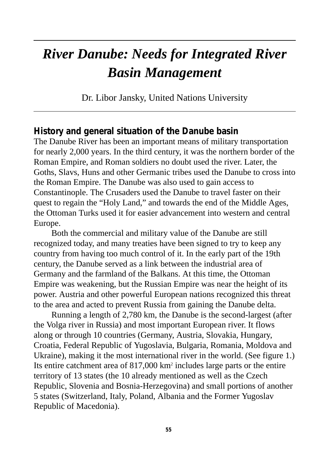# *River Danube: Needs for Integrated River Basin Management*

Dr. Libor Jansky, United Nations University

#### **History and general situation of the Danube basin**

The Danube River has been an important means of military transportation for nearly 2,000 years. In the third century, it was the northern border of the Roman Empire, and Roman soldiers no doubt used the river. Later, the Goths, Slavs, Huns and other Germanic tribes used the Danube to cross into the Roman Empire. The Danube was also used to gain access to Constantinople. The Crusaders used the Danube to travel faster on their quest to regain the "Holy Land," and towards the end of the Middle Ages, the Ottoman Turks used it for easier advancement into western and central Europe.

Both the commercial and military value of the Danube are still recognized today, and many treaties have been signed to try to keep any country from having too much control of it. In the early part of the 19th century, the Danube served as a link between the industrial area of Germany and the farmland of the Balkans. At this time, the Ottoman Empire was weakening, but the Russian Empire was near the height of its power. Austria and other powerful European nations recognized this threat to the area and acted to prevent Russia from gaining the Danube delta.

Running a length of 2,780 km, the Danube is the second-largest (after the Volga river in Russia) and most important European river. It flows along or through 10 countries (Germany, Austria, Slovakia, Hungary, Croatia, Federal Republic of Yugoslavia, Bulgaria, Romania, Moldova and Ukraine), making it the most international river in the world. (See figure 1.) Its entire catchment area of 817,000 km2 includes large parts or the entire territory of 13 states (the 10 already mentioned as well as the Czech Republic, Slovenia and Bosnia-Herzegovina) and small portions of another 5 states (Switzerland, Italy, Poland, Albania and the Former Yugoslav Republic of Macedonia).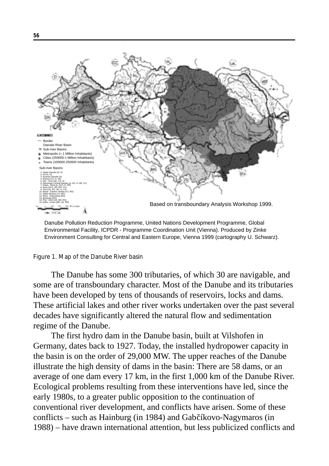

Danube Pollution Reduction Programme, United Nations Development Programme, Global Environmental Facility, ICPDR - Programme Coordination Unit (Vienna). Produced by Zinke Environment Consulting for Central and Eastern Europe, Vienna 1999 (cartography U. Schwarz).

#### Figure 1. Map of the Danube River basin

The Danube has some 300 tributaries, of which 30 are navigable, and some are of transboundary character. Most of the Danube and its tributaries have been developed by tens of thousands of reservoirs, locks and dams. These artificial lakes and other river works undertaken over the past several decades have significantly altered the natural flow and sedimentation regime of the Danube.

The first hydro dam in the Danube basin, built at Vilshofen in Germany, dates back to 1927. Today, the installed hydropower capacity in the basin is on the order of 29,000 MW. The upper reaches of the Danube illustrate the high density of dams in the basin: There are 58 dams, or an average of one dam every 17 km, in the first 1,000 km of the Danube River. Ecological problems resulting from these interventions have led, since the early 1980s, to a greater public opposition to the continuation of conventional river development, and conflicts have arisen. Some of these conflicts – such as Hainburg (in 1984) and Gabčíkovo-Nagymaros (in 1988) – have drawn international attention, but less publicized conflicts and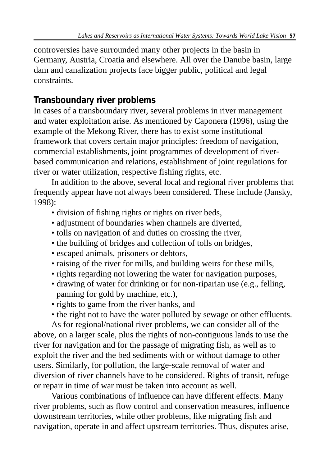controversies have surrounded many other projects in the basin in Germany, Austria, Croatia and elsewhere. All over the Danube basin, large dam and canalization projects face bigger public, political and legal constraints.

# **Transboundary river problems**

In cases of a transboundary river, several problems in river management and water exploitation arise. As mentioned by Caponera (1996), using the example of the Mekong River, there has to exist some institutional framework that covers certain major principles: freedom of navigation, commercial establishments, joint programmes of development of riverbased communication and relations, establishment of joint regulations for river or water utilization, respective fishing rights, etc.

In addition to the above, several local and regional river problems that frequently appear have not always been considered. These include (Jansky, 1998):

- division of fishing rights or rights on river beds,
- adjustment of boundaries when channels are diverted,
- tolls on navigation of and duties on crossing the river,
- the building of bridges and collection of tolls on bridges,
- escaped animals, prisoners or debtors,
- raising of the river for mills, and building weirs for these mills,
- rights regarding not lowering the water for navigation purposes,
- drawing of water for drinking or for non-riparian use (e.g., felling, panning for gold by machine, etc.),
- rights to game from the river banks, and
- the right not to have the water polluted by sewage or other effluents.

As for regional/national river problems, we can consider all of the above, on a larger scale, plus the rights of non-contiguous lands to use the river for navigation and for the passage of migrating fish, as well as to exploit the river and the bed sediments with or without damage to other users. Similarly, for pollution, the large-scale removal of water and diversion of river channels have to be considered. Rights of transit, refuge or repair in time of war must be taken into account as well.

Various combinations of influence can have different effects. Many river problems, such as flow control and conservation measures, influence downstream territories, while other problems, like migrating fish and navigation, operate in and affect upstream territories. Thus, disputes arise,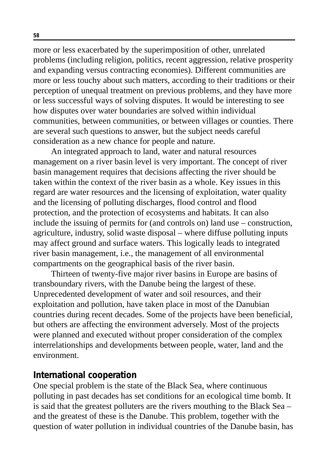more or less exacerbated by the superimposition of other, unrelated problems (including religion, politics, recent aggression, relative prosperity and expanding versus contracting economies). Different communities are more or less touchy about such matters, according to their traditions or their perception of unequal treatment on previous problems, and they have more or less successful ways of solving disputes. It would be interesting to see how disputes over water boundaries are solved within individual communities, between communities, or between villages or counties. There are several such questions to answer, but the subject needs careful consideration as a new chance for people and nature.

An integrated approach to land, water and natural resources management on a river basin level is very important. The concept of river basin management requires that decisions affecting the river should be taken within the context of the river basin as a whole. Key issues in this regard are water resources and the licensing of exploitation, water quality and the licensing of polluting discharges, flood control and flood protection, and the protection of ecosystems and habitats. It can also include the issuing of permits for (and controls on) land use – construction, agriculture, industry, solid waste disposal – where diffuse polluting inputs may affect ground and surface waters. This logically leads to integrated river basin management, i.e., the management of all environmental compartments on the geographical basis of the river basin.

Thirteen of twenty-five major river basins in Europe are basins of transboundary rivers, with the Danube being the largest of these. Unprecedented development of water and soil resources, and their exploitation and pollution, have taken place in most of the Danubian countries during recent decades. Some of the projects have been beneficial, but others are affecting the environment adversely. Most of the projects were planned and executed without proper consideration of the complex interrelationships and developments between people, water, land and the environment.

#### **International cooperation**

One special problem is the state of the Black Sea, where continuous polluting in past decades has set conditions for an ecological time bomb. It is said that the greatest polluters are the rivers mouthing to the Black Sea – and the greatest of these is the Danube. This problem, together with the question of water pollution in individual countries of the Danube basin, has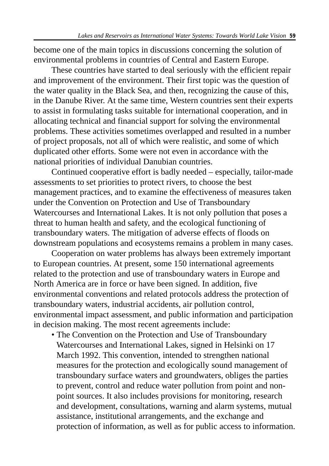become one of the main topics in discussions concerning the solution of environmental problems in countries of Central and Eastern Europe.

These countries have started to deal seriously with the efficient repair and improvement of the environment. Their first topic was the question of the water quality in the Black Sea, and then, recognizing the cause of this, in the Danube River. At the same time, Western countries sent their experts to assist in formulating tasks suitable for international cooperation, and in allocating technical and financial support for solving the environmental problems. These activities sometimes overlapped and resulted in a number of project proposals, not all of which were realistic, and some of which duplicated other efforts. Some were not even in accordance with the national priorities of individual Danubian countries.

Continued cooperative effort is badly needed – especially, tailor-made assessments to set priorities to protect rivers, to choose the best management practices, and to examine the effectiveness of measures taken under the Convention on Protection and Use of Transboundary Watercourses and International Lakes. It is not only pollution that poses a threat to human health and safety, and the ecological functioning of transboundary waters. The mitigation of adverse effects of floods on downstream populations and ecosystems remains a problem in many cases.

Cooperation on water problems has always been extremely important to European countries. At present, some 150 international agreements related to the protection and use of transboundary waters in Europe and North America are in force or have been signed. In addition, five environmental conventions and related protocols address the protection of transboundary waters, industrial accidents, air pollution control, environmental impact assessment, and public information and participation in decision making. The most recent agreements include:

• The Convention on the Protection and Use of Transboundary Watercourses and International Lakes, signed in Helsinki on 17 March 1992. This convention, intended to strengthen national measures for the protection and ecologically sound management of transboundary surface waters and groundwaters, obliges the parties to prevent, control and reduce water pollution from point and nonpoint sources. It also includes provisions for monitoring, research and development, consultations, warning and alarm systems, mutual assistance, institutional arrangements, and the exchange and protection of information, as well as for public access to information.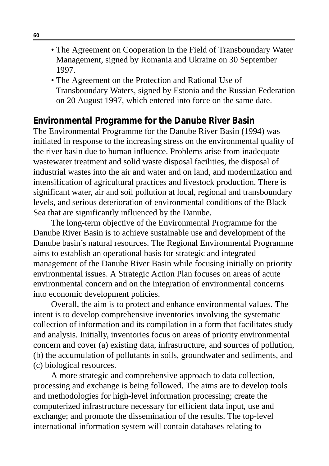- The Agreement on Cooperation in the Field of Transboundary Water Management, signed by Romania and Ukraine on 30 September 1997.
- The Agreement on the Protection and Rational Use of Transboundary Waters, signed by Estonia and the Russian Federation on 20 August 1997, which entered into force on the same date.

### **Environmental Programme for the Danube River Basin**

The Environmental Programme for the Danube River Basin (1994) was initiated in response to the increasing stress on the environmental quality of the river basin due to human influence. Problems arise from inadequate wastewater treatment and solid waste disposal facilities, the disposal of industrial wastes into the air and water and on land, and modernization and intensification of agricultural practices and livestock production. There is significant water, air and soil pollution at local, regional and transboundary levels, and serious deterioration of environmental conditions of the Black Sea that are significantly influenced by the Danube.

The long-term objective of the Environmental Programme for the Danube River Basin is to achieve sustainable use and development of the Danube basin's natural resources. The Regional Environmental Programme aims to establish an operational basis for strategic and integrated management of the Danube River Basin while focusing initially on priority environmental issues. A Strategic Action Plan focuses on areas of acute environmental concern and on the integration of environmental concerns into economic development policies.

Overall, the aim is to protect and enhance environmental values. The intent is to develop comprehensive inventories involving the systematic collection of information and its compilation in a form that facilitates study and analysis. Initially, inventories focus on areas of priority environmental concern and cover (a) existing data, infrastructure, and sources of pollution, (b) the accumulation of pollutants in soils, groundwater and sediments, and (c) biological resources.

A more strategic and comprehensive approach to data collection, processing and exchange is being followed. The aims are to develop tools and methodologies for high-level information processing; create the computerized infrastructure necessary for efficient data input, use and exchange; and promote the dissemination of the results. The top-level international information system will contain databases relating to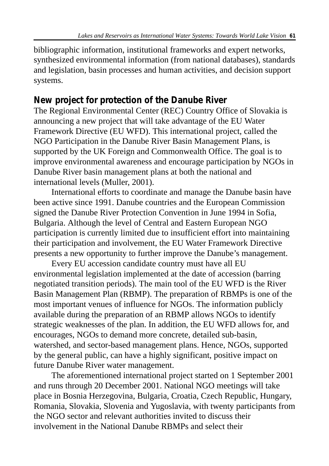bibliographic information, institutional frameworks and expert networks, synthesized environmental information (from national databases), standards and legislation, basin processes and human activities, and decision support systems.

# **New project for protection of the Danube River**

The Regional Environmental Center (REC) Country Office of Slovakia is announcing a new project that will take advantage of the EU Water Framework Directive (EU WFD). This international project, called the NGO Participation in the Danube River Basin Management Plans, is supported by the UK Foreign and Commonwealth Office. The goal is to improve environmental awareness and encourage participation by NGOs in Danube River basin management plans at both the national and international levels (Muller, 2001).

International efforts to coordinate and manage the Danube basin have been active since 1991. Danube countries and the European Commission signed the Danube River Protection Convention in June 1994 in Sofia, Bulgaria. Although the level of Central and Eastern European NGO participation is currently limited due to insufficient effort into maintaining their participation and involvement, the EU Water Framework Directive presents a new opportunity to further improve the Danube's management.

Every EU accession candidate country must have all EU environmental legislation implemented at the date of accession (barring negotiated transition periods). The main tool of the EU WFD is the River Basin Management Plan (RBMP). The preparation of RBMPs is one of the most important venues of influence for NGOs. The information publicly available during the preparation of an RBMP allows NGOs to identify strategic weaknesses of the plan. In addition, the EU WFD allows for, and encourages, NGOs to demand more concrete, detailed sub-basin, watershed, and sector-based management plans. Hence, NGOs, supported by the general public, can have a highly significant, positive impact on future Danube River water management.

The aforementioned international project started on 1 September 2001 and runs through 20 December 2001. National NGO meetings will take place in Bosnia Herzegovina, Bulgaria, Croatia, Czech Republic, Hungary, Romania, Slovakia, Slovenia and Yugoslavia, with twenty participants from the NGO sector and relevant authorities invited to discuss their involvement in the National Danube RBMPs and select their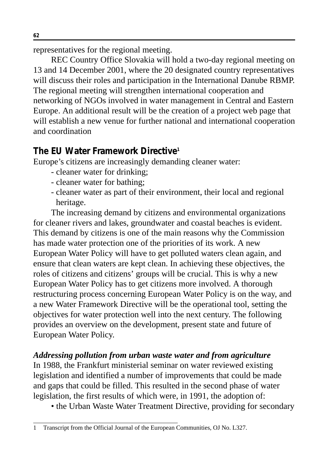representatives for the regional meeting.

REC Country Office Slovakia will hold a two-day regional meeting on 13 and 14 December 2001, where the 20 designated country representatives will discuss their roles and participation in the International Danube RBMP. The regional meeting will strengthen international cooperation and networking of NGOs involved in water management in Central and Eastern Europe. An additional result will be the creation of a project web page that will establish a new venue for further national and international cooperation and coordination

# **The EU Water Framework Directive1**

Europe's citizens are increasingly demanding cleaner water:

- cleaner water for drinking;
- cleaner water for bathing;
- cleaner water as part of their environment, their local and regional heritage.

The increasing demand by citizens and environmental organizations for cleaner rivers and lakes, groundwater and coastal beaches is evident. This demand by citizens is one of the main reasons why the Commission has made water protection one of the priorities of its work. A new European Water Policy will have to get polluted waters clean again, and ensure that clean waters are kept clean. In achieving these objectives, the roles of citizens and citizens' groups will be crucial. This is why a new European Water Policy has to get citizens more involved. A thorough restructuring process concerning European Water Policy is on the way, and a new Water Framework Directive will be the operational tool, setting the objectives for water protection well into the next century. The following provides an overview on the development, present state and future of European Water Policy.

# *Addressing pollution from urban waste water and from agriculture*

In 1988, the Frankfurt ministerial seminar on water reviewed existing legislation and identified a number of improvements that could be made and gaps that could be filled. This resulted in the second phase of water legislation, the first results of which were, in 1991, the adoption of:

• the Urban Waste Water Treatment Directive, providing for secondary

1 Transcript from the Official Journal of the European Communities, OJ No. L327.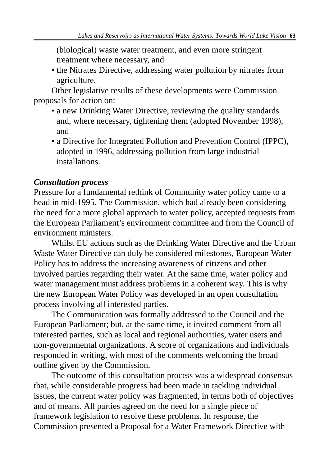(biological) waste water treatment, and even more stringent treatment where necessary, and

• the Nitrates Directive, addressing water pollution by nitrates from agriculture.

Other legislative results of these developments were Commission proposals for action on:

- a new Drinking Water Directive, reviewing the quality standards and, where necessary, tightening them (adopted November 1998), and
- a Directive for Integrated Pollution and Prevention Control (IPPC), adopted in 1996, addressing pollution from large industrial installations.

### *Consultation process*

Pressure for a fundamental rethink of Community water policy came to a head in mid-1995. The Commission, which had already been considering the need for a more global approach to water policy, accepted requests from the European Parliament's environment committee and from the Council of environment ministers.

Whilst EU actions such as the Drinking Water Directive and the Urban Waste Water Directive can duly be considered milestones, European Water Policy has to address the increasing awareness of citizens and other involved parties regarding their water. At the same time, water policy and water management must address problems in a coherent way. This is why the new European Water Policy was developed in an open consultation process involving all interested parties.

The Communication was formally addressed to the Council and the European Parliament; but, at the same time, it invited comment from all interested parties, such as local and regional authorities, water users and non-governmental organizations. A score of organizations and individuals responded in writing, with most of the comments welcoming the broad outline given by the Commission.

The outcome of this consultation process was a widespread consensus that, while considerable progress had been made in tackling individual issues, the current water policy was fragmented, in terms both of objectives and of means. All parties agreed on the need for a single piece of framework legislation to resolve these problems. In response, the Commission presented a Proposal for a Water Framework Directive with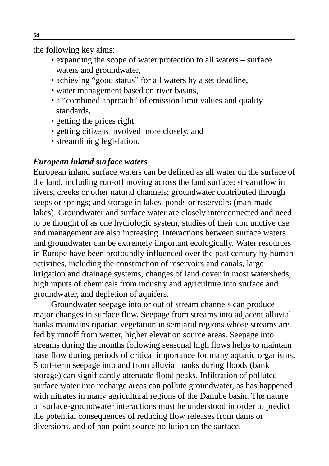the following key aims:

- expanding the scope of water protection to all waters surface waters and groundwater,
- achieving "good status" for all waters by a set deadline,
- water management based on river basins,
- a "combined approach" of emission limit values and quality standards,
- getting the prices right,
- getting citizens involved more closely, and
- streamlining legislation.

#### *European inland surface waters*

European inland surface waters can be defined as all water on the surface of the land, including run-off moving across the land surface; streamflow in rivers, creeks or other natural channels; groundwater contributed through seeps or springs; and storage in lakes, ponds or reservoirs (man-made lakes). Groundwater and surface water are closely interconnected and need to be thought of as one hydrologic system; studies of their conjunctive use and management are also increasing. Interactions between surface waters and groundwater can be extremely important ecologically. Water resources in Europe have been profoundly influenced over the past century by human activities, including the construction of reservoirs and canals, large irrigation and drainage systems, changes of land cover in most watersheds, high inputs of chemicals from industry and agriculture into surface and groundwater, and depletion of aquifers.

Groundwater seepage into or out of stream channels can produce major changes in surface flow. Seepage from streams into adjacent alluvial banks maintains riparian vegetation in semiarid regions whose streams are fed by runoff from wetter, higher elevation source areas. Seepage into streams during the months following seasonal high flows helps to maintain base flow during periods of critical importance for many aquatic organisms. Short-term seepage into and from alluvial banks during floods (bank storage) can significantly attenuate flood peaks. Infiltration of polluted surface water into recharge areas can pollute groundwater, as has happened with nitrates in many agricultural regions of the Danube basin. The nature of surface-groundwater interactions must be understood in order to predict the potential consequences of reducing flow releases from dams or diversions, and of non-point source pollution on the surface.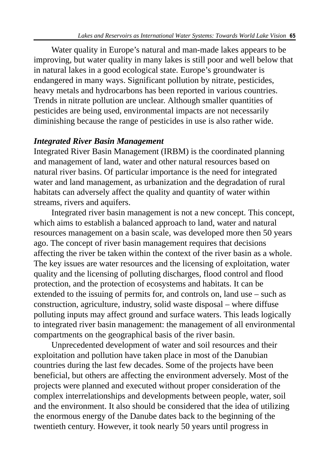Water quality in Europe's natural and man-made lakes appears to be improving, but water quality in many lakes is still poor and well below that in natural lakes in a good ecological state. Europe's groundwater is endangered in many ways. Significant pollution by nitrate, pesticides, heavy metals and hydrocarbons has been reported in various countries. Trends in nitrate pollution are unclear. Although smaller quantities of pesticides are being used, environmental impacts are not necessarily diminishing because the range of pesticides in use is also rather wide.

#### *Integrated River Basin Management*

Integrated River Basin Management (IRBM) is the coordinated planning and management of land, water and other natural resources based on natural river basins. Of particular importance is the need for integrated water and land management, as urbanization and the degradation of rural habitats can adversely affect the quality and quantity of water within streams, rivers and aquifers.

Integrated river basin management is not a new concept. This concept, which aims to establish a balanced approach to land, water and natural resources management on a basin scale, was developed more then 50 years ago. The concept of river basin management requires that decisions affecting the river be taken within the context of the river basin as a whole. The key issues are water resources and the licensing of exploitation, water quality and the licensing of polluting discharges, flood control and flood protection, and the protection of ecosystems and habitats. It can be extended to the issuing of permits for, and controls on, land use – such as construction, agriculture, industry, solid waste disposal – where diffuse polluting inputs may affect ground and surface waters. This leads logically to integrated river basin management: the management of all environmental compartments on the geographical basis of the river basin.

Unprecedented development of water and soil resources and their exploitation and pollution have taken place in most of the Danubian countries during the last few decades. Some of the projects have been beneficial, but others are affecting the environment adversely. Most of the projects were planned and executed without proper consideration of the complex interrelationships and developments between people, water, soil and the environment. It also should be considered that the idea of utilizing the enormous energy of the Danube dates back to the beginning of the twentieth century. However, it took nearly 50 years until progress in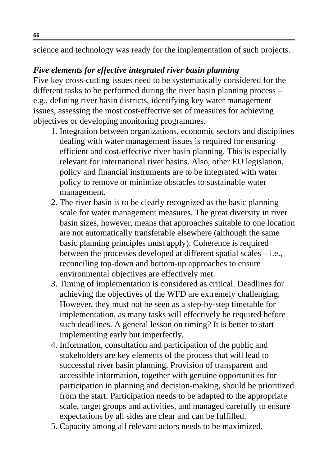science and technology was ready for the implementation of such projects.

#### *Five elements for effective integrated river basin planning*

Five key cross-cutting issues need to be systematically considered for the different tasks to be performed during the river basin planning process – e.g., defining river basin districts, identifying key water management issues, assessing the most cost-effective set of measures for achieving objectives or developing monitoring programmes.

- 1. Integration between organizations, economic sectors and disciplines dealing with water management issues is required for ensuring efficient and cost-effective river basin planning. This is especially relevant for international river basins. Also, other EU legislation, policy and financial instruments are to be integrated with water policy to remove or minimize obstacles to sustainable water management.
- 2. The river basin is to be clearly recognized as the basic planning scale for water management measures. The great diversity in river basin sizes, however, means that approaches suitable to one location are not automatically transferable elsewhere (although the same basic planning principles must apply). Coherence is required between the processes developed at different spatial scales – i.e., reconciling top-down and bottom-up approaches to ensure environmental objectives are effectively met.
- 3. Timing of implementation is considered as critical. Deadlines for achieving the objectives of the WFD are extremely challenging. However, they must not be seen as a step-by-step timetable for implementation, as many tasks will effectively be required before such deadlines. A general lesson on timing? It is better to start implementing early but imperfectly.
- 4. Information, consultation and participation of the public and stakeholders are key elements of the process that will lead to successful river basin planning. Provision of transparent and accessible information, together with genuine opportunities for participation in planning and decision-making, should be prioritized from the start. Participation needs to be adapted to the appropriate scale, target groups and activities, and managed carefully to ensure expectations by all sides are clear and can be fulfilled.
- 5. Capacity among all relevant actors needs to be maximized.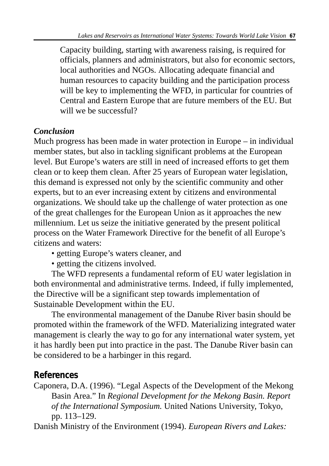Capacity building, starting with awareness raising, is required for officials, planners and administrators, but also for economic sectors, local authorities and NGOs. Allocating adequate financial and human resources to capacity building and the participation process will be key to implementing the WFD, in particular for countries of Central and Eastern Europe that are future members of the EU. But will we be successful?

### *Conclusion*

Much progress has been made in water protection in Europe – in individual member states, but also in tackling significant problems at the European level. But Europe's waters are still in need of increased efforts to get them clean or to keep them clean. After 25 years of European water legislation, this demand is expressed not only by the scientific community and other experts, but to an ever increasing extent by citizens and environmental organizations. We should take up the challenge of water protection as one of the great challenges for the European Union as it approaches the new millennium. Let us seize the initiative generated by the present political process on the Water Framework Directive for the benefit of all Europe's citizens and waters:

- getting Europe's waters cleaner, and
- getting the citizens involved.

The WFD represents a fundamental reform of EU water legislation in both environmental and administrative terms. Indeed, if fully implemented, the Directive will be a significant step towards implementation of Sustainable Development within the EU.

The environmental management of the Danube River basin should be promoted within the framework of the WFD. Materializing integrated water management is clearly the way to go for any international water system, yet it has hardly been put into practice in the past. The Danube River basin can be considered to be a harbinger in this regard.

# **References**

Caponera, D.A. (1996). "Legal Aspects of the Development of the Mekong Basin Area." In *Regional Development for the Mekong Basin. Report of the International Symposium.* United Nations University, Tokyo, pp. 113–129.

Danish Ministry of the Environment (1994). *European Rivers and Lakes:*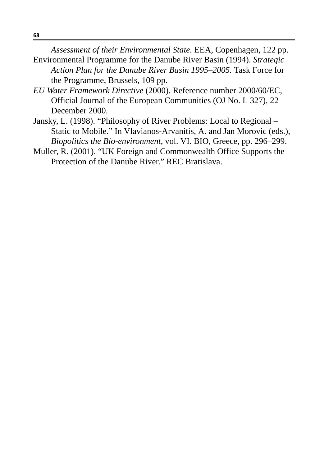*Assessment of their Environmental State.* EEA, Copenhagen, 122 pp.

- Environmental Programme for the Danube River Basin (1994). *Strategic Action Plan for the Danube River Basin 1995–2005.* Task Force for the Programme, Brussels, 109 pp.
- *EU Water Framework Directive* (2000). Reference number 2000/60/EC, Official Journal of the European Communities (OJ No. L 327), 22 December 2000.
- Jansky, L. (1998). "Philosophy of River Problems: Local to Regional Static to Mobile." In Vlavianos-Arvanitis, A. and Jan Morovic (eds.), *Biopolitics the Bio-environment,* vol. VI. BIO, Greece, pp. 296–299.
- Muller, R. (2001). "UK Foreign and Commonwealth Office Supports the Protection of the Danube River." REC Bratislava.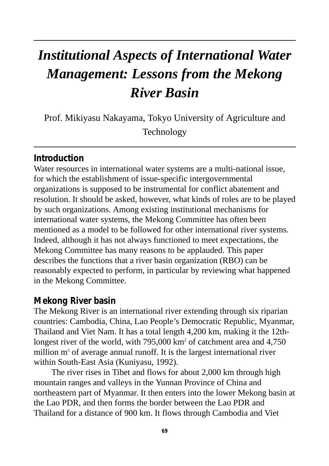# *Institutional Aspects of International Water Management: Lessons from the Mekong River Basin*

Prof. Mikiyasu Nakayama, Tokyo University of Agriculture and Technology

### **Introduction**

Water resources in international water systems are a multi-national issue, for which the establishment of issue-specific intergovernmental organizations is supposed to be instrumental for conflict abatement and resolution. It should be asked, however, what kinds of roles are to be played by such organizations. Among existing institutional mechanisms for international water systems, the Mekong Committee has often been mentioned as a model to be followed for other international river systems. Indeed, although it has not always functioned to meet expectations, the Mekong Committee has many reasons to be applauded. This paper describes the functions that a river basin organization (RBO) can be reasonably expected to perform, in particular by reviewing what happened in the Mekong Committee.

#### **Mekong River basin**

The Mekong River is an international river extending through six riparian countries: Cambodia, China, Lao People's Democratic Republic, Myanmar, Thailand and Viet Nam. It has a total length 4,200 km, making it the 12thlongest river of the world, with 795,000 km<sup>2</sup> of catchment area and 4,750 million  $m<sup>3</sup>$  of average annual runoff. It is the largest international river within South-East Asia (Kuniyasu, 1992).

The river rises in Tibet and flows for about 2,000 km through high mountain ranges and valleys in the Yunnan Province of China and northeastern part of Myanmar. It then enters into the lower Mekong basin at the Lao PDR, and then forms the border between the Lao PDR and Thailand for a distance of 900 km. It flows through Cambodia and Viet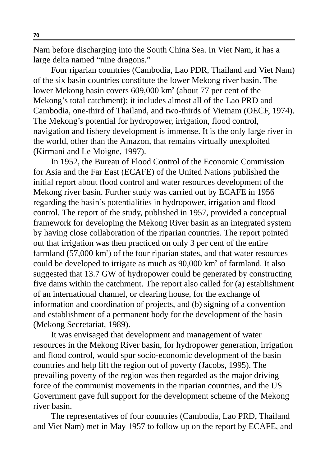Nam before discharging into the South China Sea. In Viet Nam, it has a large delta named "nine dragons."

Four riparian countries (Cambodia, Lao PDR, Thailand and Viet Nam) of the six basin countries constitute the lower Mekong river basin. The lower Mekong basin covers 609,000 km2 (about 77 per cent of the Mekong's total catchment); it includes almost all of the Lao PRD and Cambodia, one-third of Thailand, and two-thirds of Vietnam (OECF, 1974). The Mekong's potential for hydropower, irrigation, flood control, navigation and fishery development is immense. It is the only large river in the world, other than the Amazon, that remains virtually unexploited (Kirmani and Le Moigne, 1997).

In 1952, the Bureau of Flood Control of the Economic Commission for Asia and the Far East (ECAFE) of the United Nations published the initial report about flood control and water resources development of the Mekong river basin. Further study was carried out by ECAFE in 1956 regarding the basin's potentialities in hydropower, irrigation and flood control. The report of the study, published in 1957, provided a conceptual framework for developing the Mekong River basin as an integrated system by having close collaboration of the riparian countries. The report pointed out that irrigation was then practiced on only 3 per cent of the entire farmland (57,000 km<sup>2</sup>) of the four riparian states, and that water resources could be developed to irrigate as much as 90,000 km2 of farmland. It also suggested that 13.7 GW of hydropower could be generated by constructing five dams within the catchment. The report also called for (a) establishment of an international channel, or clearing house, for the exchange of information and coordination of projects, and (b) signing of a convention and establishment of a permanent body for the development of the basin (Mekong Secretariat, 1989).

It was envisaged that development and management of water resources in the Mekong River basin, for hydropower generation, irrigation and flood control, would spur socio-economic development of the basin countries and help lift the region out of poverty (Jacobs, 1995). The prevailing poverty of the region was then regarded as the major driving force of the communist movements in the riparian countries, and the US Government gave full support for the development scheme of the Mekong river basin.

The representatives of four countries (Cambodia, Lao PRD, Thailand and Viet Nam) met in May 1957 to follow up on the report by ECAFE, and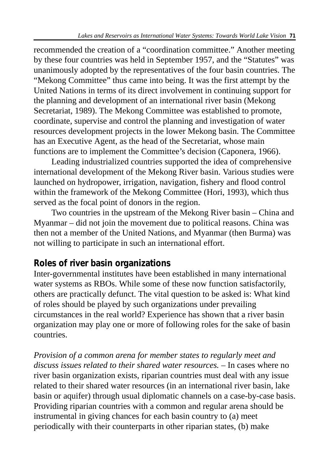recommended the creation of a "coordination committee." Another meeting by these four countries was held in September 1957, and the "Statutes" was unanimously adopted by the representatives of the four basin countries. The "Mekong Committee" thus came into being. It was the first attempt by the United Nations in terms of its direct involvement in continuing support for the planning and development of an international river basin (Mekong Secretariat, 1989). The Mekong Committee was established to promote, coordinate, supervise and control the planning and investigation of water resources development projects in the lower Mekong basin. The Committee has an Executive Agent, as the head of the Secretariat, whose main functions are to implement the Committee's decision (Caponera, 1966).

Leading industrialized countries supported the idea of comprehensive international development of the Mekong River basin. Various studies were launched on hydropower, irrigation, navigation, fishery and flood control within the framework of the Mekong Committee (Hori, 1993), which thus served as the focal point of donors in the region.

Two countries in the upstream of the Mekong River basin – China and Myanmar – did not join the movement due to political reasons. China was then not a member of the United Nations, and Myanmar (then Burma) was not willing to participate in such an international effort.

# **Roles of river basin organizations**

Inter-governmental institutes have been established in many international water systems as RBOs. While some of these now function satisfactorily, others are practically defunct. The vital question to be asked is: What kind of roles should be played by such organizations under prevailing circumstances in the real world? Experience has shown that a river basin organization may play one or more of following roles for the sake of basin countries.

*Provision of a common arena for member states to regularly meet and discuss issues related to their shared water resources.* – In cases where no river basin organization exists, riparian countries must deal with any issue related to their shared water resources (in an international river basin, lake basin or aquifer) through usual diplomatic channels on a case-by-case basis. Providing riparian countries with a common and regular arena should be instrumental in giving chances for each basin country to (a) meet periodically with their counterparts in other riparian states, (b) make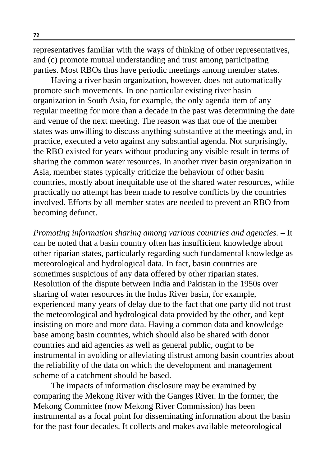representatives familiar with the ways of thinking of other representatives, and (c) promote mutual understanding and trust among participating parties. Most RBOs thus have periodic meetings among member states.

Having a river basin organization, however, does not automatically promote such movements. In one particular existing river basin organization in South Asia, for example, the only agenda item of any regular meeting for more than a decade in the past was determining the date and venue of the next meeting. The reason was that one of the member states was unwilling to discuss anything substantive at the meetings and, in practice, executed a veto against any substantial agenda. Not surprisingly, the RBO existed for years without producing any visible result in terms of sharing the common water resources. In another river basin organization in Asia, member states typically criticize the behaviour of other basin countries, mostly about inequitable use of the shared water resources, while practically no attempt has been made to resolve conflicts by the countries involved. Efforts by all member states are needed to prevent an RBO from becoming defunct.

*Promoting information sharing among various countries and agencies.* – It can be noted that a basin country often has insufficient knowledge about other riparian states, particularly regarding such fundamental knowledge as meteorological and hydrological data. In fact, basin countries are sometimes suspicious of any data offered by other riparian states. Resolution of the dispute between India and Pakistan in the 1950s over sharing of water resources in the Indus River basin, for example, experienced many years of delay due to the fact that one party did not trust the meteorological and hydrological data provided by the other, and kept insisting on more and more data. Having a common data and knowledge base among basin countries, which should also be shared with donor countries and aid agencies as well as general public, ought to be instrumental in avoiding or alleviating distrust among basin countries about the reliability of the data on which the development and management scheme of a catchment should be based.

The impacts of information disclosure may be examined by comparing the Mekong River with the Ganges River. In the former, the Mekong Committee (now Mekong River Commission) has been instrumental as a focal point for disseminating information about the basin for the past four decades. It collects and makes available meteorological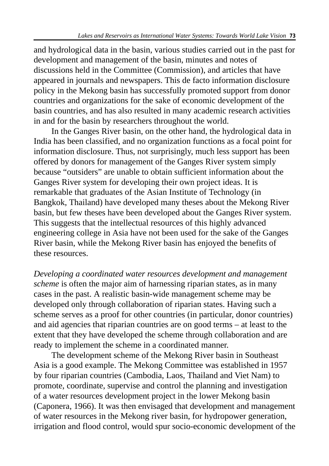and hydrological data in the basin, various studies carried out in the past for development and management of the basin, minutes and notes of discussions held in the Committee (Commission), and articles that have appeared in journals and newspapers. This de facto information disclosure policy in the Mekong basin has successfully promoted support from donor countries and organizations for the sake of economic development of the basin countries, and has also resulted in many academic research activities in and for the basin by researchers throughout the world.

In the Ganges River basin, on the other hand, the hydrological data in India has been classified, and no organization functions as a focal point for information disclosure. Thus, not surprisingly, much less support has been offered by donors for management of the Ganges River system simply because "outsiders" are unable to obtain sufficient information about the Ganges River system for developing their own project ideas. It is remarkable that graduates of the Asian Institute of Technology (in Bangkok, Thailand) have developed many theses about the Mekong River basin, but few theses have been developed about the Ganges River system. This suggests that the intellectual resources of this highly advanced engineering college in Asia have not been used for the sake of the Ganges River basin, while the Mekong River basin has enjoyed the benefits of these resources.

*Developing a coordinated water resources development and management scheme* is often the major aim of harnessing riparian states, as in many cases in the past. A realistic basin-wide management scheme may be developed only through collaboration of riparian states. Having such a scheme serves as a proof for other countries (in particular, donor countries) and aid agencies that riparian countries are on good terms – at least to the extent that they have developed the scheme through collaboration and are ready to implement the scheme in a coordinated manner.

The development scheme of the Mekong River basin in Southeast Asia is a good example. The Mekong Committee was established in 1957 by four riparian countries (Cambodia, Laos, Thailand and Viet Nam) to promote, coordinate, supervise and control the planning and investigation of a water resources development project in the lower Mekong basin (Caponera, 1966). It was then envisaged that development and management of water resources in the Mekong river basin, for hydropower generation, irrigation and flood control, would spur socio-economic development of the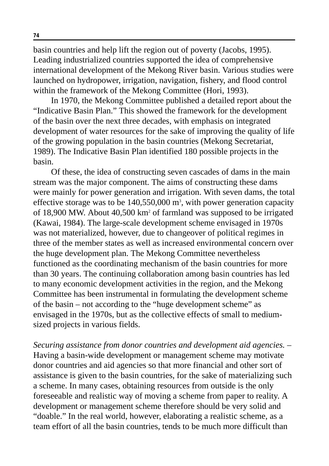basin countries and help lift the region out of poverty (Jacobs, 1995). Leading industrialized countries supported the idea of comprehensive international development of the Mekong River basin. Various studies were launched on hydropower, irrigation, navigation, fishery, and flood control within the framework of the Mekong Committee (Hori, 1993).

In 1970, the Mekong Committee published a detailed report about the "Indicative Basin Plan." This showed the framework for the development of the basin over the next three decades, with emphasis on integrated development of water resources for the sake of improving the quality of life of the growing population in the basin countries (Mekong Secretariat, 1989). The Indicative Basin Plan identified 180 possible projects in the basin.

Of these, the idea of constructing seven cascades of dams in the main stream was the major component. The aims of constructing these dams were mainly for power generation and irrigation. With seven dams, the total effective storage was to be  $140,550,000$  m<sup>3</sup>, with power generation capacity of 18,900 MW. About 40,500 km2 of farmland was supposed to be irrigated (Kawai, 1984). The large-scale development scheme envisaged in 1970s was not materialized, however, due to changeover of political regimes in three of the member states as well as increased environmental concern over the huge development plan. The Mekong Committee nevertheless functioned as the coordinating mechanism of the basin countries for more than 30 years. The continuing collaboration among basin countries has led to many economic development activities in the region, and the Mekong Committee has been instrumental in formulating the development scheme of the basin – not according to the "huge development scheme" as envisaged in the 1970s, but as the collective effects of small to mediumsized projects in various fields.

*Securing assistance from donor countries and development aid agencies.* – Having a basin-wide development or management scheme may motivate donor countries and aid agencies so that more financial and other sort of assistance is given to the basin countries, for the sake of materializing such a scheme. In many cases, obtaining resources from outside is the only foreseeable and realistic way of moving a scheme from paper to reality. A development or management scheme therefore should be very solid and "doable." In the real world, however, elaborating a realistic scheme, as a team effort of all the basin countries, tends to be much more difficult than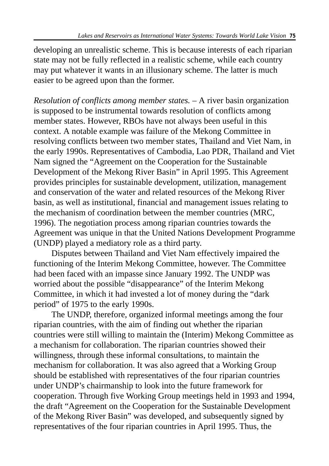developing an unrealistic scheme. This is because interests of each riparian state may not be fully reflected in a realistic scheme, while each country may put whatever it wants in an illusionary scheme. The latter is much easier to be agreed upon than the former.

*Resolution of conflicts among member states.* – A river basin organization is supposed to be instrumental towards resolution of conflicts among member states. However, RBOs have not always been useful in this context. A notable example was failure of the Mekong Committee in resolving conflicts between two member states, Thailand and Viet Nam, in the early 1990s. Representatives of Cambodia, Lao PDR, Thailand and Viet Nam signed the "Agreement on the Cooperation for the Sustainable Development of the Mekong River Basin" in April 1995. This Agreement provides principles for sustainable development, utilization, management and conservation of the water and related resources of the Mekong River basin, as well as institutional, financial and management issues relating to the mechanism of coordination between the member countries (MRC, 1996). The negotiation process among riparian countries towards the Agreement was unique in that the United Nations Development Programme (UNDP) played a mediatory role as a third party.

Disputes between Thailand and Viet Nam effectively impaired the functioning of the Interim Mekong Committee, however. The Committee had been faced with an impasse since January 1992. The UNDP was worried about the possible "disappearance" of the Interim Mekong Committee, in which it had invested a lot of money during the "dark period" of 1975 to the early 1990s.

The UNDP, therefore, organized informal meetings among the four riparian countries, with the aim of finding out whether the riparian countries were still willing to maintain the (Interim) Mekong Committee as a mechanism for collaboration. The riparian countries showed their willingness, through these informal consultations, to maintain the mechanism for collaboration. It was also agreed that a Working Group should be established with representatives of the four riparian countries under UNDP's chairmanship to look into the future framework for cooperation. Through five Working Group meetings held in 1993 and 1994, the draft "Agreement on the Cooperation for the Sustainable Development of the Mekong River Basin" was developed, and subsequently signed by representatives of the four riparian countries in April 1995. Thus, the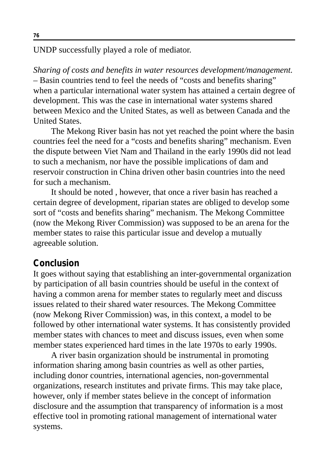UNDP successfully played a role of mediator.

*Sharing of costs and benefits in water resources development/management.* – Basin countries tend to feel the needs of "costs and benefits sharing" when a particular international water system has attained a certain degree of development. This was the case in international water systems shared between Mexico and the United States, as well as between Canada and the United States.

The Mekong River basin has not yet reached the point where the basin countries feel the need for a "costs and benefits sharing" mechanism. Even the dispute between Viet Nam and Thailand in the early 1990s did not lead to such a mechanism, nor have the possible implications of dam and reservoir construction in China driven other basin countries into the need for such a mechanism.

It should be noted , however, that once a river basin has reached a certain degree of development, riparian states are obliged to develop some sort of "costs and benefits sharing" mechanism. The Mekong Committee (now the Mekong River Commission) was supposed to be an arena for the member states to raise this particular issue and develop a mutually agreeable solution.

#### **Conclusion**

It goes without saying that establishing an inter-governmental organization by participation of all basin countries should be useful in the context of having a common arena for member states to regularly meet and discuss issues related to their shared water resources. The Mekong Committee (now Mekong River Commission) was, in this context, a model to be followed by other international water systems. It has consistently provided member states with chances to meet and discuss issues, even when some member states experienced hard times in the late 1970s to early 1990s.

A river basin organization should be instrumental in promoting information sharing among basin countries as well as other parties, including donor countries, international agencies, non-governmental organizations, research institutes and private firms. This may take place, however, only if member states believe in the concept of information disclosure and the assumption that transparency of information is a most effective tool in promoting rational management of international water systems.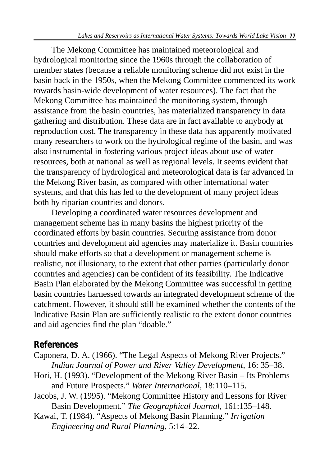The Mekong Committee has maintained meteorological and hydrological monitoring since the 1960s through the collaboration of member states (because a reliable monitoring scheme did not exist in the basin back in the 1950s, when the Mekong Committee commenced its work towards basin-wide development of water resources). The fact that the Mekong Committee has maintained the monitoring system, through assistance from the basin countries, has materialized transparency in data gathering and distribution. These data are in fact available to anybody at reproduction cost. The transparency in these data has apparently motivated many researchers to work on the hydrological regime of the basin, and was also instrumental in fostering various project ideas about use of water resources, both at national as well as regional levels. It seems evident that the transparency of hydrological and meteorological data is far advanced in the Mekong River basin, as compared with other international water systems, and that this has led to the development of many project ideas both by riparian countries and donors.

Developing a coordinated water resources development and management scheme has in many basins the highest priority of the coordinated efforts by basin countries. Securing assistance from donor countries and development aid agencies may materialize it. Basin countries should make efforts so that a development or management scheme is realistic, not illusionary, to the extent that other parties (particularly donor countries and agencies) can be confident of its feasibility. The Indicative Basin Plan elaborated by the Mekong Committee was successful in getting basin countries harnessed towards an integrated development scheme of the catchment. However, it should still be examined whether the contents of the Indicative Basin Plan are sufficiently realistic to the extent donor countries and aid agencies find the plan "doable."

# **References**

- Caponera, D. A. (1966). "The Legal Aspects of Mekong River Projects." *Indian Journal of Power and River Valley Development,* 16: 35–38.
- Hori, H. (1993). "Development of the Mekong River Basin Its Problems and Future Prospects." *Water International,* 18:110–115.
- Jacobs, J. W. (1995). "Mekong Committee History and Lessons for River Basin Development." *The Geographical Journal,* 161:135–148.
- Kawai, T. (1984). "Aspects of Mekong Basin Planning." *Irrigation Engineering and Rural Planning,* 5:14–22.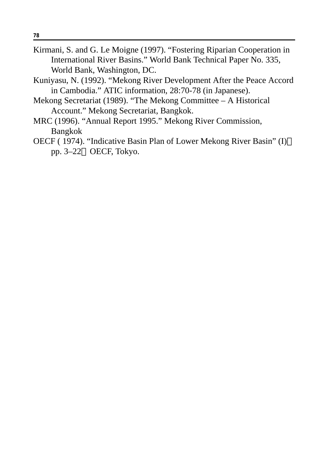- Kirmani, S. and G. Le Moigne (1997). "Fostering Riparian Cooperation in International River Basins." World Bank Technical Paper No. 335, World Bank, Washington, DC.
- Kuniyasu, N. (1992). "Mekong River Development After the Peace Accord in Cambodia." ATIC information, 28:70-78 (in Japanese).
- Mekong Secretariat (1989). "The Mekong Committee A Historical Account." Mekong Secretariat, Bangkok.
- MRC (1996). "Annual Report 1995." Mekong River Commission, Bangkok
- OECF ( 1974). "Indicative Basin Plan of Lower Mekong River Basin" (I) pp. 3–22 OECF, Tokyo.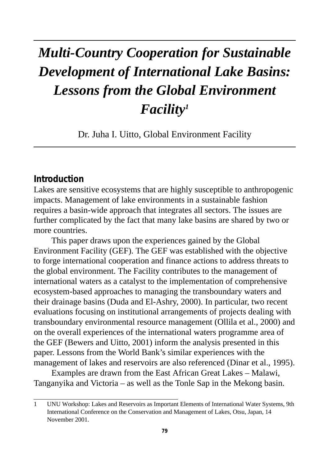# *Multi-Country Cooperation for Sustainable Development of International Lake Basins: Lessons from the Global Environment Facility1*

Dr. Juha I. Uitto, Global Environment Facility

#### **Introduction**

Lakes are sensitive ecosystems that are highly susceptible to anthropogenic impacts. Management of lake environments in a sustainable fashion requires a basin-wide approach that integrates all sectors. The issues are further complicated by the fact that many lake basins are shared by two or more countries.

This paper draws upon the experiences gained by the Global Environment Facility (GEF). The GEF was established with the objective to forge international cooperation and finance actions to address threats to the global environment. The Facility contributes to the management of international waters as a catalyst to the implementation of comprehensive ecosystem-based approaches to managing the transboundary waters and their drainage basins (Duda and El-Ashry, 2000). In particular, two recent evaluations focusing on institutional arrangements of projects dealing with transboundary environmental resource management (Ollila et al., 2000) and on the overall experiences of the international waters programme area of the GEF (Bewers and Uitto, 2001) inform the analysis presented in this paper. Lessons from the World Bank's similar experiences with the management of lakes and reservoirs are also referenced (Dinar et al., 1995).

Examples are drawn from the East African Great Lakes – Malawi, Tanganyika and Victoria – as well as the Tonle Sap in the Mekong basin.

<sup>1</sup> UNU Workshop: Lakes and Reservoirs as Important Elements of International Water Systems, 9th International Conference on the Conservation and Management of Lakes, Otsu, Japan, 14 November 2001.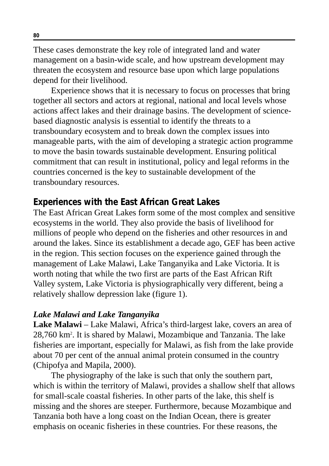These cases demonstrate the key role of integrated land and water management on a basin-wide scale, and how upstream development may threaten the ecosystem and resource base upon which large populations depend for their livelihood.

Experience shows that it is necessary to focus on processes that bring together all sectors and actors at regional, national and local levels whose actions affect lakes and their drainage basins. The development of sciencebased diagnostic analysis is essential to identify the threats to a transboundary ecosystem and to break down the complex issues into manageable parts, with the aim of developing a strategic action programme to move the basin towards sustainable development. Ensuring political commitment that can result in institutional, policy and legal reforms in the countries concerned is the key to sustainable development of the transboundary resources.

## **Experiences with the East African Great Lakes**

The East African Great Lakes form some of the most complex and sensitive ecosystems in the world. They also provide the basis of livelihood for millions of people who depend on the fisheries and other resources in and around the lakes. Since its establishment a decade ago, GEF has been active in the region. This section focuses on the experience gained through the management of Lake Malawi, Lake Tanganyika and Lake Victoria. It is worth noting that while the two first are parts of the East African Rift Valley system, Lake Victoria is physiographically very different, being a relatively shallow depression lake (figure 1).

### *Lake Malawi and Lake Tanganyika*

**Lake Malawi** – Lake Malawi, Africa's third-largest lake, covers an area of 28,760 km2 . It is shared by Malawi, Mozambique and Tanzania. The lake fisheries are important, especially for Malawi, as fish from the lake provide about 70 per cent of the annual animal protein consumed in the country (Chipofya and Mapila, 2000).

The physiography of the lake is such that only the southern part, which is within the territory of Malawi, provides a shallow shelf that allows for small-scale coastal fisheries. In other parts of the lake, this shelf is missing and the shores are steeper. Furthermore, because Mozambique and Tanzania both have a long coast on the Indian Ocean, there is greater emphasis on oceanic fisheries in these countries. For these reasons, the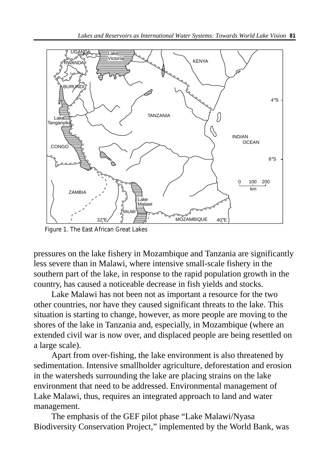

Figure 1. The East African Great Lakes

pressures on the lake fishery in Mozambique and Tanzania are significantly less severe than in Malawi, where intensive small-scale fishery in the southern part of the lake, in response to the rapid population growth in the country, has caused a noticeable decrease in fish yields and stocks.

Lake Malawi has not been not as important a resource for the two other countries, nor have they caused significant threats to the lake. This situation is starting to change, however, as more people are moving to the shores of the lake in Tanzania and, especially, in Mozambique (where an extended civil war is now over, and displaced people are being resettled on a large scale).

Apart from over-fishing, the lake environment is also threatened by sedimentation. Intensive smallholder agriculture, deforestation and erosion in the watersheds surrounding the lake are placing strains on the lake environment that need to be addressed. Environmental management of Lake Malawi, thus, requires an integrated approach to land and water management.

The emphasis of the GEF pilot phase "Lake Malawi/Nyasa Biodiversity Conservation Project," implemented by the World Bank, was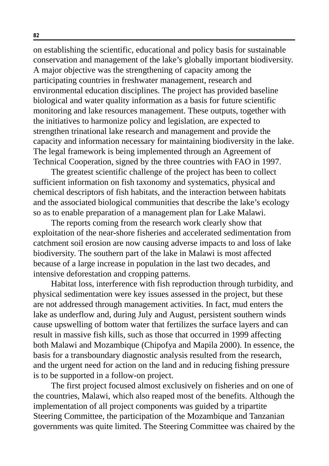on establishing the scientific, educational and policy basis for sustainable conservation and management of the lake's globally important biodiversity. A major objective was the strengthening of capacity among the participating countries in freshwater management, research and environmental education disciplines. The project has provided baseline biological and water quality information as a basis for future scientific monitoring and lake resources management. These outputs, together with the initiatives to harmonize policy and legislation, are expected to strengthen trinational lake research and management and provide the capacity and information necessary for maintaining biodiversity in the lake. The legal framework is being implemented through an Agreement of Technical Cooperation, signed by the three countries with FAO in 1997.

The greatest scientific challenge of the project has been to collect sufficient information on fish taxonomy and systematics, physical and chemical descriptors of fish habitats, and the interaction between habitats and the associated biological communities that describe the lake's ecology so as to enable preparation of a management plan for Lake Malawi.

The reports coming from the research work clearly show that exploitation of the near-shore fisheries and accelerated sedimentation from catchment soil erosion are now causing adverse impacts to and loss of lake biodiversity. The southern part of the lake in Malawi is most affected because of a large increase in population in the last two decades, and intensive deforestation and cropping patterns.

Habitat loss, interference with fish reproduction through turbidity, and physical sedimentation were key issues assessed in the project, but these are not addressed through management activities. In fact, mud enters the lake as underflow and, during July and August, persistent southern winds cause upswelling of bottom water that fertilizes the surface layers and can result in massive fish kills, such as those that occurred in 1999 affecting both Malawi and Mozambique (Chipofya and Mapila 2000). In essence, the basis for a transboundary diagnostic analysis resulted from the research, and the urgent need for action on the land and in reducing fishing pressure is to be supported in a follow-on project.

The first project focused almost exclusively on fisheries and on one of the countries, Malawi, which also reaped most of the benefits. Although the implementation of all project components was guided by a tripartite Steering Committee, the participation of the Mozambique and Tanzanian governments was quite limited. The Steering Committee was chaired by the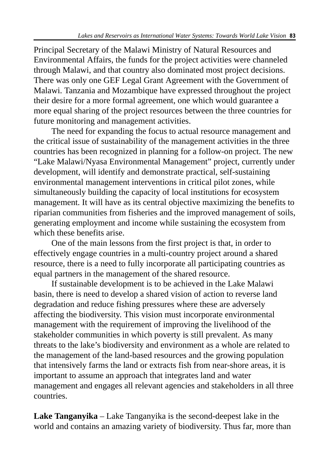Principal Secretary of the Malawi Ministry of Natural Resources and Environmental Affairs, the funds for the project activities were channeled through Malawi, and that country also dominated most project decisions. There was only one GEF Legal Grant Agreement with the Government of Malawi. Tanzania and Mozambique have expressed throughout the project their desire for a more formal agreement, one which would guarantee a more equal sharing of the project resources between the three countries for future monitoring and management activities.

The need for expanding the focus to actual resource management and the critical issue of sustainability of the management activities in the three countries has been recognized in planning for a follow-on project. The new "Lake Malawi/Nyasa Environmental Management" project, currently under development, will identify and demonstrate practical, self-sustaining environmental management interventions in critical pilot zones, while simultaneously building the capacity of local institutions for ecosystem management. It will have as its central objective maximizing the benefits to riparian communities from fisheries and the improved management of soils, generating employment and income while sustaining the ecosystem from which these benefits arise.

One of the main lessons from the first project is that, in order to effectively engage countries in a multi-country project around a shared resource, there is a need to fully incorporate all participating countries as equal partners in the management of the shared resource.

If sustainable development is to be achieved in the Lake Malawi basin, there is need to develop a shared vision of action to reverse land degradation and reduce fishing pressures where these are adversely affecting the biodiversity. This vision must incorporate environmental management with the requirement of improving the livelihood of the stakeholder communities in which poverty is still prevalent. As many threats to the lake's biodiversity and environment as a whole are related to the management of the land-based resources and the growing population that intensively farms the land or extracts fish from near-shore areas, it is important to assume an approach that integrates land and water management and engages all relevant agencies and stakeholders in all three countries.

**Lake Tanganyika** – Lake Tanganyika is the second-deepest lake in the world and contains an amazing variety of biodiversity. Thus far, more than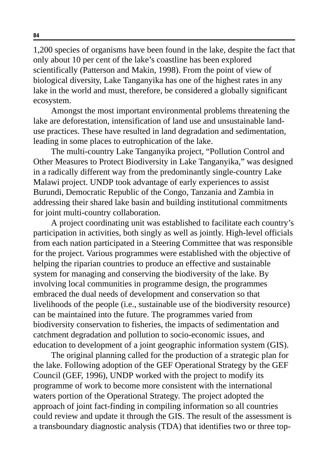1,200 species of organisms have been found in the lake, despite the fact that only about 10 per cent of the lake's coastline has been explored scientifically (Patterson and Makin, 1998). From the point of view of biological diversity, Lake Tanganyika has one of the highest rates in any lake in the world and must, therefore, be considered a globally significant ecosystem.

Amongst the most important environmental problems threatening the lake are deforestation, intensification of land use and unsustainable landuse practices. These have resulted in land degradation and sedimentation, leading in some places to eutrophication of the lake.

The multi-country Lake Tanganyika project, "Pollution Control and Other Measures to Protect Biodiversity in Lake Tanganyika," was designed in a radically different way from the predominantly single-country Lake Malawi project. UNDP took advantage of early experiences to assist Burundi, Democratic Republic of the Congo, Tanzania and Zambia in addressing their shared lake basin and building institutional commitments for joint multi-country collaboration.

A project coordinating unit was established to facilitate each country's participation in activities, both singly as well as jointly. High-level officials from each nation participated in a Steering Committee that was responsible for the project. Various programmes were established with the objective of helping the riparian countries to produce an effective and sustainable system for managing and conserving the biodiversity of the lake. By involving local communities in programme design, the programmes embraced the dual needs of development and conservation so that livelihoods of the people (i.e., sustainable use of the biodiversity resource) can be maintained into the future. The programmes varied from biodiversity conservation to fisheries, the impacts of sedimentation and catchment degradation and pollution to socio-economic issues, and education to development of a joint geographic information system (GIS).

The original planning called for the production of a strategic plan for the lake. Following adoption of the GEF Operational Strategy by the GEF Council (GEF, 1996), UNDP worked with the project to modify its programme of work to become more consistent with the international waters portion of the Operational Strategy. The project adopted the approach of joint fact-finding in compiling information so all countries could review and update it through the GIS. The result of the assessment is a transboundary diagnostic analysis (TDA) that identifies two or three top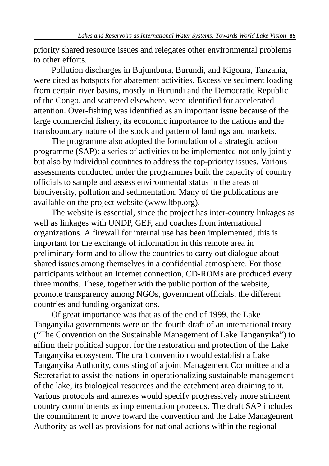priority shared resource issues and relegates other environmental problems to other efforts.

Pollution discharges in Bujumbura, Burundi, and Kigoma, Tanzania, were cited as hotspots for abatement activities. Excessive sediment loading from certain river basins, mostly in Burundi and the Democratic Republic of the Congo, and scattered elsewhere, were identified for accelerated attention. Over-fishing was identified as an important issue because of the large commercial fishery, its economic importance to the nations and the transboundary nature of the stock and pattern of landings and markets.

The programme also adopted the formulation of a strategic action programme (SAP): a series of activities to be implemented not only jointly but also by individual countries to address the top-priority issues. Various assessments conducted under the programmes built the capacity of country officials to sample and assess environmental status in the areas of biodiversity, pollution and sedimentation. Many of the publications are available on the project website (www.ltbp.org).

The website is essential, since the project has inter-country linkages as well as linkages with UNDP, GEF, and coaches from international organizations. A firewall for internal use has been implemented; this is important for the exchange of information in this remote area in preliminary form and to allow the countries to carry out dialogue about shared issues among themselves in a confidential atmosphere. For those participants without an Internet connection, CD-ROMs are produced every three months. These, together with the public portion of the website, promote transparency among NGOs, government officials, the different countries and funding organizations.

Of great importance was that as of the end of 1999, the Lake Tanganyika governments were on the fourth draft of an international treaty ("The Convention on the Sustainable Management of Lake Tanganyika") to affirm their political support for the restoration and protection of the Lake Tanganyika ecosystem. The draft convention would establish a Lake Tanganyika Authority, consisting of a joint Management Committee and a Secretariat to assist the nations in operationalizing sustainable management of the lake, its biological resources and the catchment area draining to it. Various protocols and annexes would specify progressively more stringent country commitments as implementation proceeds. The draft SAP includes the commitment to move toward the convention and the Lake Management Authority as well as provisions for national actions within the regional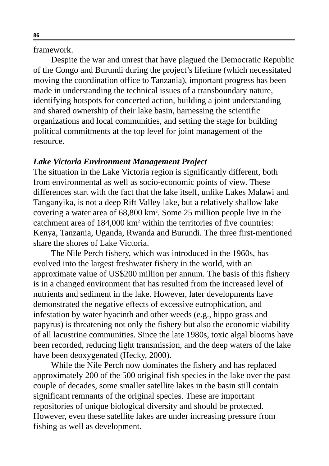framework.

Despite the war and unrest that have plagued the Democratic Republic of the Congo and Burundi during the project's lifetime (which necessitated moving the coordination office to Tanzania), important progress has been made in understanding the technical issues of a transboundary nature, identifying hotspots for concerted action, building a joint understanding and shared ownership of their lake basin, harnessing the scientific organizations and local communities, and setting the stage for building political commitments at the top level for joint management of the resource.

#### *Lake Victoria Environment Management Project*

The situation in the Lake Victoria region is significantly different, both from environmental as well as socio-economic points of view. These differences start with the fact that the lake itself, unlike Lakes Malawi and Tanganyika, is not a deep Rift Valley lake, but a relatively shallow lake covering a water area of 68,800 km2 . Some 25 million people live in the catchment area of 184,000 km<sup>2</sup> within the territories of five countries: Kenya, Tanzania, Uganda, Rwanda and Burundi. The three first-mentioned share the shores of Lake Victoria.

The Nile Perch fishery, which was introduced in the 1960s, has evolved into the largest freshwater fishery in the world, with an approximate value of US\$200 million per annum. The basis of this fishery is in a changed environment that has resulted from the increased level of nutrients and sediment in the lake. However, later developments have demonstrated the negative effects of excessive eutrophication, and infestation by water hyacinth and other weeds (e.g., hippo grass and papyrus) is threatening not only the fishery but also the economic viability of all lacustrine communities. Since the late 1980s, toxic algal blooms have been recorded, reducing light transmission, and the deep waters of the lake have been deoxygenated (Hecky, 2000).

While the Nile Perch now dominates the fishery and has replaced approximately 200 of the 500 original fish species in the lake over the past couple of decades, some smaller satellite lakes in the basin still contain significant remnants of the original species. These are important repositories of unique biological diversity and should be protected. However, even these satellite lakes are under increasing pressure from fishing as well as development.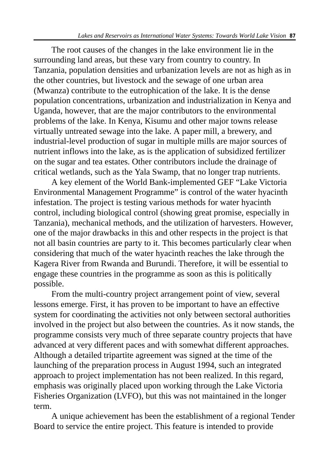The root causes of the changes in the lake environment lie in the surrounding land areas, but these vary from country to country. In Tanzania, population densities and urbanization levels are not as high as in the other countries, but livestock and the sewage of one urban area (Mwanza) contribute to the eutrophication of the lake. It is the dense population concentrations, urbanization and industrialization in Kenya and Uganda, however, that are the major contributors to the environmental problems of the lake. In Kenya, Kisumu and other major towns release virtually untreated sewage into the lake. A paper mill, a brewery, and industrial-level production of sugar in multiple mills are major sources of nutrient inflows into the lake, as is the application of subsidized fertilizer on the sugar and tea estates. Other contributors include the drainage of critical wetlands, such as the Yala Swamp, that no longer trap nutrients.

A key element of the World Bank-implemented GEF "Lake Victoria Environmental Management Programme" is control of the water hyacinth infestation. The project is testing various methods for water hyacinth control, including biological control (showing great promise, especially in Tanzania), mechanical methods, and the utilization of harvesters. However, one of the major drawbacks in this and other respects in the project is that not all basin countries are party to it. This becomes particularly clear when considering that much of the water hyacinth reaches the lake through the Kagera River from Rwanda and Burundi. Therefore, it will be essential to engage these countries in the programme as soon as this is politically possible.

From the multi-country project arrangement point of view, several lessons emerge. First, it has proven to be important to have an effective system for coordinating the activities not only between sectoral authorities involved in the project but also between the countries. As it now stands, the programme consists very much of three separate country projects that have advanced at very different paces and with somewhat different approaches. Although a detailed tripartite agreement was signed at the time of the launching of the preparation process in August 1994, such an integrated approach to project implementation has not been realized. In this regard, emphasis was originally placed upon working through the Lake Victoria Fisheries Organization (LVFO), but this was not maintained in the longer term.

A unique achievement has been the establishment of a regional Tender Board to service the entire project. This feature is intended to provide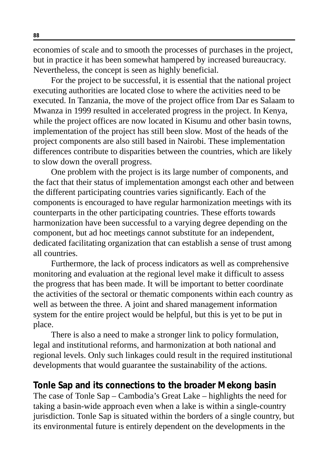economies of scale and to smooth the processes of purchases in the project, but in practice it has been somewhat hampered by increased bureaucracy. Nevertheless, the concept is seen as highly beneficial.

For the project to be successful, it is essential that the national project executing authorities are located close to where the activities need to be executed. In Tanzania, the move of the project office from Dar es Salaam to Mwanza in 1999 resulted in accelerated progress in the project. In Kenya, while the project offices are now located in Kisumu and other basin towns, implementation of the project has still been slow. Most of the heads of the project components are also still based in Nairobi. These implementation differences contribute to disparities between the countries, which are likely to slow down the overall progress.

One problem with the project is its large number of components, and the fact that their status of implementation amongst each other and between the different participating countries varies significantly. Each of the components is encouraged to have regular harmonization meetings with its counterparts in the other participating countries. These efforts towards harmonization have been successful to a varying degree depending on the component, but ad hoc meetings cannot substitute for an independent, dedicated facilitating organization that can establish a sense of trust among all countries.

Furthermore, the lack of process indicators as well as comprehensive monitoring and evaluation at the regional level make it difficult to assess the progress that has been made. It will be important to better coordinate the activities of the sectoral or thematic components within each country as well as between the three. A joint and shared management information system for the entire project would be helpful, but this is yet to be put in place.

There is also a need to make a stronger link to policy formulation, legal and institutional reforms, and harmonization at both national and regional levels. Only such linkages could result in the required institutional developments that would guarantee the sustainability of the actions.

#### **Tonle Sap and its connections to the broader Mekong basin**

The case of Tonle Sap – Cambodia's Great Lake – highlights the need for taking a basin-wide approach even when a lake is within a single-country jurisdiction. Tonle Sap is situated within the borders of a single country, but its environmental future is entirely dependent on the developments in the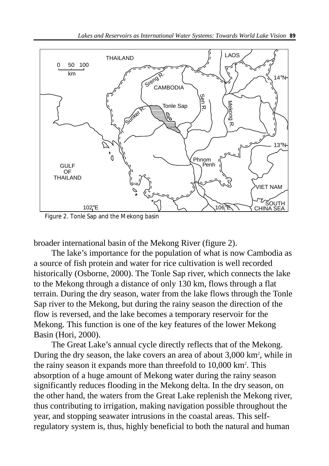

Figure 2. Tonle Sap and the Mekong basin

broader international basin of the Mekong River (figure 2).

The lake's importance for the population of what is now Cambodia as a source of fish protein and water for rice cultivation is well recorded historically (Osborne, 2000). The Tonle Sap river, which connects the lake to the Mekong through a distance of only 130 km, flows through a flat terrain. During the dry season, water from the lake flows through the Tonle Sap river to the Mekong, but during the rainy season the direction of the flow is reversed, and the lake becomes a temporary reservoir for the Mekong. This function is one of the key features of the lower Mekong Basin (Hori, 2000).

The Great Lake's annual cycle directly reflects that of the Mekong. During the dry season, the lake covers an area of about 3,000 km<sup>2</sup>, while in the rainy season it expands more than threefold to 10,000 km2 . This absorption of a huge amount of Mekong water during the rainy season significantly reduces flooding in the Mekong delta. In the dry season, on the other hand, the waters from the Great Lake replenish the Mekong river, thus contributing to irrigation, making navigation possible throughout the year, and stopping seawater intrusions in the coastal areas. This selfregulatory system is, thus, highly beneficial to both the natural and human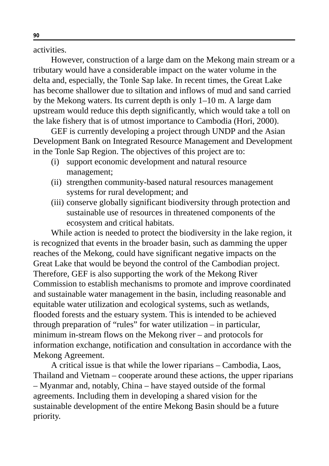activities.

However, construction of a large dam on the Mekong main stream or a tributary would have a considerable impact on the water volume in the delta and, especially, the Tonle Sap lake. In recent times, the Great Lake has become shallower due to siltation and inflows of mud and sand carried by the Mekong waters. Its current depth is only 1–10 m. A large dam upstream would reduce this depth significantly, which would take a toll on the lake fishery that is of utmost importance to Cambodia (Hori, 2000).

GEF is currently developing a project through UNDP and the Asian Development Bank on Integrated Resource Management and Development in the Tonle Sap Region. The objectives of this project are to:

- (i) support economic development and natural resource management;
- (ii) strengthen community-based natural resources management systems for rural development; and
- (iii) conserve globally significant biodiversity through protection and sustainable use of resources in threatened components of the ecosystem and critical habitats.

While action is needed to protect the biodiversity in the lake region, it is recognized that events in the broader basin, such as damming the upper reaches of the Mekong, could have significant negative impacts on the Great Lake that would be beyond the control of the Cambodian project. Therefore, GEF is also supporting the work of the Mekong River Commission to establish mechanisms to promote and improve coordinated and sustainable water management in the basin, including reasonable and equitable water utilization and ecological systems, such as wetlands, flooded forests and the estuary system. This is intended to be achieved through preparation of "rules" for water utilization – in particular, minimum in-stream flows on the Mekong river – and protocols for information exchange, notification and consultation in accordance with the Mekong Agreement.

A critical issue is that while the lower riparians – Cambodia, Laos, Thailand and Vietnam – cooperate around these actions, the upper riparians – Myanmar and, notably, China – have stayed outside of the formal agreements. Including them in developing a shared vision for the sustainable development of the entire Mekong Basin should be a future priority.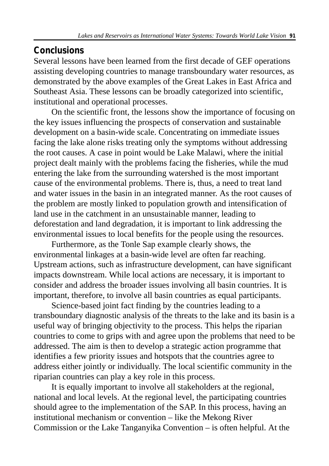## **Conclusions**

Several lessons have been learned from the first decade of GEF operations assisting developing countries to manage transboundary water resources, as demonstrated by the above examples of the Great Lakes in East Africa and Southeast Asia. These lessons can be broadly categorized into scientific, institutional and operational processes.

On the scientific front, the lessons show the importance of focusing on the key issues influencing the prospects of conservation and sustainable development on a basin-wide scale. Concentrating on immediate issues facing the lake alone risks treating only the symptoms without addressing the root causes. A case in point would be Lake Malawi, where the initial project dealt mainly with the problems facing the fisheries, while the mud entering the lake from the surrounding watershed is the most important cause of the environmental problems. There is, thus, a need to treat land and water issues in the basin in an integrated manner. As the root causes of the problem are mostly linked to population growth and intensification of land use in the catchment in an unsustainable manner, leading to deforestation and land degradation, it is important to link addressing the environmental issues to local benefits for the people using the resources.

Furthermore, as the Tonle Sap example clearly shows, the environmental linkages at a basin-wide level are often far reaching. Upstream actions, such as infrastructure development, can have significant impacts downstream. While local actions are necessary, it is important to consider and address the broader issues involving all basin countries. It is important, therefore, to involve all basin countries as equal participants.

Science-based joint fact finding by the countries leading to a transboundary diagnostic analysis of the threats to the lake and its basin is a useful way of bringing objectivity to the process. This helps the riparian countries to come to grips with and agree upon the problems that need to be addressed. The aim is then to develop a strategic action programme that identifies a few priority issues and hotspots that the countries agree to address either jointly or individually. The local scientific community in the riparian countries can play a key role in this process.

It is equally important to involve all stakeholders at the regional, national and local levels. At the regional level, the participating countries should agree to the implementation of the SAP. In this process, having an institutional mechanism or convention – like the Mekong River Commission or the Lake Tanganyika Convention – is often helpful. At the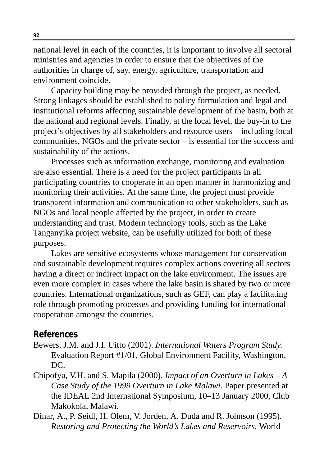national level in each of the countries, it is important to involve all sectoral ministries and agencies in order to ensure that the objectives of the authorities in charge of, say, energy, agriculture, transportation and environment coincide.

Capacity building may be provided through the project, as needed. Strong linkages should be established to policy formulation and legal and institutional reforms affecting sustainable development of the basin, both at the national and regional levels. Finally, at the local level, the buy-in to the project's objectives by all stakeholders and resource users – including local communities, NGOs and the private sector – is essential for the success and sustainability of the actions.

Processes such as information exchange, monitoring and evaluation are also essential. There is a need for the project participants in all participating countries to cooperate in an open manner in harmonizing and monitoring their activities. At the same time, the project must provide transparent information and communication to other stakeholders, such as NGOs and local people affected by the project, in order to create understanding and trust. Modern technology tools, such as the Lake Tanganyika project website, can be usefully utilized for both of these purposes.

Lakes are sensitive ecosystems whose management for conservation and sustainable development requires complex actions covering all sectors having a direct or indirect impact on the lake environment. The issues are even more complex in cases where the lake basin is shared by two or more countries. International organizations, such as GEF, can play a facilitating role through promoting processes and providing funding for international cooperation amongst the countries.

#### **References**

- Bewers, J.M. and J.I. Uitto (2001). *International Waters Program Study.* Evaluation Report #1/01, Global Environment Facility, Washington, DC.
- Chipofya, V.H. and S. Mapila (2000). *Impact of an Overturn in Lakes A Case Study of the 1999 Overturn in Lake Malawi.* Paper presented at the IDEAL 2nd International Symposium, 10–13 January 2000, Club Makokola, Malawi.
- Dinar, A., P. Seidl, H. Olem, V. Jorden, A. Duda and R. Johnson (1995). *Restoring and Protecting the World's Lakes and Reservoirs.* World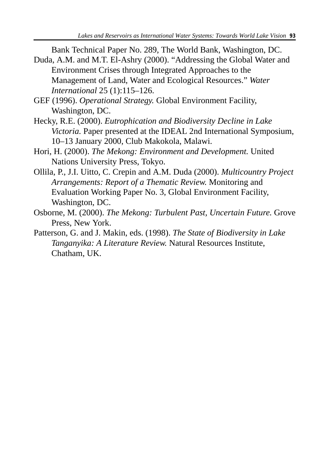Bank Technical Paper No. 289, The World Bank, Washington, DC.

- Duda, A.M. and M.T. El-Ashry (2000). "Addressing the Global Water and Environment Crises through Integrated Approaches to the Management of Land, Water and Ecological Resources." *Water International* 25 (1):115–126.
- GEF (1996). *Operational Strategy.* Global Environment Facility, Washington, DC.
- Hecky, R.E. (2000). *Eutrophication and Biodiversity Decline in Lake Victoria.* Paper presented at the IDEAL 2nd International Symposium, 10–13 January 2000, Club Makokola, Malawi.
- Hori, H. (2000). *The Mekong: Environment and Development.* United Nations University Press, Tokyo.
- Ollila, P., J.I. Uitto, C. Crepin and A.M. Duda (2000). *Multicountry Project Arrangements: Report of a Thematic Review.* Monitoring and Evaluation Working Paper No. 3, Global Environment Facility, Washington, DC.
- Osborne, M. (2000). *The Mekong: Turbulent Past, Uncertain Future.* Grove Press, New York.
- Patterson, G. and J. Makin, eds. (1998). *The State of Biodiversity in Lake Tanganyika: A Literature Review.* Natural Resources Institute, Chatham, UK.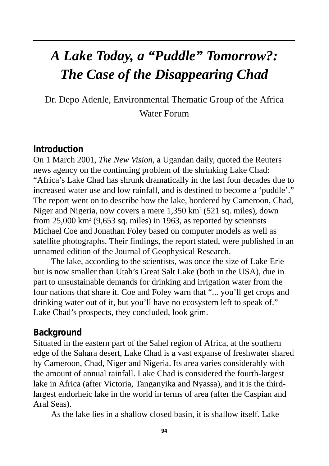# *A Lake Today, a "Puddle" Tomorrow?: The Case of the Disappearing Chad*

Dr. Depo Adenle, Environmental Thematic Group of the Africa Water Forum

#### **Introduction**

On 1 March 2001, *The New Vision,* a Ugandan daily, quoted the Reuters news agency on the continuing problem of the shrinking Lake Chad: "Africa's Lake Chad has shrunk dramatically in the last four decades due to increased water use and low rainfall, and is destined to become a 'puddle'." The report went on to describe how the lake, bordered by Cameroon, Chad, Niger and Nigeria, now covers a mere 1,350 km<sup>2</sup> (521 sq. miles), down from  $25,000 \text{ km}^2$  (9,653 sq. miles) in 1963, as reported by scientists Michael Coe and Jonathan Foley based on computer models as well as satellite photographs. Their findings, the report stated, were published in an unnamed edition of the Journal of Geophysical Research.

The lake, according to the scientists, was once the size of Lake Erie but is now smaller than Utah's Great Salt Lake (both in the USA), due in part to unsustainable demands for drinking and irrigation water from the four nations that share it. Coe and Foley warn that "... you'll get crops and drinking water out of it, but you'll have no ecosystem left to speak of." Lake Chad's prospects, they concluded, look grim.

#### **Background**

Situated in the eastern part of the Sahel region of Africa, at the southern edge of the Sahara desert, Lake Chad is a vast expanse of freshwater shared by Cameroon, Chad, Niger and Nigeria. Its area varies considerably with the amount of annual rainfall. Lake Chad is considered the fourth-largest lake in Africa (after Victoria, Tanganyika and Nyassa), and it is the thirdlargest endorheic lake in the world in terms of area (after the Caspian and Aral Seas).

As the lake lies in a shallow closed basin, it is shallow itself. Lake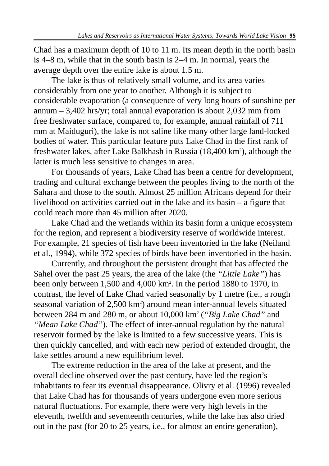Chad has a maximum depth of 10 to 11 m. Its mean depth in the north basin is 4–8 m, while that in the south basin is 2–4 m. In normal, years the average depth over the entire lake is about 1.5 m.

The lake is thus of relatively small volume, and its area varies considerably from one year to another. Although it is subject to considerable evaporation (a consequence of very long hours of sunshine per annum – 3,402 hrs/yr; total annual evaporation is about 2,032 mm from free freshwater surface, compared to, for example, annual rainfall of 711 mm at Maiduguri), the lake is not saline like many other large land-locked bodies of water. This particular feature puts Lake Chad in the first rank of freshwater lakes, after Lake Balkhash in Russia (18,400 km<sup>2</sup>), although the latter is much less sensitive to changes in area.

For thousands of years, Lake Chad has been a centre for development, trading and cultural exchange between the peoples living to the north of the Sahara and those to the south. Almost 25 million Africans depend for their livelihood on activities carried out in the lake and its basin – a figure that could reach more than 45 million after 2020.

Lake Chad and the wetlands within its basin form a unique ecosystem for the region, and represent a biodiversity reserve of worldwide interest. For example, 21 species of fish have been inventoried in the lake (Neiland et al., 1994), while 372 species of birds have been inventoried in the basin.

Currently, and throughout the persistent drought that has affected the Sahel over the past 25 years, the area of the lake (the *"Little Lake"*) has been only between 1,500 and 4,000 km<sup>2</sup>. In the period 1880 to 1970, in contrast, the level of Lake Chad varied seasonally by 1 metre (i.e., a rough seasonal variation of 2,500 km<sup>2</sup>) around mean inter-annual levels situated between 284 m and 280 m, or about 10,000 km2 (*"Big Lake Chad"* and *"Mean Lake Chad"*). The effect of inter-annual regulation by the natural reservoir formed by the lake is limited to a few successive years. This is then quickly cancelled, and with each new period of extended drought, the lake settles around a new equilibrium level.

The extreme reduction in the area of the lake at present, and the overall decline observed over the past century, have led the region's inhabitants to fear its eventual disappearance. Olivry et al. (1996) revealed that Lake Chad has for thousands of years undergone even more serious natural fluctuations. For example, there were very high levels in the eleventh, twelfth and seventeenth centuries, while the lake has also dried out in the past (for 20 to 25 years, i.e., for almost an entire generation),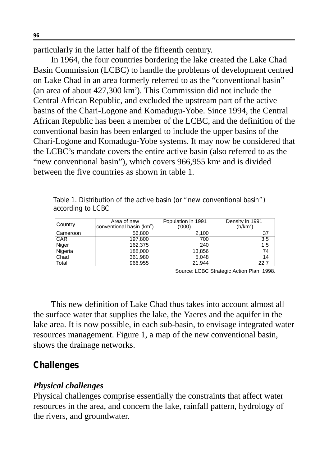particularly in the latter half of the fifteenth century.

In 1964, the four countries bordering the lake created the Lake Chad Basin Commission (LCBC) to handle the problems of development centred on Lake Chad in an area formerly referred to as the "conventional basin" (an area of about 427,300 km2 ). This Commission did not include the Central African Republic, and excluded the upstream part of the active basins of the Chari-Logone and Komadugu-Yobe. Since 1994, the Central African Republic has been a member of the LCBC, and the definition of the conventional basin has been enlarged to include the upper basins of the Chari-Logone and Komadugu-Yobe systems. It may now be considered that the LCBC's mandate covers the entire active basin (also referred to as the "new conventional basin"), which covers  $966,955$  km<sup>2</sup> and is divided between the five countries as shown in table 1.

| Country    | Area of new<br>conventional basin (km <sup>2</sup> ) | Population in 1991<br>(000) | Density in 1991<br>(h/km <sup>2</sup> ) |
|------------|------------------------------------------------------|-----------------------------|-----------------------------------------|
| l Cameroon | 56,800                                               | 2.100                       | 37                                      |
| <b>CAR</b> | 197,800                                              | 700                         | 3.5                                     |
| Niger      | 162.375                                              | 240                         | 1.5                                     |
| Nigeria    | 188,000                                              | 13,856                      | 74                                      |
| Chad       | 361,980                                              | 5.048                       | 14                                      |
| Total      | 966,955                                              | 21.944                      | 22.7                                    |

Table 1. Distribution of the active basin (or "new conventional basin") according to LCBC

Source: LCBC Strategic Action Plan, 1998.

This new definition of Lake Chad thus takes into account almost all the surface water that supplies the lake, the Yaeres and the aquifer in the lake area. It is now possible, in each sub-basin, to envisage integrated water resources management. Figure 1, a map of the new conventional basin, shows the drainage networks.

## **Challenges**

## *Physical challenges*

Physical challenges comprise essentially the constraints that affect water resources in the area, and concern the lake, rainfall pattern, hydrology of the rivers, and groundwater.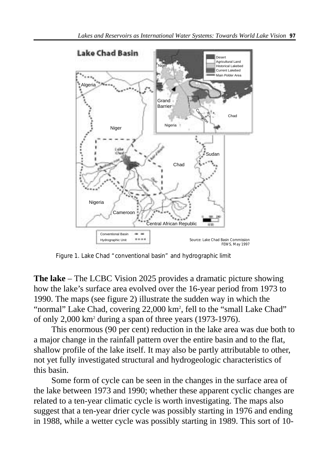

Figure 1. Lake Chad "conventional basin" and hydrographic limit

**The lake** – The LCBC Vision 2025 provides a dramatic picture showing how the lake's surface area evolved over the 16-year period from 1973 to 1990. The maps (see figure 2) illustrate the sudden way in which the "normal" Lake Chad, covering 22,000 km<sup>2</sup>, fell to the "small Lake Chad" of only 2,000 km2 during a span of three years (1973-1976).

This enormous (90 per cent) reduction in the lake area was due both to a major change in the rainfall pattern over the entire basin and to the flat, shallow profile of the lake itself. It may also be partly attributable to other, not yet fully investigated structural and hydrogeologic characteristics of this basin.

Some form of cycle can be seen in the changes in the surface area of the lake between 1973 and 1990; whether these apparent cyclic changes are related to a ten-year climatic cycle is worth investigating. The maps also suggest that a ten-year drier cycle was possibly starting in 1976 and ending in 1988, while a wetter cycle was possibly starting in 1989. This sort of 10-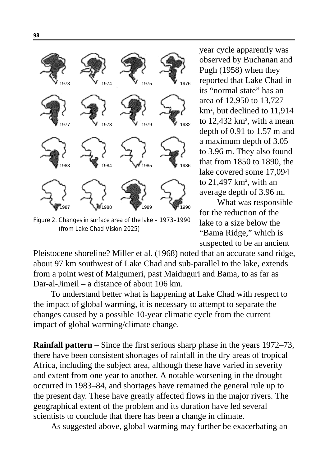

Figure 2. Changes in surface area of the lake – 1973–1990 (from Lake Chad Vision 2025)

year cycle apparently was observed by Buchanan and Pugh (1958) when they reported that Lake Chad in its "normal state" has an area of 12,950 to 13,727 km2 , but declined to 11,914 to  $12,432 \text{ km}^2$ , with a mean depth of 0.91 to 1.57 m and a maximum depth of 3.05 to 3.96 m. They also found that from 1850 to 1890, the lake covered some 17,094 to  $21,497$  km<sup>2</sup>, with an average depth of 3.96 m.

What was responsible for the reduction of the lake to a size below the "Bama Ridge," which is suspected to be an ancient

Pleistocene shoreline? Miller et al. (1968) noted that an accurate sand ridge, about 97 km southwest of Lake Chad and sub-parallel to the lake, extends from a point west of Maigumeri, past Maiduguri and Bama, to as far as Dar-al-Jimeil – a distance of about 106 km.

To understand better what is happening at Lake Chad with respect to the impact of global warming, it is necessary to attempt to separate the changes caused by a possible 10-year climatic cycle from the current impact of global warming/climate change.

**Rainfall pattern** – Since the first serious sharp phase in the years 1972–73, there have been consistent shortages of rainfall in the dry areas of tropical Africa, including the subject area, although these have varied in severity and extent from one year to another. A notable worsening in the drought occurred in 1983–84, and shortages have remained the general rule up to the present day. These have greatly affected flows in the major rivers. The geographical extent of the problem and its duration have led several scientists to conclude that there has been a change in climate.

As suggested above, global warming may further be exacerbating an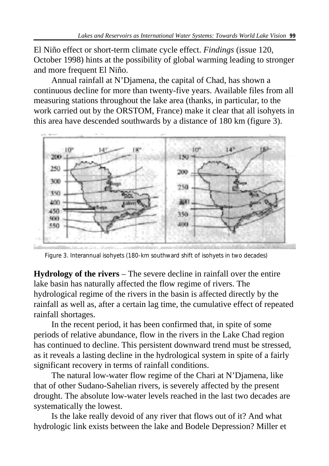El Niño effect or short-term climate cycle effect. *Findings* (issue 120, October 1998) hints at the possibility of global warming leading to stronger and more frequent El Niño.

Annual rainfall at N'Djamena, the capital of Chad, has shown a continuous decline for more than twenty-five years. Available files from all measuring stations throughout the lake area (thanks, in particular, to the work carried out by the ORSTOM, France) make it clear that all isohyets in this area have descended southwards by a distance of 180 km (figure 3).



Figure 3. Interannual isohyets (180-km southward shift of isohyets in two decades)

**Hydrology of the rivers** – The severe decline in rainfall over the entire lake basin has naturally affected the flow regime of rivers. The hydrological regime of the rivers in the basin is affected directly by the rainfall as well as, after a certain lag time, the cumulative effect of repeated rainfall shortages.

In the recent period, it has been confirmed that, in spite of some periods of relative abundance, flow in the rivers in the Lake Chad region has continued to decline. This persistent downward trend must be stressed, as it reveals a lasting decline in the hydrological system in spite of a fairly significant recovery in terms of rainfall conditions.

The natural low-water flow regime of the Chari at N'Djamena, like that of other Sudano-Sahelian rivers, is severely affected by the present drought. The absolute low-water levels reached in the last two decades are systematically the lowest.

Is the lake really devoid of any river that flows out of it? And what hydrologic link exists between the lake and Bodele Depression? Miller et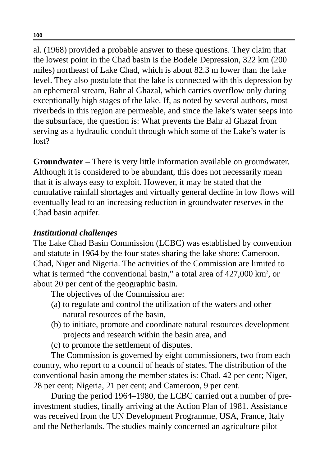al. (1968) provided a probable answer to these questions. They claim that the lowest point in the Chad basin is the Bodele Depression, 322 km (200 miles) northeast of Lake Chad, which is about 82.3 m lower than the lake level. They also postulate that the lake is connected with this depression by an ephemeral stream, Bahr al Ghazal, which carries overflow only during exceptionally high stages of the lake. If, as noted by several authors, most riverbeds in this region are permeable, and since the lake's water seeps into the subsurface, the question is: What prevents the Bahr al Ghazal from serving as a hydraulic conduit through which some of the Lake's water is lost?

**Groundwater** – There is very little information available on groundwater. Although it is considered to be abundant, this does not necessarily mean that it is always easy to exploit. However, it may be stated that the cumulative rainfall shortages and virtually general decline in low flows will eventually lead to an increasing reduction in groundwater reserves in the Chad basin aquifer.

#### *Institutional challenges*

The Lake Chad Basin Commission (LCBC) was established by convention and statute in 1964 by the four states sharing the lake shore: Cameroon, Chad, Niger and Nigeria. The activities of the Commission are limited to what is termed "the conventional basin," a total area of 427,000 km<sup>2</sup>, or about 20 per cent of the geographic basin.

The objectives of the Commission are:

- (a) to regulate and control the utilization of the waters and other natural resources of the basin,
- (b) to initiate, promote and coordinate natural resources development projects and research within the basin area, and
- (c) to promote the settlement of disputes.

The Commission is governed by eight commissioners, two from each country, who report to a council of heads of states. The distribution of the conventional basin among the member states is: Chad, 42 per cent; Niger, 28 per cent; Nigeria, 21 per cent; and Cameroon, 9 per cent.

During the period 1964–1980, the LCBC carried out a number of preinvestment studies, finally arriving at the Action Plan of 1981. Assistance was received from the UN Development Programme, USA, France, Italy and the Netherlands. The studies mainly concerned an agriculture pilot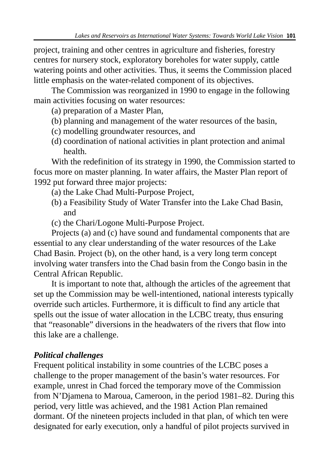project, training and other centres in agriculture and fisheries, forestry centres for nursery stock, exploratory boreholes for water supply, cattle watering points and other activities. Thus, it seems the Commission placed little emphasis on the water-related component of its objectives.

The Commission was reorganized in 1990 to engage in the following main activities focusing on water resources:

- (a) preparation of a Master Plan,
- (b) planning and management of the water resources of the basin,
- (c) modelling groundwater resources, and
- (d) coordination of national activities in plant protection and animal health.

With the redefinition of its strategy in 1990, the Commission started to focus more on master planning. In water affairs, the Master Plan report of 1992 put forward three major projects:

- (a) the Lake Chad Multi-Purpose Project,
- (b) a Feasibility Study of Water Transfer into the Lake Chad Basin, and
- (c) the Chari/Logone Multi-Purpose Project.

Projects (a) and (c) have sound and fundamental components that are essential to any clear understanding of the water resources of the Lake Chad Basin. Project (b), on the other hand, is a very long term concept involving water transfers into the Chad basin from the Congo basin in the Central African Republic.

It is important to note that, although the articles of the agreement that set up the Commission may be well-intentioned, national interests typically override such articles. Furthermore, it is difficult to find any article that spells out the issue of water allocation in the LCBC treaty, thus ensuring that "reasonable" diversions in the headwaters of the rivers that flow into this lake are a challenge.

# *Political challenges*

Frequent political instability in some countries of the LCBC poses a challenge to the proper management of the basin's water resources. For example, unrest in Chad forced the temporary move of the Commission from N'Djamena to Maroua, Cameroon, in the period 1981–82. During this period, very little was achieved, and the 1981 Action Plan remained dormant. Of the nineteen projects included in that plan, of which ten were designated for early execution, only a handful of pilot projects survived in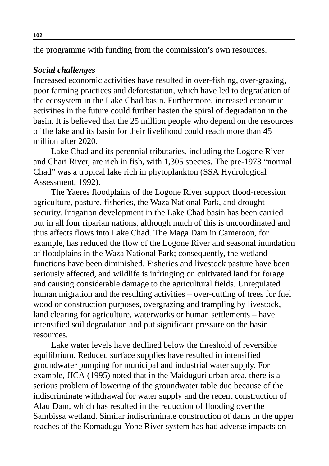the programme with funding from the commission's own resources.

#### *Social challenges*

Increased economic activities have resulted in over-fishing, over-grazing, poor farming practices and deforestation, which have led to degradation of the ecosystem in the Lake Chad basin. Furthermore, increased economic activities in the future could further hasten the spiral of degradation in the basin. It is believed that the 25 million people who depend on the resources of the lake and its basin for their livelihood could reach more than 45 million after 2020.

Lake Chad and its perennial tributaries, including the Logone River and Chari River, are rich in fish, with 1,305 species. The pre-1973 "normal Chad" was a tropical lake rich in phytoplankton (SSA Hydrological Assessment, 1992).

The Yaeres floodplains of the Logone River support flood-recession agriculture, pasture, fisheries, the Waza National Park, and drought security. Irrigation development in the Lake Chad basin has been carried out in all four riparian nations, although much of this is uncoordinated and thus affects flows into Lake Chad. The Maga Dam in Cameroon, for example, has reduced the flow of the Logone River and seasonal inundation of floodplains in the Waza National Park; consequently, the wetland functions have been diminished. Fisheries and livestock pasture have been seriously affected, and wildlife is infringing on cultivated land for forage and causing considerable damage to the agricultural fields. Unregulated human migration and the resulting activities – over-cutting of trees for fuel wood or construction purposes, overgrazing and trampling by livestock, land clearing for agriculture, waterworks or human settlements – have intensified soil degradation and put significant pressure on the basin resources.

Lake water levels have declined below the threshold of reversible equilibrium. Reduced surface supplies have resulted in intensified groundwater pumping for municipal and industrial water supply. For example, JICA (1995) noted that in the Maiduguri urban area, there is a serious problem of lowering of the groundwater table due because of the indiscriminate withdrawal for water supply and the recent construction of Alau Dam, which has resulted in the reduction of flooding over the Sambissa wetland. Similar indiscriminate construction of dams in the upper reaches of the Komadugu-Yobe River system has had adverse impacts on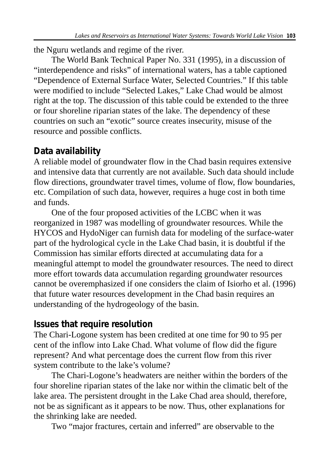the Nguru wetlands and regime of the river.

The World Bank Technical Paper No. 331 (1995), in a discussion of "interdependence and risks" of international waters, has a table captioned "Dependence of External Surface Water, Selected Countries." If this table were modified to include "Selected Lakes," Lake Chad would be almost right at the top. The discussion of this table could be extended to the three or four shoreline riparian states of the lake. The dependency of these countries on such an "exotic" source creates insecurity, misuse of the resource and possible conflicts.

# **Data availability**

A reliable model of groundwater flow in the Chad basin requires extensive and intensive data that currently are not available. Such data should include flow directions, groundwater travel times, volume of flow, flow boundaries, etc. Compilation of such data, however, requires a huge cost in both time and funds.

One of the four proposed activities of the LCBC when it was reorganized in 1987 was modelling of groundwater resources. While the HYCOS and HydoNiger can furnish data for modeling of the surface-water part of the hydrological cycle in the Lake Chad basin, it is doubtful if the Commission has similar efforts directed at accumulating data for a meaningful attempt to model the groundwater resources. The need to direct more effort towards data accumulation regarding groundwater resources cannot be overemphasized if one considers the claim of Isiorho et al. (1996) that future water resources development in the Chad basin requires an understanding of the hydrogeology of the basin.

## **Issues that require resolution**

The Chari-Logone system has been credited at one time for 90 to 95 per cent of the inflow into Lake Chad. What volume of flow did the figure represent? And what percentage does the current flow from this river system contribute to the lake's volume?

The Chari-Logone's headwaters are neither within the borders of the four shoreline riparian states of the lake nor within the climatic belt of the lake area. The persistent drought in the Lake Chad area should, therefore, not be as significant as it appears to be now. Thus, other explanations for the shrinking lake are needed.

Two "major fractures, certain and inferred" are observable to the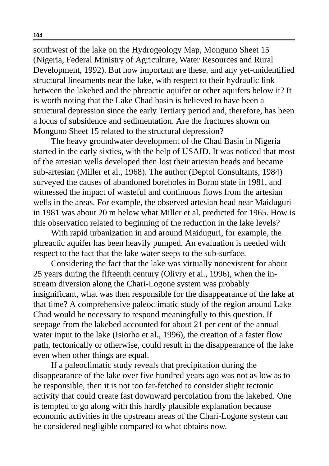southwest of the lake on the Hydrogeology Map, Monguno Sheet 15 (Nigeria, Federal Ministry of Agriculture, Water Resources and Rural Development, 1992). But how important are these, and any yet-unidentified structural lineaments near the lake, with respect to their hydraulic link between the lakebed and the phreactic aquifer or other aquifers below it? It is worth noting that the Lake Chad basin is believed to have been a structural depression since the early Tertiary period and, therefore, has been a locus of subsidence and sedimentation. Are the fractures shown on Monguno Sheet 15 related to the structural depression?

The heavy groundwater development of the Chad Basin in Nigeria started in the early sixties, with the help of USAID. It was noticed that most of the artesian wells developed then lost their artesian heads and became sub-artesian (Miller et al., 1968). The author (Deptol Consultants, 1984) surveyed the causes of abandoned boreholes in Borno state in 1981, and witnessed the impact of wasteful and continuous flows from the artesian wells in the areas. For example, the observed artesian head near Maiduguri in 1981 was about 20 m below what Miller et al. predicted for 1965. How is this observation related to beginning of the reduction in the lake levels?

With rapid urbanization in and around Maiduguri, for example, the phreactic aquifer has been heavily pumped. An evaluation is needed with respect to the fact that the lake water seeps to the sub-surface.

Considering the fact that the lake was virtually nonexistent for about 25 years during the fifteenth century (Olivry et al., 1996), when the instream diversion along the Chari-Logone system was probably insignificant, what was then responsible for the disappearance of the lake at that time? A comprehensive paleoclimatic study of the region around Lake Chad would be necessary to respond meaningfully to this question. If seepage from the lakebed accounted for about 21 per cent of the annual water input to the lake (Isiorho et al., 1996), the creation of a faster flow path, tectonically or otherwise, could result in the disappearance of the lake even when other things are equal.

If a paleoclimatic study reveals that precipitation during the disappearance of the lake over five hundred years ago was not as low as to be responsible, then it is not too far-fetched to consider slight tectonic activity that could create fast downward percolation from the lakebed. One is tempted to go along with this hardly plausible explanation because economic activities in the upstream areas of the Chari-Logone system can be considered negligible compared to what obtains now.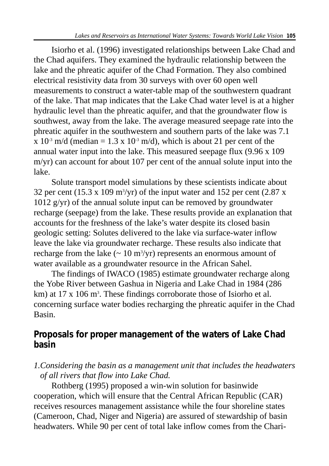Isiorho et al. (1996) investigated relationships between Lake Chad and the Chad aquifers. They examined the hydraulic relationship between the lake and the phreatic aquifer of the Chad Formation. They also combined electrical resistivity data from 30 surveys with over 60 open well measurements to construct a water-table map of the southwestern quadrant of the lake. That map indicates that the Lake Chad water level is at a higher hydraulic level than the phreatic aquifer, and that the groundwater flow is southwest, away from the lake. The average measured seepage rate into the phreatic aquifer in the southwestern and southern parts of the lake was 7.1 x  $10^{-3}$  m/d (median = 1.3 x  $10^{-3}$  m/d), which is about 21 per cent of the annual water input into the lake. This measured seepage flux (9.96 x 109 m/yr) can account for about 107 per cent of the annual solute input into the lake.

Solute transport model simulations by these scientists indicate about 32 per cent (15.3 x 109 m<sup>3</sup>/yr) of the input water and 152 per cent (2.87 x 1012 g/yr) of the annual solute input can be removed by groundwater recharge (seepage) from the lake. These results provide an explanation that accounts for the freshness of the lake's water despite its closed basin geologic setting: Solutes delivered to the lake via surface-water inflow leave the lake via groundwater recharge. These results also indicate that recharge from the lake  $\left(\sim 10 \text{ m}^3/\text{yr}\right)$  represents an enormous amount of water available as a groundwater resource in the African Sahel.

The findings of IWACO (1985) estimate groundwater recharge along the Yobe River between Gashua in Nigeria and Lake Chad in 1984 (286 km) at 17 x 106 m<sup>3</sup>. These findings corroborate those of Isiorho et al. concerning surface water bodies recharging the phreatic aquifer in the Chad Basin.

# **Proposals for proper management of the waters of Lake Chad basin**

## *1.Considering the basin as a management unit that includes the headwaters of all rivers that flow into Lake Chad.*

Rothberg (1995) proposed a win-win solution for basinwide cooperation, which will ensure that the Central African Republic (CAR) receives resources management assistance while the four shoreline states (Cameroon, Chad, Niger and Nigeria) are assured of stewardship of basin headwaters. While 90 per cent of total lake inflow comes from the Chari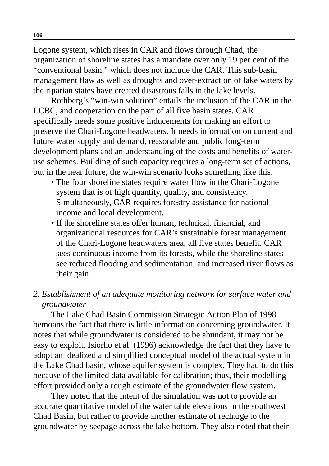Logone system, which rises in CAR and flows through Chad, the organization of shoreline states has a mandate over only 19 per cent of the "conventional basin," which does not include the CAR. This sub-basin management flaw as well as droughts and over-extraction of lake waters by the riparian states have created disastrous falls in the lake levels.

Rothberg's "win-win solution" entails the inclusion of the CAR in the LCBC, and cooperation on the part of all five basin states. CAR specifically needs some positive inducements for making an effort to preserve the Chari-Logone headwaters. It needs information on current and future water supply and demand, reasonable and public long-term development plans and an understanding of the costs and benefits of wateruse schemes. Building of such capacity requires a long-term set of actions, but in the near future, the win-win scenario looks something like this:

- The four shoreline states require water flow in the Chari-Logone system that is of high quantity, quality, and consistency. Simultaneously, CAR requires forestry assistance for national income and local development.
- If the shoreline states offer human, technical, financial, and organizational resources for CAR's sustainable forest management of the Chari-Logone headwaters area, all five states benefit. CAR sees continuous income from its forests, while the shoreline states see reduced flooding and sedimentation, and increased river flows as their gain.

### *2. Establishment of an adequate monitoring network for surface water and groundwater*

The Lake Chad Basin Commission Strategic Action Plan of 1998 bemoans the fact that there is little information concerning groundwater. It notes that while groundwater is considered to be abundant, it may not be easy to exploit. Isiorho et al. (1996) acknowledge the fact that they have to adopt an idealized and simplified conceptual model of the actual system in the Lake Chad basin, whose aquifer system is complex. They had to do this because of the limited data available for calibration; thus, their modelling effort provided only a rough estimate of the groundwater flow system.

They noted that the intent of the simulation was not to provide an accurate quantitative model of the water table elevations in the southwest Chad Basin, but rather to provide another estimate of recharge to the groundwater by seepage across the lake bottom. They also noted that their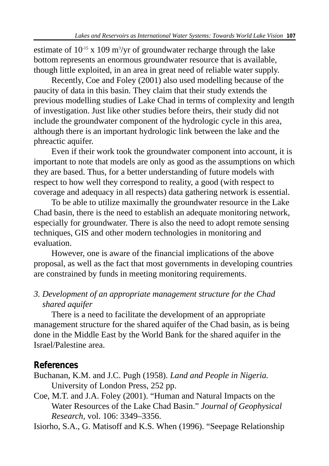estimate of  $10<sup>15</sup>$  x 109 m<sup>3</sup>/yr of groundwater recharge through the lake bottom represents an enormous groundwater resource that is available, though little exploited, in an area in great need of reliable water supply.

Recently, Coe and Foley (2001) also used modelling because of the paucity of data in this basin. They claim that their study extends the previous modelling studies of Lake Chad in terms of complexity and length of investigation. Just like other studies before theirs, their study did not include the groundwater component of the hydrologic cycle in this area, although there is an important hydrologic link between the lake and the phreactic aquifer.

Even if their work took the groundwater component into account, it is important to note that models are only as good as the assumptions on which they are based. Thus, for a better understanding of future models with respect to how well they correspond to reality, a good (with respect to coverage and adequacy in all respects) data gathering network is essential.

To be able to utilize maximally the groundwater resource in the Lake Chad basin, there is the need to establish an adequate monitoring network, especially for groundwater. There is also the need to adopt remote sensing techniques, GIS and other modern technologies in monitoring and evaluation.

However, one is aware of the financial implications of the above proposal, as well as the fact that most governments in developing countries are constrained by funds in meeting monitoring requirements.

## *3. Development of an appropriate management structure for the Chad shared aquifer*

There is a need to facilitate the development of an appropriate management structure for the shared aquifer of the Chad basin, as is being done in the Middle East by the World Bank for the shared aquifer in the Israel/Palestine area.

## **References**

Buchanan, K.M. and J.C. Pugh (1958). *Land and People in Nigeria.* University of London Press, 252 pp.

Coe, M.T. and J.A. Foley (2001). "Human and Natural Impacts on the Water Resources of the Lake Chad Basin." *Journal of Geophysical Research,* vol. 106: 3349–3356.

Isiorho, S.A., G. Matisoff and K.S. When (1996). "Seepage Relationship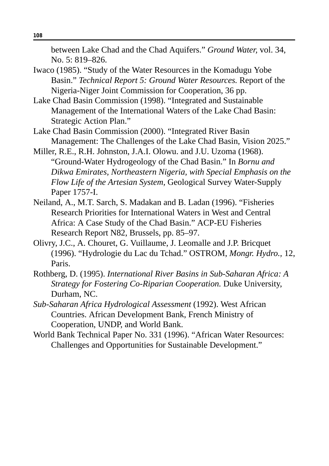between Lake Chad and the Chad Aquifers." *Ground Water,* vol. 34, No. 5: 819–826.

- Iwaco (1985). "Study of the Water Resources in the Komadugu Yobe Basin." *Technical Report 5: Ground Water Resources.* Report of the Nigeria-Niger Joint Commission for Cooperation, 36 pp.
- Lake Chad Basin Commission (1998). "Integrated and Sustainable Management of the International Waters of the Lake Chad Basin: Strategic Action Plan."
- Lake Chad Basin Commission (2000). "Integrated River Basin Management: The Challenges of the Lake Chad Basin, Vision 2025."
- Miller, R.E., R.H. Johnston, J.A.I. Olowu. and J.U. Uzoma (1968). "Ground-Water Hydrogeology of the Chad Basin." In *Bornu and Dikwa Emirates, Northeastern Nigeria, with Special Emphasis on the Flow Life of the Artesian System,* Geological Survey Water-Supply Paper 1757-I.
- Neiland, A., M.T. Sarch, S. Madakan and B. Ladan (1996). "Fisheries Research Priorities for International Waters in West and Central Africa: A Case Study of the Chad Basin." ACP-EU Fisheries Research Report N82, Brussels, pp. 85–97.
- Olivry, J.C., A. Chouret, G. Vuillaume, J. Leomalle and J.P. Bricquet (1996). "Hydrologie du Lac du Tchad." OSTROM, *Mongr. Hydro.,* 12, Paris.
- Rothberg, D. (1995). *International River Basins in Sub-Saharan Africa: A Strategy for Fostering Co-Riparian Cooperation.* Duke University, Durham, NC.
- *Sub-Saharan Africa Hydrological Assessment* (1992). West African Countries. African Development Bank, French Ministry of Cooperation, UNDP, and World Bank.
- World Bank Technical Paper No. 331 (1996). "African Water Resources: Challenges and Opportunities for Sustainable Development."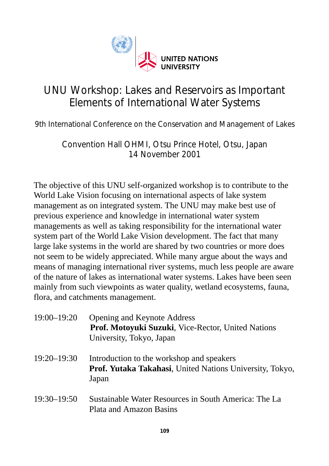

## UNU Workshop: Lakes and Reservoirs as Important Elements of International Water Systems

9th International Conference on the Conservation and Management of Lakes

Convention Hall OHMI, Otsu Prince Hotel, Otsu, Japan 14 November 2001

The objective of this UNU self-organized workshop is to contribute to the World Lake Vision focusing on international aspects of lake system management as on integrated system. The UNU may make best use of previous experience and knowledge in international water system managements as well as taking responsibility for the international water system part of the World Lake Vision development. The fact that many large lake systems in the world are shared by two countries or more does not seem to be widely appreciated. While many argue about the ways and means of managing international river systems, much less people are aware of the nature of lakes as international water systems. Lakes have been seen mainly from such viewpoints as water quality, wetland ecosystems, fauna, flora, and catchments management.

| 19:00–19:20 | Opening and Keynote Address<br>Prof. Motoyuki Suzuki, Vice-Rector, United Nations<br>University, Tokyo, Japan  |
|-------------|----------------------------------------------------------------------------------------------------------------|
| 19:20–19:30 | Introduction to the workshop and speakers<br>Prof. Yutaka Takahasi, United Nations University, Tokyo,<br>Japan |
| 19:30–19:50 | Sustainable Water Resources in South America: The La<br>Plata and Amazon Basins                                |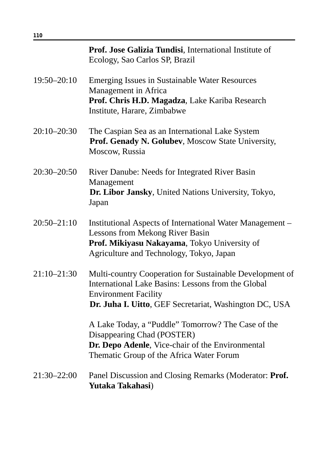|                 | Prof. Jose Galizia Tundisi, International Institute of<br>Ecology, Sao Carlos SP, Brazil                                                                                                                |
|-----------------|---------------------------------------------------------------------------------------------------------------------------------------------------------------------------------------------------------|
| 19:50-20:10     | <b>Emerging Issues in Sustainable Water Resources</b><br>Management in Africa<br>Prof. Chris H.D. Magadza, Lake Kariba Research<br>Institute, Harare, Zimbabwe                                          |
| 20:10-20:30     | The Caspian Sea as an International Lake System<br>Prof. Genady N. Golubev, Moscow State University,<br>Moscow, Russia                                                                                  |
| 20:30-20:50     | River Danube: Needs for Integrated River Basin<br>Management<br>Dr. Libor Jansky, United Nations University, Tokyo,<br>Japan                                                                            |
| $20:50 - 21:10$ | Institutional Aspects of International Water Management -<br>Lessons from Mekong River Basin<br>Prof. Mikiyasu Nakayama, Tokyo University of<br>Agriculture and Technology, Tokyo, Japan                |
| 21:10-21:30     | Multi-country Cooperation for Sustainable Development of<br>International Lake Basins: Lessons from the Global<br><b>Environment Facility</b><br>Dr. Juha I. Uitto, GEF Secretariat, Washington DC, USA |
|                 | A Lake Today, a "Puddle" Tomorrow? The Case of the<br>Disappearing Chad (POSTER)<br>Dr. Depo Adenle, Vice-chair of the Environmental<br>Thematic Group of the Africa Water Forum                        |
| 21:30-22:00     | Panel Discussion and Closing Remarks (Moderator: Prof.<br>Yutaka Takahasi)                                                                                                                              |